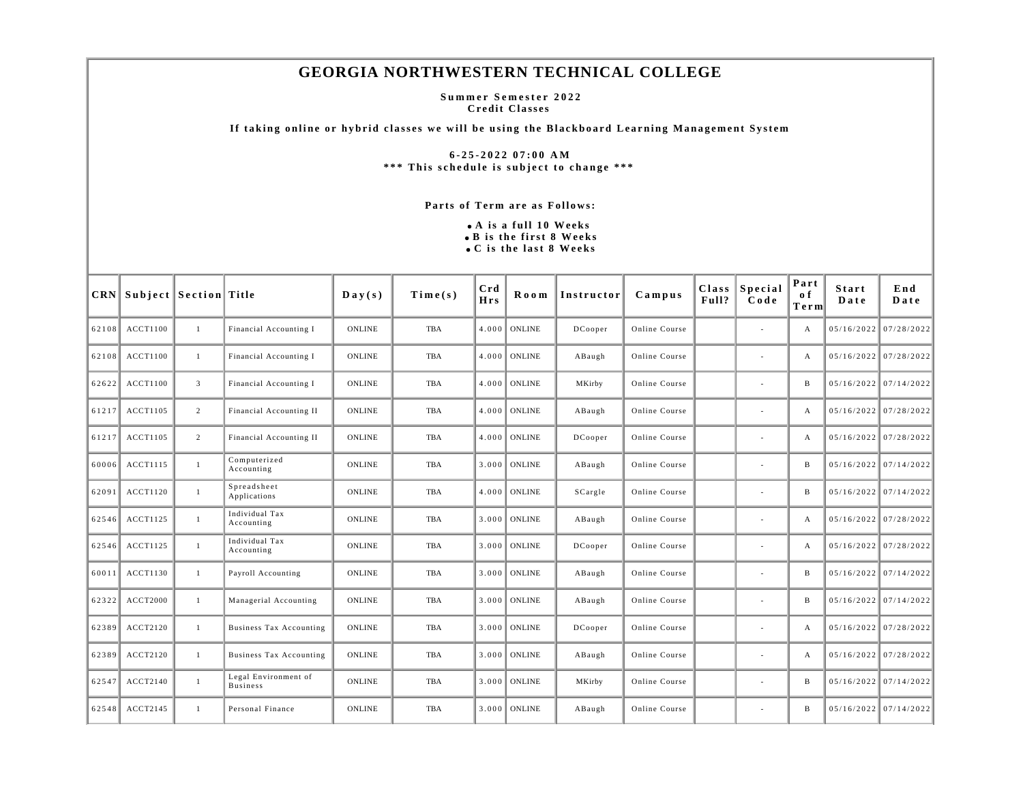## **GEORGIA NORTHWESTERN TECHNICAL COLLEGE**

**Summer Semester 2022 Credit Classes** 

**If taking online or hybrid classes we will be using the Blackboard Learning Management System** 

**6-25-2022 07:00 AM \*\*\* This schedule is subject to change \*\*\*** 

**Parts of Term are as Follows:**

**A is a full 10 Weeks B is the first 8 Weeks C is the last 8 Weeks**

|       | <b>CRN</b> Subject Section Title |                |                                         | $\mathbf{Day}(\mathbf{s})$ | Time(s)    | Crd<br><b>Hrs</b> | Room           | Instructor | $C$ ampus     | Class<br>Full? | Special<br>Code          | Part<br>0 f<br>Term | <b>Start</b><br>Date | End<br>Date             |
|-------|----------------------------------|----------------|-----------------------------------------|----------------------------|------------|-------------------|----------------|------------|---------------|----------------|--------------------------|---------------------|----------------------|-------------------------|
| 62108 | <b>ACCT1100</b>                  | 1              | Financial Accounting I                  | <b>ONLINE</b>              | TBA        | 4.000             | ONLINE         | DCooper    | Online Course |                | $\overline{\phantom{a}}$ | А                   | 05/16/2022           | 07/28/2022              |
| 62108 | <b>ACCT1100</b>                  | 1              | Financial Accounting I                  | <b>ONLINE</b>              | <b>TBA</b> |                   | $4.000$ ONLINE | ABaugh     | Online Course |                | ٠                        | А                   |                      | 05/16/2022 07/28/2022   |
| 62622 | <b>ACCT1100</b>                  | 3              | Financial Accounting I                  | <b>ONLINE</b>              | TBA        | $4.000\text{ I}$  | ONLINE         | MKirby     | Online Course |                |                          | B                   |                      | $05/16/2022$ 07/14/2022 |
| 61217 | <b>ACCT1105</b>                  | $\overline{2}$ | Financial Accounting II                 | <b>ONLINE</b>              | TBA        |                   | $4.000$ ONLINE | ABaugh     | Online Course |                | $\overline{\phantom{a}}$ | $\mathbf{A}$        |                      | 05/16/2022 07/28/2022   |
| 61217 | <b>ACCT1105</b>                  | $\overline{2}$ | Financial Accounting II                 | <b>ONLINE</b>              | <b>TBA</b> |                   | $4.000$ ONLINE | DCooper    | Online Course |                | ÷                        | А                   |                      | 05/16/2022 07/28/2022   |
| 60006 | <b>ACCT1115</b>                  | 1              | Computerized<br>Accounting              | <b>ONLINE</b>              | TBA        |                   | $3.000$ ONLINE | ABaugh     | Online Course |                | $\overline{\phantom{a}}$ | B                   |                      | $05/16/2022$ 07/14/2022 |
| 62091 | <b>ACCT1120</b>                  | 1              | Spreadsheet<br>Applications             | <b>ONLINE</b>              | <b>TBA</b> |                   | $4.000$ ONLINE | SCargle    | Online Course |                | $\overline{\phantom{a}}$ | B                   |                      | $05/16/2022$ 07/14/2022 |
| 62546 | ACCT1125                         | $\mathbf{1}$   | Individual Tax<br>Accounting            | <b>ONLINE</b>              | TBA        |                   | 3.000 ONLINE   | ABaugh     | Online Course |                | ٠                        | А                   |                      | 05/16/2022 07/28/2022   |
| 62546 | <b>ACCT1125</b>                  | 1              | Individual Tax<br>Accounting            | <b>ONLINE</b>              | TBA        |                   | $3.000$ ONLINE | DCooper    | Online Course |                | ÷                        | A                   |                      | 05/16/2022 07/28/2022   |
| 60011 | <b>ACCT1130</b>                  | 1              | Payroll Accounting                      | <b>ONLINE</b>              | TBA        |                   | $3.000$ ONLINE | ABaugh     | Online Course |                |                          | B                   |                      | $05/16/2022$ 07/14/2022 |
| 62322 | ACCT2000                         | $\mathbf{1}$   | Managerial Accounting                   | <b>ONLINE</b>              | <b>TBA</b> |                   | $3.000$ ONLINE | ABaugh     | Online Course |                | $\sim$                   | B                   |                      | $05/16/2022$ 07/14/2022 |
| 62389 | ACCT2120                         | $\mathbf{1}$   | <b>Business Tax Accounting</b>          | <b>ONLINE</b>              | TBA        |                   | $3.000$ ONLINE | DCooper    | Online Course |                | $\overline{\phantom{a}}$ | А                   |                      | 05/16/2022 07/28/2022   |
| 62389 | ACCT2120                         | -1             | <b>Business Tax Accounting</b>          | <b>ONLINE</b>              | TBA        |                   | $3.000$ ONLINE | ABaugh     | Online Course |                | $\overline{\phantom{a}}$ | А                   |                      | 05/16/2022 07/28/2022   |
| 62547 | ACCT2140                         | 1              | Legal Environment of<br><b>Business</b> | <b>ONLINE</b>              | <b>TBA</b> | 3.000             | <b>ONLINE</b>  | MKirby     | Online Course |                | $\overline{\phantom{a}}$ | B                   |                      | $05/16/2022$ 07/14/2022 |
| 62548 | ACCT2145                         | 1              | Personal Finance                        | <b>ONLINE</b>              | <b>TBA</b> |                   | $3.000$ ONLINE | ABaugh     | Online Course |                | $\overline{\phantom{a}}$ | B                   |                      | $05/16/2022$ 07/14/2022 |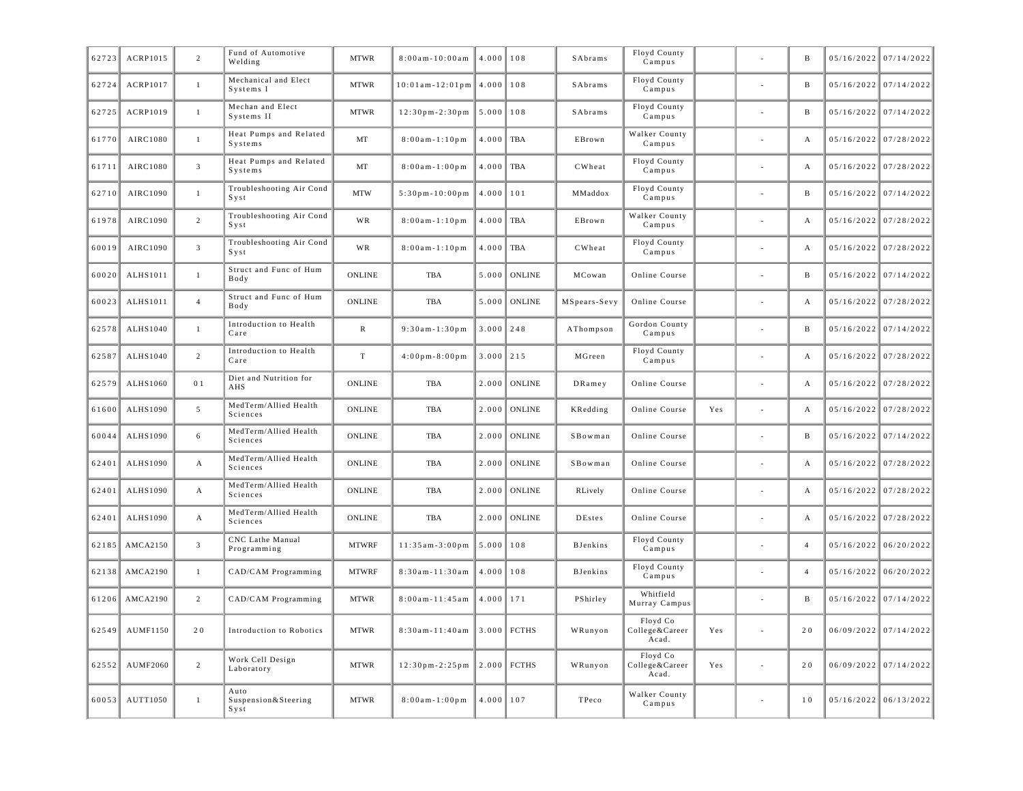| 62723 | ACRP1015        | $\overline{2}$   | Fund of Automotive<br>Welding         | <b>MTWR</b>   | $8:00$ am - $10:00$ am                | 4.000         | 108           | SAbrams         | Floyd County<br>Campus              |     |        | B              | 05/16/2022 07/14/2022   |
|-------|-----------------|------------------|---------------------------------------|---------------|---------------------------------------|---------------|---------------|-----------------|-------------------------------------|-----|--------|----------------|-------------------------|
| 62724 | ACRP1017        | $\mathbf{1}$     | Mechanical and Elect<br>Systems I     | <b>MTWR</b>   | $10:01$ am - $12:01$ pm $\vert$ 4.000 |               | 108           | SAbrams         | Floyd County<br>Campus              |     |        | B              | 05/16/2022 07/14/2022   |
| 62725 | ACRP1019        | $\mathbf{1}$     | Mechan and Elect<br>Systems II        | <b>MTWR</b>   | $12:30$ pm-2:30pm                     | 5.000         | 108           | SAbrams         | Floyd County<br>Campus              |     |        | B              | 05/16/2022 07/14/2022   |
| 61770 | AIRC1080        | $\mathbf{1}$     | Heat Pumps and Related<br>Systems     | MT            | $8:00am - 1:10pm$                     | 4.000         | <b>TBA</b>    | EBrown          | Walker County<br>Campus             |     |        | А              | 05/16/2022 07/28/2022   |
| 61711 | AIRC1080        | $\overline{3}$   | Heat Pumps and Related<br>Systems     | MT            | $8:00am - 1:00pm$                     | 4.000         | <b>TBA</b>    | CWheat          | Floyd County<br>Campus              |     |        | А              | 05/16/2022 07/28/2022   |
| 62710 | AIRC1090        | $\mathbf{1}$     | Troubleshooting Air Cond<br>Syst      | <b>MTW</b>    | $5:30p m - 10:00p m$                  | 4.000         | 101           | MMaddox         | Floyd County<br>Campus              |     |        | B              | 05/16/2022 07/14/2022   |
| 61978 | AIRC1090        | $\overline{c}$   | Troubleshooting Air Cond<br>$S$ y s t | WR            | $8:00am - 1:10pm$                     | 4.000         | TBA           | EBrown          | Walker County<br>Campus             |     |        | A              | 05/16/2022 07/28/2022   |
| 60019 | AIRC1090        | $\overline{3}$   | Troubleshooting Air Cond<br>$S$ y s t | WR            | $8:00am - 1:10pm$                     | 4.000         | <b>TBA</b>    | CWheat          | Floyd County<br>Campus              |     |        | А              | 05/16/2022 07/28/2022   |
| 60020 | ALHS1011        | $\mathbf{1}$     | Struct and Func of Hum<br>Body        | ONLINE        | <b>TBA</b>                            | 5.000         | <b>ONLINE</b> | MCowan          | Online Course                       |     |        | B              | 05/16/2022 07/14/2022   |
| 60023 | ALHS1011        | $\overline{4}$   | Struct and Func of Hum<br>Body        | ONLINE        | <b>TBA</b>                            | 5.000         | <b>ONLINE</b> | MSpears-Sevy    | Online Course                       |     |        | A              | 05/16/2022 07/28/2022   |
| 62578 | ALHS1040        | $\mathbf{1}$     | Introduction to Health<br>Care        | $\mathbb R$   | $9:30am - 1:30pm$                     | 3.000         | 248           | AThompson       | Gordon County<br>Campus             |     |        | B              | 05/16/2022 07/14/2022   |
| 62587 | ALHS1040        | $\overline{c}$   | Introduction to Health<br>Care        | $\mathbf T$   | $4:00$ pm - $8:00$ pm                 | 3.000         | 215           | MGreen          | Floyd County<br>Campus              |     |        | A              | 05/16/2022 07/28/2022   |
| 62579 | ALHS1060        | 0 <sub>1</sub>   | Diet and Nutrition for<br>AHS         | <b>ONLINE</b> | <b>TBA</b>                            | 2.000         | <b>ONLINE</b> | DRamey          | Online Course                       |     |        | А              | 05/16/2022 07/28/2022   |
| 61600 | ALHS1090        | $5\overline{)}$  | MedTerm/Allied Health<br>Sciences     | <b>ONLINE</b> | <b>TBA</b>                            | 2.000         | <b>ONLINE</b> | KRedding        | Online Course                       | Yes |        | A              | 05/16/2022 07/28/2022   |
| 60044 | ALHS1090        | 6                | MedTerm/Allied Health<br>Sciences     | ONLINE        | <b>TBA</b>                            | 2.000         | <b>ONLINE</b> | SBowman         | Online Course                       |     |        | B              | 05/16/2022 07/14/2022   |
| 62401 | ALHS1090        | A                | MedTerm/Allied Health<br>Sciences     | <b>ONLINE</b> | <b>TBA</b>                            | 2.000         | <b>ONLINE</b> | SBowman         | Online Course                       |     |        | А              | 05/16/2022 07/28/2022   |
| 62401 | ALHS1090        | $\boldsymbol{A}$ | MedTerm/Allied Health<br>Sciences     | <b>ONLINE</b> | <b>TBA</b>                            | 2.000         | <b>ONLINE</b> | RLively         | Online Course                       |     |        | A              | 05/16/2022 07/28/2022   |
| 62401 | ALHS1090        | $\mathbf{A}$     | MedTerm/Allied Health<br>Sciences     | <b>ONLINE</b> | <b>TBA</b>                            | 2.000         | <b>ONLINE</b> | DEstes          | Online Course                       |     |        | А              | 05/16/2022 07/28/2022   |
| 62185 | AMCA2150        | $\mathbf{3}$     | CNC Lathe Manual<br>Programming       | <b>MTWRF</b>  | $11:35am-3:00pm$                      | 5.000         | 108           | <b>BJenkins</b> | Floyd County<br>Campus              |     |        | $\overline{4}$ | $05/16/2022$ 06/20/2022 |
| 62138 | AMCA2190        | $\mathbf{1}$     | CAD/CAM Programming                   | <b>MTWRF</b>  | 8:30am-11:30am                        | 4.000         | 108           | <b>BJenkins</b> | Floyd County<br>Campus              |     |        | $\overline{4}$ | $05/16/2022$ 06/20/2022 |
| 61206 | AMCA2190        | $\overline{2}$   | CAD/CAM Programming                   | <b>MTWR</b>   | $8:00am - 11:45am$                    | 4.000         | 171           | PShirley        | Whitfield<br>Murray Campus          |     |        | B              | 05/16/2022 07/14/2022   |
| 62549 | AUMF1150        | 20               | Introduction to Robotics              | <b>MTWR</b>   | 8:30am-11:40am                        |               | 3.000 FCTHS   | WRunyon         | Floyd Co<br>College&Career<br>Acad. | Yes | $\sim$ | 20             | 06/09/2022 07/14/2022   |
| 62552 | <b>AUMF2060</b> | $\overline{c}$   | Work Cell Design<br>Laboratory        | <b>MTWR</b>   | $12:30$ pm - $2:25$ pm                |               | $2.000$ FCTHS | WRunyon         | Floyd Co<br>College&Career<br>Acad. | Yes | $\sim$ | 20             | 06/09/2022 07/14/2022   |
| 60053 | AUTT1050        | $\mathbf{1}$     | Auto<br>Suspension & Steering<br>Syst | <b>MTWR</b>   | $8:00am - 1:00pm$                     | $4.000$   107 |               | TPeco           | Walker County<br>Campus             |     |        | 10             | $05/16/2022$ 06/13/2022 |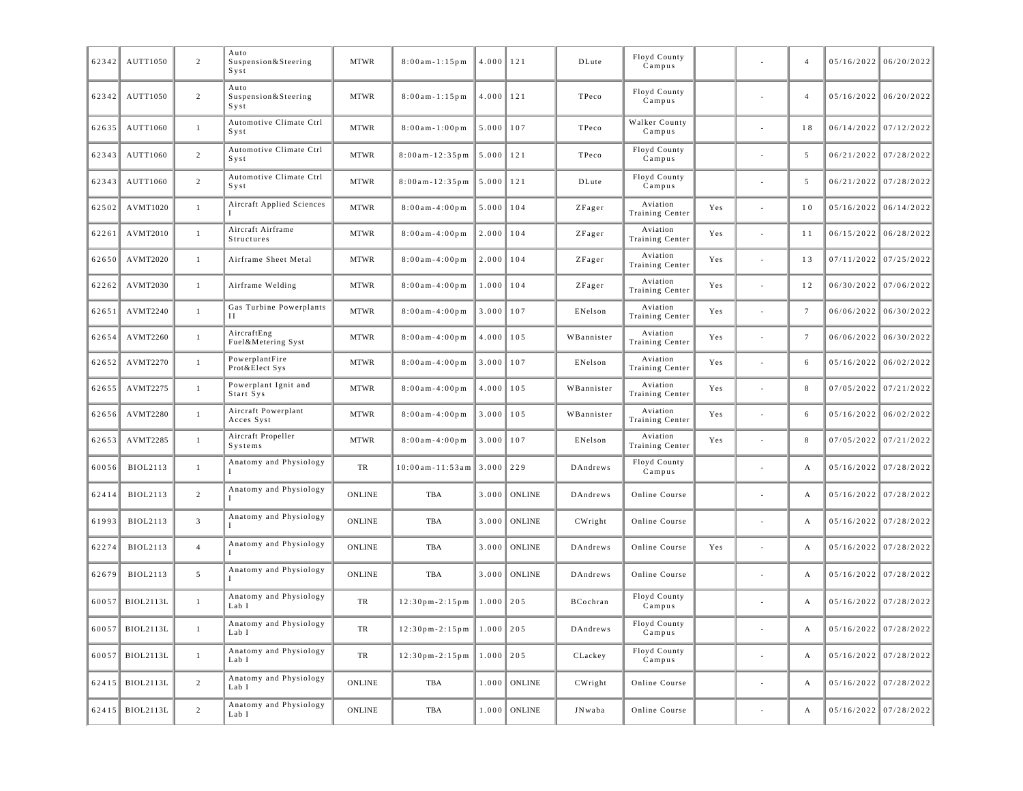| 62342 | AUTT1050          | $\overline{c}$ | Auto<br>Suspension & Steering<br>Syst | <b>MTWR</b>   | $8:00am - 1:15pm$                              | 4.000         | 121            | DLute      | Floyd County<br>Campus      |     |                          | $\overline{4}$ | $05/16/2022$ 06/20/2022 |
|-------|-------------------|----------------|---------------------------------------|---------------|------------------------------------------------|---------------|----------------|------------|-----------------------------|-----|--------------------------|----------------|-------------------------|
| 62342 | AUTT1050          | $\overline{c}$ | Auto<br>Suspension & Steering<br>Syst | <b>MTWR</b>   | $8:00am - 1:15pm$                              | 4.000         | 121            | TPeco      | Floyd County<br>Campus      |     |                          | $\overline{4}$ | $05/16/2022$ 06/20/2022 |
| 62635 | AUTT1060          | $\mathbf{1}$   | Automotive Climate Ctrl<br>$S$ y s t  | <b>MTWR</b>   | $8:00am - 1:00pm$                              | 5.000         | 107            | TPeco      | Walker County<br>Campus     |     |                          | 18             | 06/14/2022 07/12/2022   |
| 62343 | AUTT1060          | $\overline{c}$ | Automotive Climate Ctrl<br>$S$ y s t  | <b>MTWR</b>   | $8:00am - 12:35pm$                             | 5.000         | 121            | TPeco      | Floyd County<br>Campus      |     |                          | 5              | 06/21/2022 07/28/2022   |
| 62343 | AUTT1060          | $\overline{c}$ | Automotive Climate Ctrl<br>$S$ y s t  | <b>MTWR</b>   | $8:00am - 12:35pm$                             | 5.000         | 121            | DLute      | Floyd County<br>Campus      |     |                          | 5              | 06/21/2022 07/28/2022   |
| 62502 | AVMT1020          | 1              | Aircraft Applied Sciences             | <b>MTWR</b>   | $8:00am - 4:00pm$                              | 5.000         | 104            | ZFager     | Aviation<br>Training Center | Yes | $\overline{\phantom{a}}$ | 10             | $05/16/2022$ 06/14/2022 |
| 62261 | AVMT2010          | $\mathbf{1}$   | Aircraft Airframe<br>Structures       | <b>MTWR</b>   | $8:00am - 4:00pm$                              | 2.000         | 104            | ZFager     | Aviation<br>Training Center | Yes |                          | 11             | 06/15/2022 06/28/2022   |
| 62650 | AVMT2020          | 1              | Airframe Sheet Metal                  | <b>MTWR</b>   | $8:00am - 4:00pm$                              | 2.000         | 104            | ZFager     | Aviation<br>Training Center | Yes |                          | 13             | $07/11/2022$ 07/25/2022 |
| 62262 | AVMT2030          | $\mathbf{1}$   | Airframe Welding                      | <b>MTWR</b>   | $8:00$ am-4:00pm                               | 1.000         | 104            | ZFager     | Aviation<br>Training Center | Yes | $\sim$                   | 12             | 06/30/2022 07/06/2022   |
| 62651 | AVMT2240          | $\mathbf{1}$   | Gas Turbine Powerplants<br>Н          | <b>MTWR</b>   | $8:00$ am - 4:00 pm                            | 3.000         | 107            | ENelson    | Aviation<br>Training Center | Yes |                          | $\tau$         | $06/06/2022$ 06/30/2022 |
| 62654 | AVMT2260          | $\mathbf{1}$   | AircraftEng<br>Fuel&Metering Syst     | <b>MTWR</b>   | $8:00$ am - 4:00 pm                            | 4.000         | 105            | WBannister | Aviation<br>Training Center | Yes |                          | $\overline{7}$ | $06/06/2022$ 06/30/2022 |
| 62652 | AVMT2270          | $\mathbf{1}$   | PowerplantFire<br>Prot&Elect Sys      | <b>MTWR</b>   | $8:00am - 4:00pm$                              | 3.000         | 107            | ENelson    | Aviation<br>Training Center | Yes |                          | 6              | $05/16/2022$ 06/02/2022 |
| 62655 | AVMT2275          | $\mathbf{1}$   | Powerplant Ignit and<br>Start Sys     | <b>MTWR</b>   | $8:00$ am - 4:00 pm                            | 4.000         | 105            | WBannister | Aviation<br>Training Center | Yes |                          | 8              | 07/05/2022 07/21/2022   |
| 62656 | AVMT2280          | $\mathbf{1}$   | Aircraft Powerplant<br>Acces Syst     | <b>MTWR</b>   | $8:00am - 4:00pm$                              | 3.000         | 105            | WBannister | Aviation<br>Training Center | Yes |                          | 6              | $05/16/2022$ 06/02/2022 |
| 62653 | AVMT2285          | 1              | Aircraft Propeller<br>Systems         | <b>MTWR</b>   | $8:00am - 4:00pm$                              | 3.000         | 107            | ENelson    | Aviation<br>Training Center | Yes | $\sim$                   | 8              | $07/05/2022$ 07/21/2022 |
| 60056 | BIOL2113          | 1              | Anatomy and Physiology                | TR            | $10:00$ am - $11:53$ am                        | 3.000         | 229            | DAndrews   | Floyd County<br>Campus      |     |                          | А              | 05/16/2022 07/28/2022   |
| 62414 | BIOL2113          | $\overline{2}$ | Anatomy and Physiology                | ONLINE        | TBA                                            | 3.000         | <b>ONLINE</b>  | DAndrews   | Online Course               |     |                          | А              | $05/16/2022$ 07/28/2022 |
| 61993 | BIOL2113          | $\mathbf{3}$   | Anatomy and Physiology                | ONLINE        | TBA                                            | 3.000         | <b>ONLINE</b>  | CWright    | Online Course               |     |                          | А              | $05/16/2022$ 07/28/2022 |
| 62274 | BIOL2113          | $\overline{4}$ | Anatomy and Physiology                | ONLINE        | TBA                                            | 3.000         | <b>ONLINE</b>  | DAndrews   | Online Course               | Yes | $\sim$                   | А              | 05/16/2022 07/28/2022   |
| 62679 | BIOL2113          | 5              | Anatomy and Physiology                | ONLINE        | TBA                                            | 3.000         | <b>ONLINE</b>  | DAndrews   | Online Course               |     |                          | А              | 05/16/2022 07/28/2022   |
| 60057 | BIOL2113L         | $\mathbf{1}$   | Anatomy and Physiology<br>Lab I       | TR            | $12:30$ pm - $2:15$ pm                         | $1.000$   205 |                | BCochran   | Floyd County<br>Campus      |     |                          | А              | 05/16/2022 07/28/2022   |
|       | $60057$ BIOL2113L |                | Anatomy and Physiology<br>Lab I       | TR            | $12:30 \text{ pm} - 2:15 \text{ pm}$ 1.000 205 |               |                | DAndrews   | Floyd County<br>Campus      |     |                          |                | $05/16/2022$ 07/28/2022 |
|       | 60057 BIOL2113L   | $\mathbf{1}$   | Anatomy and Physiology<br>Lab I       | TR            | $12:30 \text{ pm} - 2:15 \text{ pm}$           | $1.000$ 205   |                | CLackey    | Floyd County<br>Campus      |     | $\overline{\phantom{a}}$ | A              | $05/16/2022$ 07/28/2022 |
|       | 62415 BIOL2113L   | $\overline{2}$ | Anatomy and Physiology<br>Lab I       | <b>ONLINE</b> | TBA                                            |               | $1.000$ ONLINE | CWright    | Online Course               |     | $\overline{\phantom{a}}$ | А              | $05/16/2022$ 07/28/2022 |
|       | 62415 BIOL2113L   | $\overline{c}$ | Anatomy and Physiology<br>Lab I       | <b>ONLINE</b> | TBA                                            |               | $1.000$ ONLINE | JNwaba     | Online Course               |     | $\overline{\phantom{a}}$ | А              | $05/16/2022$ 07/28/2022 |
|       |                   |                |                                       |               |                                                |               |                |            |                             |     |                          |                |                         |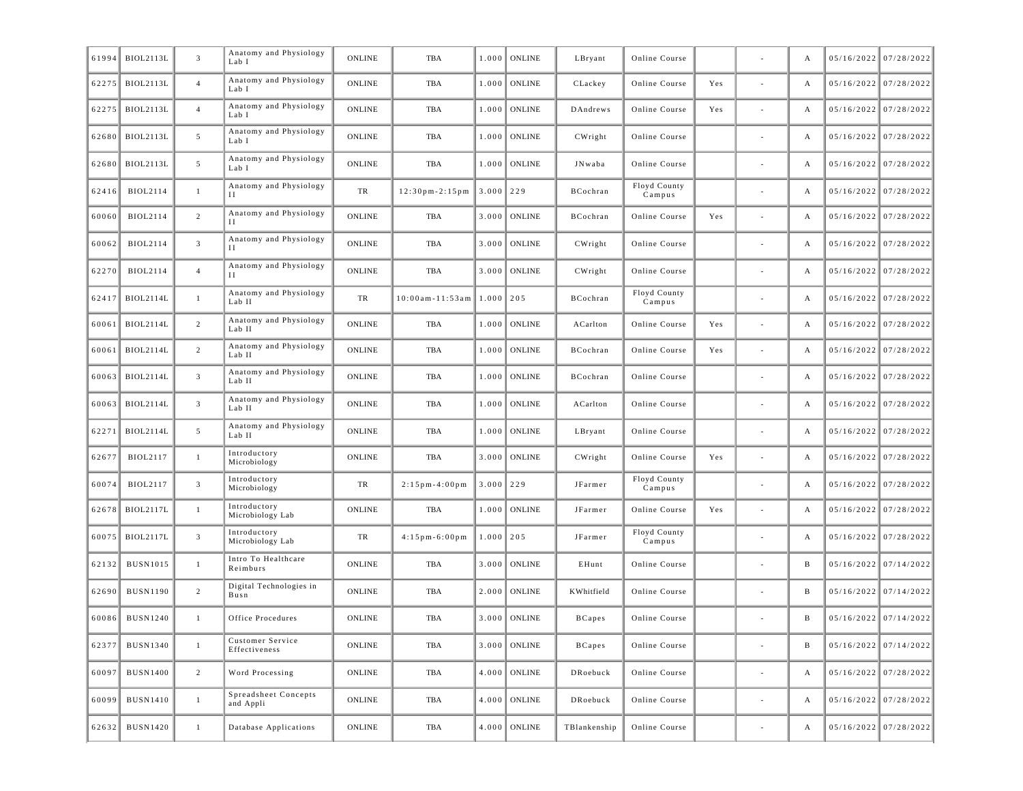| 61994 | BIOL2113L        | $\mathbf{3}$    | Anatomy and Physiology<br>Lab I   | ONLINE        | <b>TBA</b>             | 1.000         | <b>ONLINE</b> | LBryant       | Online Course          |     |                              | А            | 05/16/2022 07/28/2022   |
|-------|------------------|-----------------|-----------------------------------|---------------|------------------------|---------------|---------------|---------------|------------------------|-----|------------------------------|--------------|-------------------------|
| 62275 | <b>BIOL2113L</b> | $\overline{4}$  | Anatomy and Physiology<br>Lab I   | ONLINE        | TBA                    | 1.000         | <b>ONLINE</b> | CLackey       | Online Course          | Yes |                              | А            | $05/16/2022$ 07/28/2022 |
| 62275 | <b>BIOL2113L</b> | $\overline{4}$  | Anatomy and Physiology<br>Lab I   | <b>ONLINE</b> | TBA                    | 1.000         | <b>ONLINE</b> | DAndrews      | Online Course          | Yes |                              | А            | 05/16/2022 07/28/2022   |
| 62680 | <b>BIOL2113L</b> | 5               | Anatomy and Physiology<br>Lab I   | <b>ONLINE</b> | TBA                    | 1.000         | <b>ONLINE</b> | CWright       | Online Course          |     |                              | А            | $05/16/2022$ 07/28/2022 |
| 62680 | <b>BIOL2113L</b> | $5\overline{ }$ | Anatomy and Physiology<br>Lab I   | <b>ONLINE</b> | TBA                    | 1.000         | <b>ONLINE</b> | JNwaba        | Online Course          |     |                              | А            | 05/16/2022 07/28/2022   |
| 62416 | BIOL2114         | $\mathbf{1}$    | Anatomy and Physiology<br>Н       | TR            | $12:30$ pm - $2:15$ pm | $3.000$ 229   |               | BCochran      | Floyd County<br>Campus |     |                              | А            | 05/16/2022 07/28/2022   |
| 60060 | <b>BIOL2114</b>  | $\overline{c}$  | Anatomy and Physiology<br>Н       | <b>ONLINE</b> | TBA                    | 3.000         | <b>ONLINE</b> | BCochran      | Online Course          | Yes |                              | А            | 05/16/2022 07/28/2022   |
| 60062 | <b>BIOL2114</b>  | $\mathbf{3}$    | Anatomy and Physiology<br>Н       | ONLINE        | TBA                    | 3.000         | <b>ONLINE</b> | CWright       | Online Course          |     |                              | А            | 05/16/2022 07/28/2022   |
| 62270 | <b>BIOL2114</b>  | $\overline{4}$  | Anatomy and Physiology            | <b>ONLINE</b> | TBA                    | 3.000         | <b>ONLINE</b> | CWright       | Online Course          |     |                              | А            | 05/16/2022 07/28/2022   |
| 62417 | BIOL2114L        | $\mathbf{1}$    | Anatomy and Physiology<br>Lab II  | TR            | $10:00am - 11:53am$    | 1.000         | 205           | BCochran      | Floyd County<br>Campus |     |                              | А            | $05/16/2022$ 07/28/2022 |
| 60061 | <b>BIOL2114L</b> | 2               | Anatomy and Physiology<br>Lab II  | <b>ONLINE</b> | TBA                    | 1.000         | <b>ONLINE</b> | ACarlton      | Online Course          | Yes |                              | А            | $05/16/2022$ 07/28/2022 |
| 60061 | <b>BIOL2114L</b> | 2               | Anatomy and Physiology<br>Lab II  | <b>ONLINE</b> | <b>TBA</b>             | 1.000         | <b>ONLINE</b> | BCochran      | Online Course          | Yes |                              | А            | 05/16/2022 07/28/2022   |
| 60063 | <b>BIOL2114L</b> | $\overline{3}$  | Anatomy and Physiology<br>Lab II  | <b>ONLINE</b> | TBA                    | 1.000         | <b>ONLINE</b> | BCochran      | Online Course          |     |                              | А            | 05/16/2022 07/28/2022   |
| 60063 | <b>BIOL2114L</b> | $\overline{3}$  | Anatomy and Physiology<br>Lab II  | <b>ONLINE</b> | TBA                    | 1.000         | <b>ONLINE</b> | ACarlton      | Online Course          |     |                              | А            | 05/16/2022 07/28/2022   |
| 62271 | <b>BIOL2114L</b> | 5               | Anatomy and Physiology<br>Lab II  | <b>ONLINE</b> | TBA                    | 1.000         | <b>ONLINE</b> | LBryant       | Online Course          |     |                              | А            | 05/16/2022 07/28/2022   |
| 62677 | <b>BIOL2117</b>  | 1               | Introductory<br>Microbiology      | <b>ONLINE</b> | TBA                    | 3.000         | <b>ONLINE</b> | CWright       | Online Course          | Yes |                              | А            | 05/16/2022 07/28/2022   |
| 60074 | BIOL2117         | $\mathbf{3}$    | Introductory<br>Microbiology      | TR            | $2:15$ pm - 4:00 pm    | 3.000         | 229           | JFarmer       | Floyd County<br>Campus |     |                              | А            | 05/16/2022 07/28/2022   |
| 62678 | <b>BIOL2117L</b> | $\mathbf{1}$    | Introductory<br>Microbiology Lab  | ONLINE        | TBA                    | 1.000         | <b>ONLINE</b> | JFarmer       | Online Course          | Yes |                              | А            | $05/16/2022$ 07/28/2022 |
| 60075 | <b>BIOL2117L</b> | $\overline{3}$  | Introductory<br>Microbiology Lab  | TR            | $4:15$ pm $-6:00$ pm   | $1.000$   205 |               | JFarmer       | Floyd County<br>Campus |     |                              | А            | $05/16/2022$ 07/28/2022 |
| 62132 | <b>BUSN1015</b>  | $\mathbf{1}$    | Intro To Healthcare<br>Reimburs   | ONLINE        | TBA                    | 3.000         | <b>ONLINE</b> | EHunt         | Online Course          |     |                              | B            | $05/16/2022$ 07/14/2022 |
| 62690 | <b>BUSN1190</b>  | $\overline{c}$  | Digital Technologies in<br>Busn   | ONLINE        | TBA                    | 2.000         | <b>ONLINE</b> | KWhitfield    | Online Course          |     |                              | B            | $05/16/2022$ 07/14/2022 |
| 60086 | <b>BUSN1240</b>  | $\mathbf{1}$    | Office Procedures                 | ONLINE        | TBA                    | 3.000         | ONLINE        | <b>BCapes</b> | Online Course          |     |                              | B            | $05/16/2022$ 07/14/2022 |
| 62377 | <b>BUSN1340</b>  | $\mathbf{1}$    | Customer Service<br>Effectiveness | <b>ONLINE</b> | TBA                    | 3.000         | ONLINE        | <b>BCapes</b> | Online Course          |     | $\sim$                       | $\, {\bf B}$ | $05/16/2022$ 07/14/2022 |
| 60097 | <b>BUSN1400</b>  | $\overline{2}$  | Word Processing                   | <b>ONLINE</b> | TBA                    | 4.000         | ONLINE        | DRoebuck      | Online Course          |     | $\overline{\phantom{a}}$     | А            | $05/16/2022$ 07/28/2022 |
| 60099 | <b>BUSN1410</b>  | $\mathbf{1}$    | Spreadsheet Concepts<br>and Appli | <b>ONLINE</b> | TBA                    | 4.000         | ONLINE        | DRoebuck      | Online Course          |     | $\qquad \qquad \blacksquare$ | А            | $05/16/2022$ 07/28/2022 |
| 62632 | BUSN1420         | $\mathbf{1}$    | Database Applications             | <b>ONLINE</b> | TBA                    | 4.000         | ONLINE        | TBlankenship  | Online Course          |     | $\overline{\phantom{a}}$     | А            | $05/16/2022$ 07/28/2022 |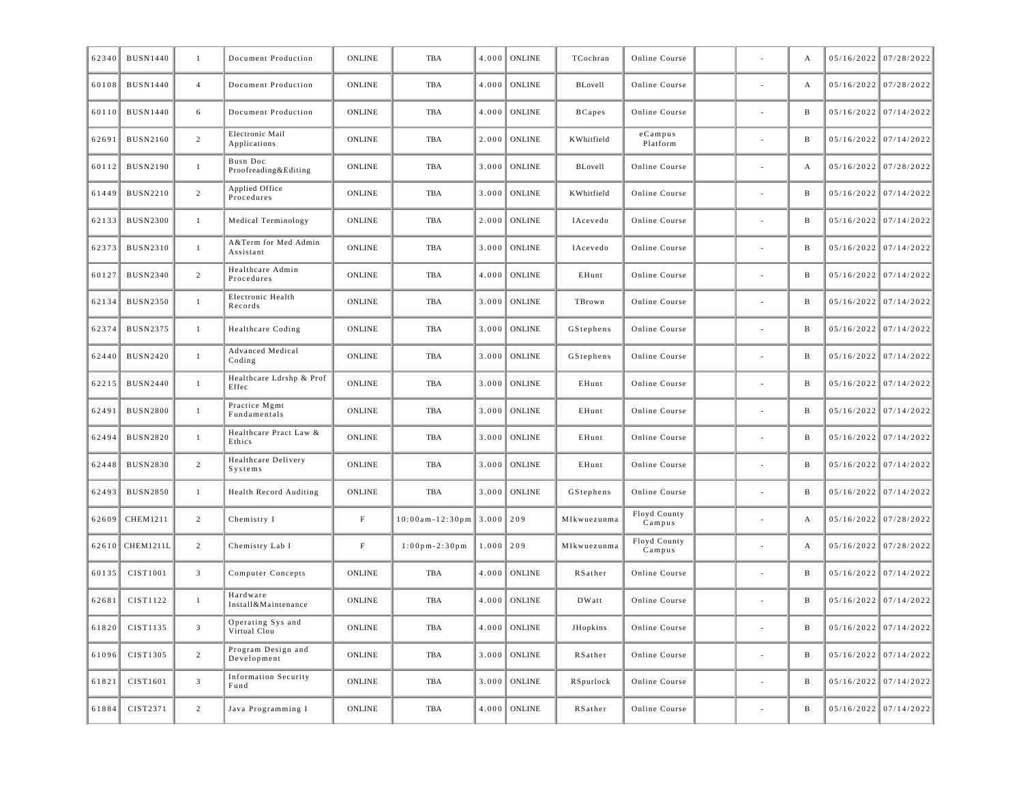| 62340 | <b>BUSN1440</b> | 1              | Document Production                 | ONLINE                | <b>TBA</b>                   | 4.000 | <b>ONLINE</b>  | TCochran      | Online Course          |                          | А            | 05/16/2022 07/28/2022   |
|-------|-----------------|----------------|-------------------------------------|-----------------------|------------------------------|-------|----------------|---------------|------------------------|--------------------------|--------------|-------------------------|
| 60108 | <b>BUSN1440</b> | $\overline{4}$ | Document Production                 | <b>ONLINE</b>         | TBA                          | 4.000 | <b>ONLINE</b>  | BLovell       | Online Course          |                          | А            | 05/16/2022 07/28/2022   |
| 60110 | <b>BUSN1440</b> | 6              | Document Production                 | ONLINE                | TBA                          | 4.000 | <b>ONLINE</b>  | <b>BCapes</b> | Online Course          |                          | B            | $05/16/2022$ 07/14/2022 |
| 62691 | <b>BUSN2160</b> | $\overline{2}$ | Electronic Mail<br>Applications     | ONLINE                | TBA                          | 2.000 | ONLINE         | KWhitfield    | $e$ Campus<br>Platform |                          | B            | $05/16/2022$ 07/14/2022 |
| 60112 | <b>BUSN2190</b> | $\mathbf{1}$   | Busn Doc<br>Proofreading&Editing    | ONLINE                | TBA                          | 3.000 | <b>ONLINE</b>  | BLovell       | Online Course          |                          | А            | $05/16/2022$ 07/28/2022 |
| 61449 | <b>BUSN2210</b> | $\overline{2}$ | Applied Office<br>Procedures        | ONLINE                | TBA                          | 3.000 | <b>ONLINE</b>  | KWhitfield    | Online Course          |                          | B            | $05/16/2022$ 07/14/2022 |
| 62133 | <b>BUSN2300</b> | 1              | Medical Terminology                 | ONLINE                | TBA                          | 2.000 | ONLINE         | IAcevedo      | Online Course          |                          | B            | $05/16/2022$ 07/14/2022 |
| 62373 | <b>BUSN2310</b> | -1             | A&Term for Med Admin<br>Assistant   | <b>ONLINE</b>         | TBA                          | 3.000 | ONLINE         | IAcevedo      | Online Course          |                          | B            | $05/16/2022$ 07/14/2022 |
| 60127 | <b>BUSN2340</b> | $\overline{2}$ | Healthcare Admin<br>Procedures      | ONLINE                | TBA                          | 4.000 | <b>ONLINE</b>  | EHunt         | Online Course          |                          | B            | $05/16/2022$ 07/14/2022 |
| 62134 | <b>BUSN2350</b> | $\mathbf{1}$   | Electronic Health<br>Records        | ONLINE                | TBA                          | 3.000 | ONLINE         | TBrown        | Online Course          | $\overline{\phantom{a}}$ | B            | $05/16/2022$ 07/14/2022 |
| 62374 | <b>BUSN2375</b> | 1              | Healthcare Coding                   | ONLINE                | TBA                          | 3.000 | <b>ONLINE</b>  | GStephens     | Online Course          |                          | B            | 05/16/2022 07/14/2022   |
| 62440 | <b>BUSN2420</b> | -1             | Advanced Medical<br>Coding          | <b>ONLINE</b>         | TBA                          | 3.000 | ONLINE         | GStephens     | Online Course          |                          | B            | $05/16/2022$ 07/14/2022 |
| 62215 | <b>BUSN2440</b> | $\mathbf{1}$   | Healthcare Ldrshp & Prof<br>Effec   | ONLINE                | TBA                          | 3.000 | ONLINE         | EHunt         | Online Course          |                          | B            | $05/16/2022$ 07/14/2022 |
| 62491 | <b>BUSN2800</b> | $\mathbf{1}$   | Practice Mgmt<br>Fundamentals       | ONLINE                | TBA                          | 3.000 | <b>ONLINE</b>  | EHunt         | Online Course          | $\overline{\phantom{a}}$ | B            | $05/16/2022$ 07/14/2022 |
| 62494 | <b>BUSN2820</b> | 1              | Healthcare Pract Law &<br>Ethics    | ONLINE                | TBA                          | 3.000 | ONLINE         | EHunt         | Online Course          |                          | B            | 05/16/2022 07/14/2022   |
| 62448 | <b>BUSN2830</b> | 2              | Healthcare Delivery<br>Systems      | <b>ONLINE</b>         | TBA                          | 3.000 | ONLINE         | EHunt         | Online Course          |                          | B            | $05/16/2022$ 07/14/2022 |
| 62493 | <b>BUSN2850</b> | $\mathbf{1}$   | Health Record Auditing              | ONLINE                | TBA                          | 3.000 | ONLINE         | GStephens     | Online Course          |                          | B            | $05/16/2022$ 07/14/2022 |
| 62609 | CHEM1211        | $\overline{2}$ | Chemistry I                         | $\mathbf F$           | $10:00$ am - 12:30pm   3.000 |       | 209            | MIkwuezunma   | Floyd County<br>Campus | $\sim$                   | А            | $05/16/2022$ 07/28/2022 |
| 62610 | CHEM1211L       | $\overline{2}$ | Chemistry Lab I                     | $\rm F$               | $1:00$ pm - $2:30$ pm        | 1.000 | 209            | MIkwuezunma   | Floyd County<br>Campus |                          | А            | 05/16/2022 07/28/2022   |
| 60135 | CIST1001        | $\overline{3}$ | Computer Concepts                   | <b>ONLINE</b>         | TBA                          | 4.000 | ONLINE         | RSather       | Online Course          |                          | B            | $05/16/2022$ 07/14/2022 |
| 62681 | CIST1122        | $\mathbf{1}$   | Hardware<br>Install&Maintenance     | ONLINE                | TBA                          | 4.000 | ONLINE         | DWatt         | Online Course          |                          | B            | $05/16/2022$ 07/14/2022 |
|       | 61820 CIST1135  | 3              | Operating Sys and<br>Virtual Clou   | $\mathop{\bf ONLINE}$ | TBA                          |       | $4.000$ ONLINE | JHopkins      | Online Course          |                          |              | $05/16/2022$ 07/14/2022 |
| 61096 | CIST1305        | $\overline{2}$ | Program Design and<br>Development   | ONLINE                | TBA                          |       | $3.000$ ONLINE | RSather       | Online Course          | $\sim$                   | $\, {\bf B}$ | $05/16/2022$ 07/14/2022 |
| 61821 | CIST1601        | $\mathbf{3}$   | <b>Information Security</b><br>Fund | ONLINE                | TBA                          |       | $3.000$ ONLINE | RSpurlock     | Online Course          | $\overline{\phantom{a}}$ | B            | $05/16/2022$ 07/14/2022 |
| 61884 | CIST2371        | 2              | Java Programming I                  | <b>ONLINE</b>         | TBA                          | 4.000 | ONLINE         | RSather       | Online Course          | $\overline{\phantom{a}}$ | $\, {\bf B}$ | $05/16/2022$ 07/14/2022 |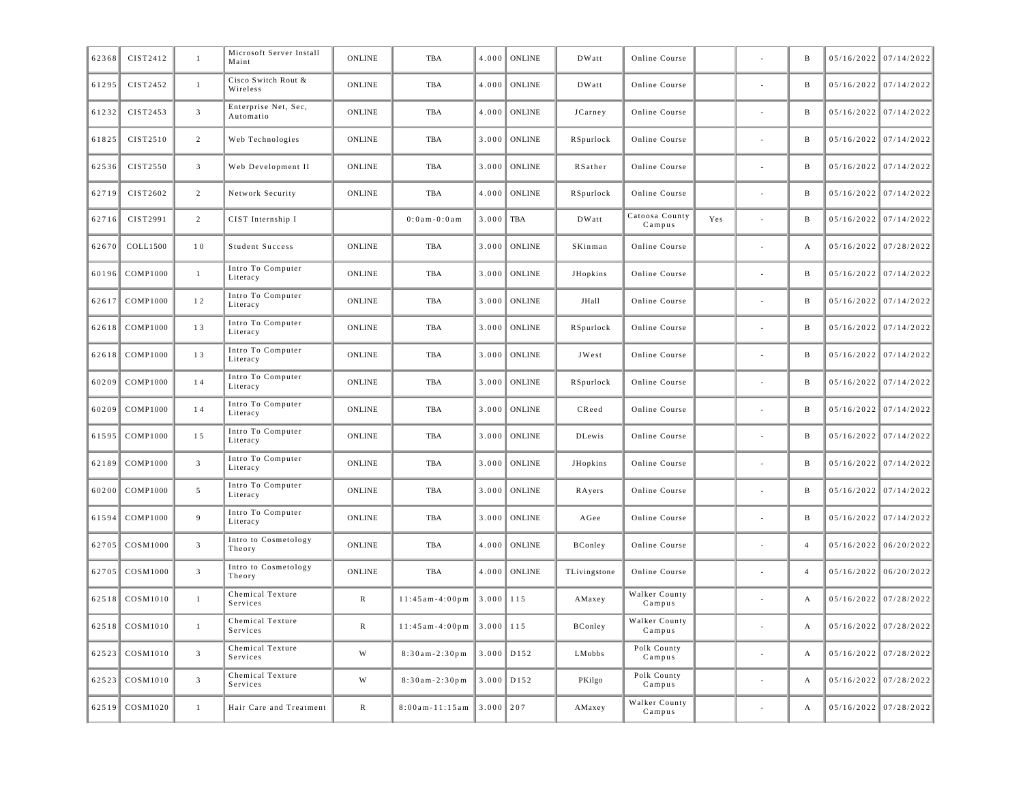| 62368 | CIST2412        | $\mathbf{1}$    | Microsoft Server Install<br>Maint | <b>ONLINE</b> | <b>TBA</b>            | 4.000         | <b>ONLINE</b> | <b>DWatt</b>  | Online Course            |     | B                | $05/16/2022$ 07/14/2022 |
|-------|-----------------|-----------------|-----------------------------------|---------------|-----------------------|---------------|---------------|---------------|--------------------------|-----|------------------|-------------------------|
| 61295 | CIST2452        | $\mathbf{1}$    | Cisco Switch Rout &<br>Wireless   | <b>ONLINE</b> | TBA                   | 4.000         | <b>ONLINE</b> | <b>DWatt</b>  | Online Course            |     | B                | 05/16/2022 07/14/2022   |
| 61232 | CIST2453        | $\overline{3}$  | Enterprise Net, Sec,<br>Automatio | ONLINE        | <b>TBA</b>            | 4.000         | <b>ONLINE</b> | JCarney       | Online Course            |     | B                | 05/16/2022 07/14/2022   |
| 61825 | CIST2510        | $\overline{2}$  | Web Technologies                  | ONLINE        | TBA                   | 3.000         | <b>ONLINE</b> | RSpurlock     | Online Course            |     | B                | 05/16/2022 07/14/2022   |
| 62536 | CIST2550        | $\mathfrak{Z}$  | Web Development II                | <b>ONLINE</b> | TBA                   | 3.000         | <b>ONLINE</b> | RSather       | Online Course            |     | B                | 05/16/2022 07/14/2022   |
| 62719 | CIST2602        | 2               | Network Security                  | <b>ONLINE</b> | TBA                   | 4.000         | <b>ONLINE</b> | RSpurlock     | Online Course            |     | B                | 05/16/2022 07/14/2022   |
| 62716 | CIST2991        | 2               | CIST Internship I                 |               | $0:0$ a m - $0:0$ a m | 3.000         | <b>TBA</b>    | DWatt         | Catoosa County<br>Campus | Yes | B                | $05/16/2022$ 07/14/2022 |
| 62670 | COLL1500        | 10              | Student Success                   | ONLINE        | TBA                   | 3.000         | <b>ONLINE</b> | SKinman       | Online Course            |     | A                | 05/16/2022 07/28/2022   |
| 60196 | <b>COMP1000</b> | $\mathbf{1}$    | Intro To Computer<br>Literacy     | ONLINE        | TBA                   | 3.000         | <b>ONLINE</b> | JHopkins      | Online Course            |     | B                | 05/16/2022 07/14/2022   |
| 62617 | <b>COMP1000</b> | 12              | Intro To Computer<br>Literacy     | ONLINE        | TBA                   | 3.000         | <b>ONLINE</b> | JHall         | Online Course            |     | B                | 05/16/2022 07/14/2022   |
| 62618 | <b>COMP1000</b> | 13              | Intro To Computer<br>Literacy     | ONLINE        | TBA                   | 3.000         | <b>ONLINE</b> | RSpurlock     | Online Course            |     | B                | 05/16/2022 07/14/2022   |
| 62618 | <b>COMP1000</b> | 13              | Intro To Computer<br>Literacy     | ONLINE        | TBA                   | 3.000         | <b>ONLINE</b> | JWest         | Online Course            |     | B                | 05/16/2022 07/14/2022   |
| 60209 | <b>COMP1000</b> | 14              | Intro To Computer<br>Literacy     | ONLINE        | TBA                   | 3.000         | <b>ONLINE</b> | RSpurlock     | Online Course            |     | B                | 05/16/2022 07/14/2022   |
| 60209 | <b>COMP1000</b> | 14              | Intro To Computer<br>Literacy     | ONLINE        | TBA                   | 3.000         | <b>ONLINE</b> | CReed         | Online Course            |     | B                | 05/16/2022 07/14/2022   |
| 61595 | <b>COMP1000</b> | 15              | Intro To Computer<br>Literacy     | <b>ONLINE</b> | TBA                   | 3.000         | <b>ONLINE</b> | <b>DLewis</b> | Online Course            |     | B                | 05/16/2022 07/14/2022   |
| 62189 | <b>COMP1000</b> | $\mathfrak{Z}$  | Intro To Computer<br>Literacy     | <b>ONLINE</b> | TBA                   | 3.000         | <b>ONLINE</b> | JHopkins      | Online Course            |     | B                | 05/16/2022 07/14/2022   |
| 60200 | <b>COMP1000</b> | $5\overline{ }$ | Intro To Computer<br>Literacy     | <b>ONLINE</b> | TBA                   | 3.000         | <b>ONLINE</b> | RAyers        | Online Course            |     | B                | 05/16/2022 07/14/2022   |
| 61594 | <b>COMP1000</b> | 9               | Intro To Computer<br>Literacy     | <b>ONLINE</b> | <b>TBA</b>            | 3.000         | <b>ONLINE</b> | AGee          | Online Course            |     | B                | 05/16/2022 07/14/2022   |
| 62705 | COSM1000        | $\overline{3}$  | Intro to Cosmetology<br>Theory    | <b>ONLINE</b> | <b>TBA</b>            | 4.000         | <b>ONLINE</b> | BConley       | Online Course            |     | $\overline{4}$   | 05/16/2022 06/20/2022   |
| 62705 | COSM1000        | $\overline{3}$  | Intro to Cosmetology<br>Theory    | <b>ONLINE</b> | <b>TBA</b>            | 4.000         | <b>ONLINE</b> | TLivingstone  | Online Course            |     | $\overline{4}$   | $05/16/2022$ 06/20/2022 |
| 62518 | COSM1010        | $\mathbf{1}$    | Chemical Texture<br>Services      | $\mathbb{R}$  | $11:45am-4:00pm$      | 3.000         | 115           | AMaxey        | Walker County<br>Campus  |     | A                | 05/16/2022 07/28/2022   |
| 62518 | COSM1010        | $\mathbf{1}$    | Chemical Texture<br>Services      | $\mathbb{R}$  | $11:45am-4:00pm$      | 3.000         | 115           | BConley       | Walker County<br>Campus  |     | A                | 05/16/2022 07/28/2022   |
| 62523 | COSM1010        | $\overline{3}$  | Chemical Texture<br>Services      | W             | $8:30am - 2:30pm$     | 3.000         | D152          | LMobbs        | Polk County<br>Campus    |     | A                | 05/16/2022 07/28/2022   |
| 62523 | COSM1010        | $\overline{3}$  | Chemical Texture<br>Services      | W             | $8:30am - 2:30pm$     | 3.000         | D152          | PKilgo        | Polk County<br>Campus    |     | $\boldsymbol{A}$ | 05/16/2022 07/28/2022   |
| 62519 | COSM1020        | $\mathbf{1}$    | Hair Care and Treatment           | $\,$ R        | $8:00am - 11:15am$    | $3.000$   207 |               | AMaxey        | Walker County<br>Campus  |     | А                | 05/16/2022 07/28/2022   |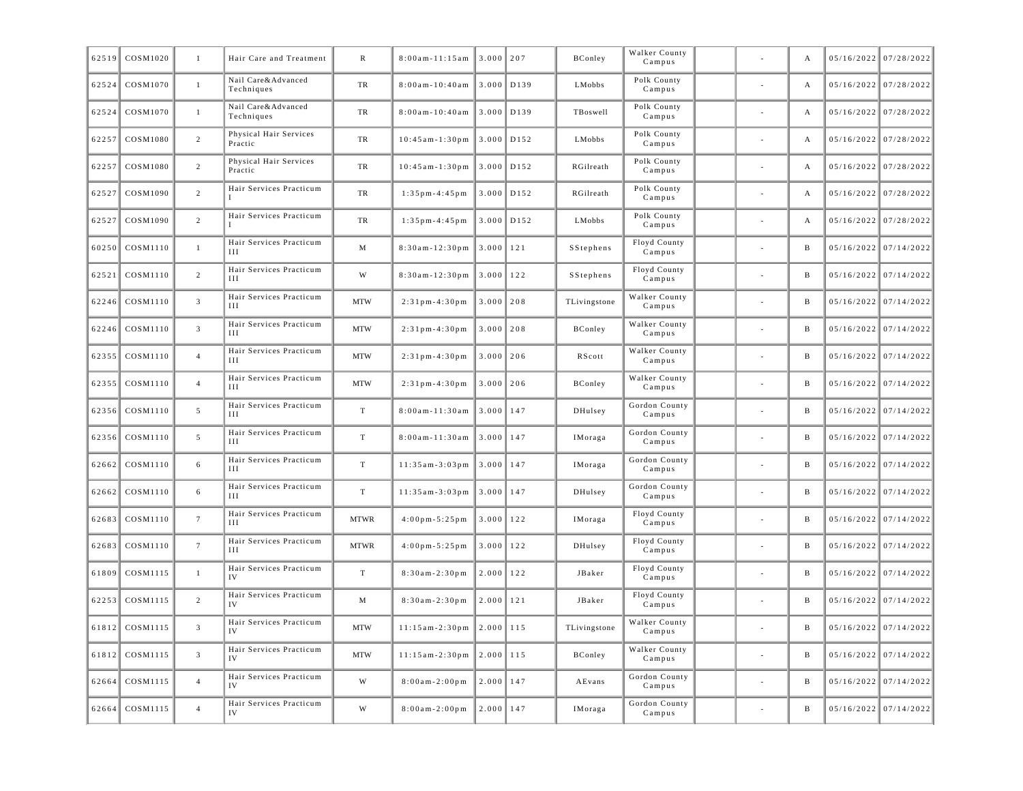| 62519 | COSM1020       | 1               | Hair Care and Treatment           | R             | $8:00am - 11:15am$                  | 3.000         | 207          | BConley      | Walker County<br>Campus |                          | A            | 05/16/2022 07/28/2022   |
|-------|----------------|-----------------|-----------------------------------|---------------|-------------------------------------|---------------|--------------|--------------|-------------------------|--------------------------|--------------|-------------------------|
| 62524 | COSM1070       | $\mathbf{1}$    | Nail Care&Advanced<br>Techniques  | TR            | $8:00$ am - 10:40am                 | 3.000         | D139         | LMobbs       | Polk County<br>Campus   |                          | А            | $05/16/2022$ 07/28/2022 |
| 62524 | COSM1070       | $\mathbf{1}$    | Nail Care&Advanced<br>Techniques  | TR            | $8:00am - 10:40am$                  | 3.000         | D139         | TBoswell     | Polk County<br>Campus   |                          | А            | 05/16/2022 07/28/2022   |
| 62257 | COSM1080       | 2               | Physical Hair Services<br>Practic | TR            | $10:45am-1:30pm$                    | 3.000         | D152         | LMobbs       | Polk County<br>Campus   | $\sim$                   | А            | $05/16/2022$ 07/28/2022 |
| 62257 | COSM1080       | $\overline{c}$  | Physical Hair Services<br>Practic | TR            | $10:45am-1:30pm$                    | 3.000         | D152         | RGilreath    | Polk County<br>Campus   |                          | А            | $05/16/2022$ 07/28/2022 |
| 62527 | COSM1090       | $\overline{2}$  | Hair Services Practicum           | TR            | $1:35$ pm - 4:45 pm                 |               | $3.000$ D152 | RGilreath    | Polk County<br>Campus   | $\sim$                   | А            | $05/16/2022$ 07/28/2022 |
| 62527 | COSM1090       | $\overline{2}$  | Hair Services Practicum           | TR            | $1:35$ pm - 4:45 pm                 | 3.000         | D152         | LMobbs       | Polk County<br>Campus   |                          | А            | 05/16/2022 07/28/2022   |
| 60250 | COSM1110       | $\mathbf{1}$    | Hair Services Practicum<br>ИI     | M             | $8:30am - 12:30pm$                  | 3.000         | 121          | SStephens    | Floyd County<br>Campus  |                          | B            | $05/16/2022$ 07/14/2022 |
| 62521 | COSM1110       | $\overline{c}$  | Hair Services Practicum<br>Ш      | W             | $8:30am - 12:30pm$                  | 3.000         | 122          | SStephens    | Floyd County<br>Campus  |                          | B            | $05/16/2022$ 07/14/2022 |
| 62246 | COSM1110       | $\overline{3}$  | Hair Services Practicum<br>ИI     | <b>MTW</b>    | $2:31$ pm - 4:30 pm                 | 3.000         | 208          | TLivingstone | Walker County<br>Campus | $\sim$                   | B            | $05/16/2022$ 07/14/2022 |
| 62246 | COSM1110       | $\overline{3}$  | Hair Services Practicum<br>Ш      | <b>MTW</b>    | $2:31$ pm - 4:30 pm                 | 3.000         | 208          | BConley      | Walker County<br>Campus |                          | B            | $05/16/2022$ 07/14/2022 |
| 62355 | COSM1110       | $\overline{4}$  | Hair Services Practicum<br>ИI     | <b>MTW</b>    | $2:31$ pm - 4:30 pm                 | 3.000         | 206          | RScott       | Walker County<br>Campus |                          | B            | $05/16/2022$ 07/14/2022 |
| 62355 | COSM1110       | $\overline{4}$  | Hair Services Practicum<br>Ш      | <b>MTW</b>    | $2:31$ pm - 4:30 pm                 | 3.000         | 206          | BConley      | Walker County<br>Campus |                          | B            | $05/16/2022$ 07/14/2022 |
| 62356 | COSM1110       | 5               | Hair Services Practicum<br>ИI     | $\mathbf T$   | 8:00am-11:30am                      | 3.000         | 147          | DHulsey      | Gordon County<br>Campus | $\sim$                   | B            | $05/16/2022$ 07/14/2022 |
| 62356 | COSM1110       | 5               | Hair Services Practicum<br>Ш      | $\mathbf T$   | $8:00$ am-11:30am                   | 3.000         | 147          | IMoraga      | Gordon County<br>Campus |                          | B            | $05/16/2022$ 07/14/2022 |
| 62662 | COSM1110       | 6               | Hair Services Practicum<br>ИI     | $\mathbf T$   | $11:35am-3:03pm$                    | 3.000         | 147          | IMoraga      | Gordon County<br>Campus |                          | B            | $05/16/2022$ 07/14/2022 |
| 62662 | COSM1110       | 6               | Hair Services Practicum<br>Ш      | $\mathbf T$   | $11:35am-3:03pm$                    | 3.000         | 147          | DHulsey      | Gordon County<br>Campus |                          | B            | $05/16/2022$ 07/14/2022 |
| 62683 | COSM1110       | $7\phantom{.0}$ | Hair Services Practicum<br>ИI     | <b>MTWR</b>   | $4:00 \text{ pm} - 5:25 \text{ pm}$ | 3.000         | 122          | IMoraga      | Floyd County<br>Campus  | $\sim$                   | B            | $05/16/2022$ 07/14/2022 |
| 62683 | COSM1110       | $7\phantom{.0}$ | Hair Services Practicum<br>Ш      | <b>MTWR</b>   | $4:00 \text{ pm} - 5:25 \text{ pm}$ | 3.000         | 122          | DHulsey      | Floyd County<br>Campus  |                          | B            | $05/16/2022$ 07/14/2022 |
| 61809 | COSM1115       | $\mathbf{1}$    | Hair Services Practicum<br>IV     | $\mathbf T$   | $8:30am - 2:30pm$                   | 2.000         | 122          | JBaker       | Floyd County<br>Campus  |                          | B            | $05/16/2022$ 07/14/2022 |
| 62253 | COSM1115       | $\overline{2}$  | Hair Services Practicum<br>IV     | M             | $8:30am - 2:30pm$                   | 2.000         | 121          | JBaker       | Floyd County<br>Campus  |                          | B            | $05/16/2022$ 07/14/2022 |
|       | 61812 COSM1115 | 3               | Hair Services Practicum<br>IV     | $_{\rm{MTW}}$ | $11:15$ am-2:30pm 2.000 115         |               |              | TLivingstone | Walker County<br>Campus |                          |              | $05/16/2022$ 07/14/2022 |
|       | 61812 COSM1115 | $\overline{3}$  | Hair Services Practicum<br>IV     | <b>MTW</b>    | $11:15am-2:30pm$                    | $2.000$ 115   |              | BConley      | Walker County<br>Campus | $\overline{a}$           | B            | $05/16/2022$ 07/14/2022 |
|       | 62664 COSM1115 | $\overline{4}$  | Hair Services Practicum<br>IV     | $\mathbf W$   | $8:00am - 2:00pm$                   | $2.000$   147 |              | AEvans       | Gordon County<br>Campus | $\overline{\phantom{a}}$ | B            | $05/16/2022$ 07/14/2022 |
| 62664 | COSM1115       | $\overline{4}$  | Hair Services Practicum<br>IV     | W             | $8:00am - 2:00pm$                   | $2.000$   147 |              | IMoraga      | Gordon County<br>Campus | $\overline{\phantom{a}}$ | $\, {\bf B}$ | $05/16/2022$ 07/14/2022 |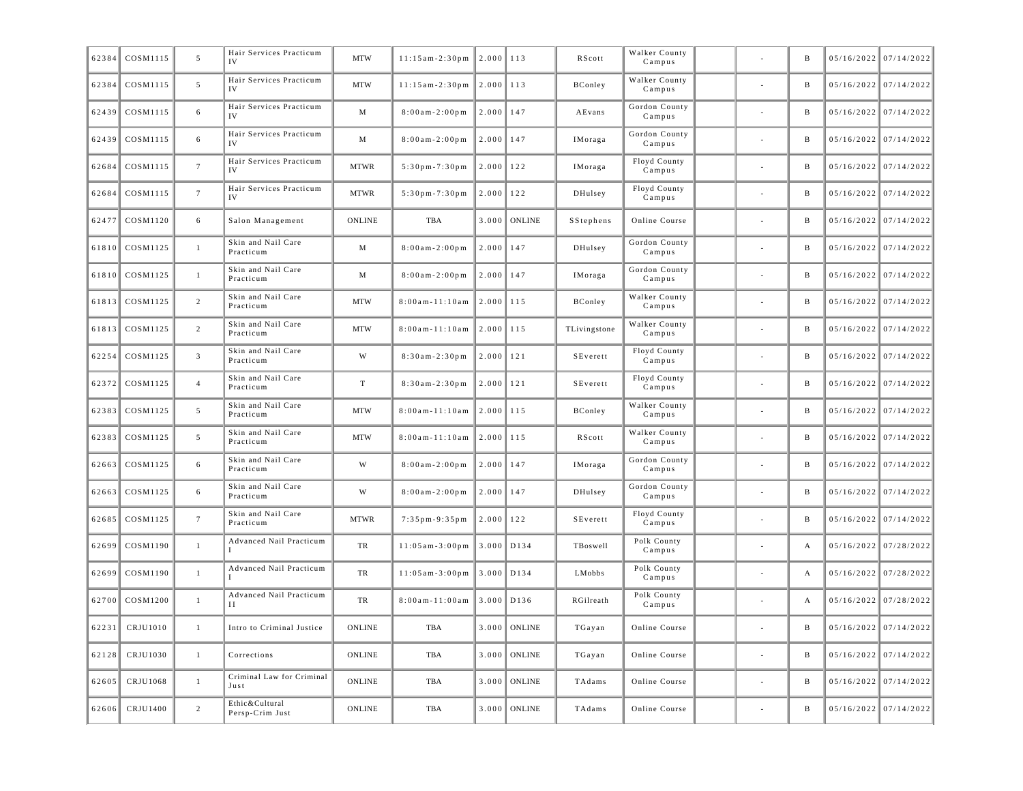| 62384 | COSM1115       | 5               | Hair Services Practicum<br>IV     | <b>MTW</b>              | $11:15am-2:30pm$       | $2.000$   113 |                | RScott       | Walker County<br>Campus |                          | B            | $05/16/2022$ 07/14/2022 |
|-------|----------------|-----------------|-----------------------------------|-------------------------|------------------------|---------------|----------------|--------------|-------------------------|--------------------------|--------------|-------------------------|
| 62384 | COSM1115       | 5               | Hair Services Practicum           | <b>MTW</b>              | $11:15am-2:30pm$       | 2.000         | 113            | BConley      | Walker County<br>Campus | $\sim$                   | B            | $05/16/2022$ 07/14/2022 |
| 62439 | COSM1115       | 6               | Hair Services Practicum<br>IV     | M                       | $8:00am - 2:00pm$      | 2.000         | 147            | AEvans       | Gordon County<br>Campus |                          | B            | $05/16/2022$ 07/14/2022 |
| 62439 | COSM1115       | 6               | Hair Services Practicum<br>IV     | M                       | $8:00am - 2:00pm$      | 2.000         | 147            | IMoraga      | Gordon County<br>Campus |                          | B            | $05/16/2022$ 07/14/2022 |
| 62684 | COSM1115       | $7\phantom{.0}$ | Hair Services Practicum<br>IV     | <b>MTWR</b>             | $5:30$ pm $-7:30$ pm   | 2.000         | 122            | IMoraga      | Floyd County<br>Campus  |                          | B            | $05/16/2022$ 07/14/2022 |
| 62684 | COSM1115       | $7\phantom{.0}$ | Hair Services Practicum           | <b>MTWR</b>             | $5:30$ pm $-7:30$ pm   | 2.000         | 122            | DHulsey      | Floyd County<br>Campus  | $\sim$                   | B            | $05/16/2022$ 07/14/2022 |
| 62477 | COSM1120       | 6               | Salon Management                  | <b>ONLINE</b>           | TBA                    | 3.000         | <b>ONLINE</b>  | SStephens    | Online Course           |                          | B            | $05/16/2022$ 07/14/2022 |
| 61810 | COSM1125       | $\mathbf{1}$    | Skin and Nail Care<br>Practicum   | M                       | $8:00am - 2:00pm$      | 2.000         | 147            | DHulsey      | Gordon County<br>Campus |                          | B            | $05/16/2022$ 07/14/2022 |
| 61810 | COSM1125       | $\mathbf{1}$    | Skin and Nail Care<br>Practicum   | M                       | $8:00am - 2:00pm$      | $2.000$   147 |                | IMoraga      | Gordon County<br>Campus |                          | B            | $05/16/2022$ 07/14/2022 |
|       | 61813 COSM1125 | $\overline{2}$  | Skin and Nail Care<br>Practicum   | <b>MTW</b>              | $8:00$ am - $11:10$ am | $2.000$   115 |                | BConley      | Walker County<br>Campus | $\sim$                   | B            | $05/16/2022$ 07/14/2022 |
| 61813 | COSM1125       | $\overline{c}$  | Skin and Nail Care<br>Practicum   | <b>MTW</b>              | $8:00$ am - $11:10$ am | 2.000         | 115            | TLivingstone | Walker County<br>Campus |                          | B            | $05/16/2022$ 07/14/2022 |
| 62254 | COSM1125       | $\overline{3}$  | Skin and Nail Care<br>Practicum   | W                       | $8:30am - 2:30pm$      | $2.000$   121 |                | SEverett     | Floyd County<br>Campus  |                          | B            | $05/16/2022$ 07/14/2022 |
| 62372 | COSM1125       | $\overline{4}$  | Skin and Nail Care<br>Practicum   | $\footnotesize\text{T}$ | $8:30am - 2:30pm$      | $2.000$   121 |                | SEverett     | Floyd County<br>Campus  |                          | B            | $05/16/2022$ 07/14/2022 |
| 62383 | COSM1125       | 5               | Skin and Nail Care<br>Practicum   | <b>MTW</b>              | $8:00$ am - $11:10$ am | $2.000$   115 |                | BConley      | Walker County<br>Campus | $\sim$                   | B            | $05/16/2022$ 07/14/2022 |
| 62383 | COSM1125       | $5\overline{ }$ | Skin and Nail Care<br>Practicum   | MTW                     | $8:00$ am - $11:10$ am | 2.000         | 115            | RScott       | Walker County<br>Campus |                          | B            | $05/16/2022$ 07/14/2022 |
| 62663 | COSM1125       | 6               | Skin and Nail Care<br>Practicum   | W                       | $8:00am - 2:00pm$      | 2.000         | 147            | IMoraga      | Gordon County<br>Campus |                          | B            | $05/16/2022$ 07/14/2022 |
| 62663 | COSM1125       | 6               | Skin and Nail Care<br>Practicum   | W                       | $8:00am - 2:00pm$      | $2.000$   147 |                | DHulsey      | Gordon County<br>Campus |                          | B            | $05/16/2022$ 07/14/2022 |
| 62685 | COSM1125       | $7\phantom{.0}$ | Skin and Nail Care<br>Practicum   | <b>MTWR</b>             | $7:35$ pm $-9:35$ pm   | $2.000$   122 |                | SEverett     | Floyd County<br>Campus  | $\sim$                   | B            | $05/16/2022$ 07/14/2022 |
| 62699 | COSM1190       | $\mathbf{1}$    | Advanced Nail Practicum           | TR                      | $11:05am-3:00pm$       | 3.000         | D134           | TBoswell     | Polk County<br>Campus   |                          | А            | 05/16/2022 07/28/2022   |
| 62699 | COSM1190       | $\mathbf{1}$    | Advanced Nail Practicum           | TR                      | $11:05am-3:00pm$       | 3.000         | D134           | LMobbs       | Polk County<br>Campus   |                          | А            | 05/16/2022 07/28/2022   |
| 62700 | COSM1200       | $\mathbf{1}$    | Advanced Nail Practicum<br>Н      | TR                      | $8:00am - 11:00am$     | 3.000         | D136           | RGilreath    | Polk County<br>Campus   |                          | А            | $05/16/2022$ 07/28/2022 |
|       | 62231 CRJU1010 |                 | Intro to Criminal Justice         | ONLINE                  | TBA                    |               | $3.000$ ONLINE | TGayan       | Online Course           |                          |              | $05/16/2022$ 07/14/2022 |
|       | 62128 CRJU1030 | $\mathbf{1}$    | Corrections                       | <b>ONLINE</b>           | TBA                    |               | $3.000$ ONLINE | TGayan       | Online Course           | $\sim$                   | $\mathbf B$  | $05/16/2022$ 07/14/2022 |
|       | 62605 CRJU1068 | $\mathbf{1}$    | Criminal Law for Criminal<br>Just | <b>ONLINE</b>           | TBA                    |               | $3.000$ ONLINE | TAdams       | Online Course           | $\overline{\phantom{a}}$ | B            | $05/16/2022$ 07/14/2022 |
| 62606 | CRJU1400       | $\overline{c}$  | Ethic&Cultural<br>Persp-Crim Just | <b>ONLINE</b>           | TBA                    |               | $3.000$ ONLINE | TAdams       | Online Course           | $\overline{\phantom{a}}$ | $\, {\bf B}$ | $05/16/2022$ 07/14/2022 |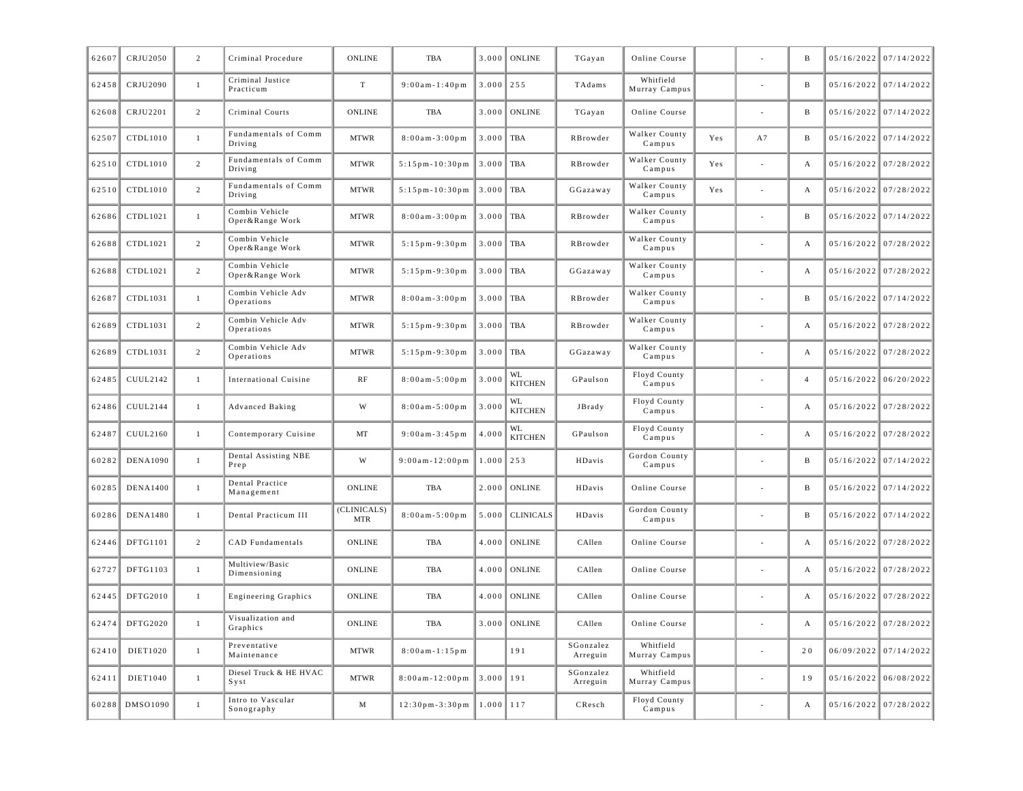| 62607 | CRJU2050        | $\overline{2}$ | Criminal Procedure                | ONLINE                    | <b>TBA</b>             | 3.000         | <b>ONLINE</b>        | TGayan                       | Online Course              |     |    | B              | 05/16/2022 07/14/2022   |
|-------|-----------------|----------------|-----------------------------------|---------------------------|------------------------|---------------|----------------------|------------------------------|----------------------------|-----|----|----------------|-------------------------|
| 62458 | CRJU2090        | 1              | Criminal Justice<br>Practicum     | T                         | $9:00$ am - $1:40$ pm  | 3.000         | 255                  | TAdams                       | Whitfield<br>Murray Campus |     |    | B              | 05/16/2022 07/14/2022   |
| 62608 | CRJU2201        | 2              | Criminal Courts                   | <b>ONLINE</b>             | <b>TBA</b>             | 3.000         | <b>ONLINE</b>        | TGayan                       | Online Course              |     |    | B              | 05/16/2022 07/14/2022   |
| 62507 | CTDL1010        | $\mathbf{1}$   | Fundamentals of Comm<br>Driving   | <b>MTWR</b>               | $8:00am - 3:00pm$      | 3.000         | TBA                  | RBrowder                     | Walker County<br>Campus    | Yes | A7 | B              | 05/16/2022 07/14/2022   |
| 62510 | CTDL1010        | 2              | Fundamentals of Comm<br>Driving   | <b>MTWR</b>               | $5:15$ pm-10:30pm      | 3.000         | <b>TBA</b>           | RBrowder                     | Walker County<br>Campus    | Yes |    | А              | 05/16/2022 07/28/2022   |
| 62510 | CTDL1010        | 2              | Fundamentals of Comm<br>Driving   | <b>MTWR</b>               | $5:15$ pm - $10:30$ pm | 3.000         | TBA                  | GGazaway                     | Walker County<br>Campus    | Yes |    | А              | 05/16/2022 07/28/2022   |
| 62686 | CTDL1021        | $\mathbf{1}$   | Combin Vehicle<br>Oper&Range Work | <b>MTWR</b>               | $8:00am - 3:00pm$      | 3.000         | <b>TBA</b>           | RBrowder                     | Walker County<br>Campus    |     |    | B              | $05/16/2022$ 07/14/2022 |
| 62688 | CTDL1021        | $\overline{2}$ | Combin Vehicle<br>Oper&Range Work | <b>MTWR</b>               | $5:15$ pm - 9:30 pm    | 3.000         | <b>TBA</b>           | RBrowder                     | Walker County<br>Campus    |     |    | A              | 05/16/2022 07/28/2022   |
| 62688 | CTDL1021        | $\overline{2}$ | Combin Vehicle<br>Oper&Range Work | <b>MTWR</b>               | $5:15$ pm-9:30pm       | 3.000         | TBA                  | GGazaway                     | Walker County<br>Campus    |     |    | А              | 05/16/2022 07/28/2022   |
| 62687 | CTDL1031        | $\mathbf{1}$   | Combin Vehicle Adv<br>Operations  | <b>MTWR</b>               | $8:00am - 3:00pm$      | 3.000         | TBA                  | RBrowder                     | Walker County<br>Campus    |     |    | B              | 05/16/2022 07/14/2022   |
| 62689 | CTDL1031        | $\overline{2}$ | Combin Vehicle Adv<br>Operations  | <b>MTWR</b>               | $5:15$ pm-9:30pm       | 3.000         | <b>TBA</b>           | RBrowder                     | Walker County<br>Campus    |     |    | A              | 05/16/2022 07/28/2022   |
| 62689 | CTDL1031        | $\overline{2}$ | Combin Vehicle Adv<br>Operations  | <b>MTWR</b>               | $5:15$ pm-9:30pm       | 3.000         | <b>TBA</b>           | GGazaway                     | Walker County<br>Campus    |     |    | A              | 05/16/2022 07/28/2022   |
| 62485 | CUUL2142        | $\mathbf{1}$   | International Cuisine             | RF                        | $8:00am - 5:00pm$      | 3.000         | WL<br><b>KITCHEN</b> | GPaulson                     | Floyd County<br>Campus     |     |    | $\overline{4}$ | $05/16/2022$ 06/20/2022 |
| 62486 | CUUL2144        | 1              | <b>Advanced Baking</b>            | W                         | $8:00am - 5:00pm$      | 3.000         | WL<br><b>KITCHEN</b> | JBrady                       | Floyd County<br>Campus     |     |    | А              | 05/16/2022 07/28/2022   |
| 62487 | CUUL2160        | $\mathbf{1}$   | Contemporary Cuisine              | MT                        | $9:00am - 3:45pm$      | 4.000         | WL<br><b>KITCHEN</b> | GPaulson                     | Floyd County<br>Campus     |     |    | А              | 05/16/2022 07/28/2022   |
| 60282 | <b>DENA1090</b> | $\mathbf{1}$   | Dental Assisting NBE<br>Prep      | W                         | $9:00am - 12:00pm$     | 1.000         | 253                  | HDavis                       | Gordon County<br>Campus    |     |    | B              | $05/16/2022$ 07/14/2022 |
| 60285 | <b>DENA1400</b> | $\mathbf{1}$   | Dental Practice<br>Management     | <b>ONLINE</b>             | TBA                    | 2.000         | <b>ONLINE</b>        | HDavis                       | Online Course              |     |    | B              | 05/16/2022 07/14/2022   |
| 60286 | <b>DENA1480</b> | $\mathbf{1}$   | Dental Practicum III              | (CLINICALS)<br><b>MTR</b> | $8:00am - 5:00pm$      | 5.000         | <b>CLINICALS</b>     | ${\bf H} {\bf D} {\bf avis}$ | Gordon County<br>Campus    |     |    | B              | 05/16/2022 07/14/2022   |
| 62446 | DFTG1101        | $\overline{c}$ | CAD Fundamentals                  | <b>ONLINE</b>             | <b>TBA</b>             | 4.000         | <b>ONLINE</b>        | CAllen                       | Online Course              |     |    | А              | 05/16/2022 07/28/2022   |
| 62727 | DFTG1103        | $\mathbf{1}$   | Multiview/Basic<br>Dimensioning   | <b>ONLINE</b>             | <b>TBA</b>             | 4.000         | <b>ONLINE</b>        | CAllen                       | Online Course              |     |    | А              | 05/16/2022 07/28/2022   |
| 62445 | DFTG2010        | $\mathbf{1}$   | <b>Engineering Graphics</b>       | ONLINE                    | <b>TBA</b>             | 4.000         | <b>ONLINE</b>        | CAllen                       | Online Course              |     |    | А              | 05/16/2022 07/28/2022   |
| 62474 | <b>DFTG2020</b> | 1              | Visualization and<br>Graphics     | ONLINE                    | TBA                    | 3.000         | <b>ONLINE</b>        | CAllen                       | Online Course              |     |    | А              | 05/16/2022 07/28/2022   |
| 62410 | DIET1020        | $\mathbf{1}$   | Preventative<br>Maintenance       | <b>MTWR</b>               | $8:00am - 1:15pm$      |               | 191                  | SGonzalez<br>Arreguin        | Whitfield<br>Murray Campus |     |    | 20             | 06/09/2022 07/14/2022   |
| 62411 | DIET1040        | $\mathbf{1}$   | Diesel Truck & HE HVAC<br>Syst    | <b>MTWR</b>               | $8:00am - 12:00pm$     | 3.000         | 191                  | SGonzalez<br>Arreguin        | Whitfield<br>Murray Campus |     |    | 19             | $05/16/2022$ 06/08/2022 |
| 60288 | DMS01090        | $\mathbf{1}$   | Intro to Vascular<br>Sonography   | М                         | $12:30$ pm $-3:30$ pm  | $1.000$   117 |                      | CResch                       | Floyd County<br>Campus     |     |    | А              | 05/16/2022 07/28/2022   |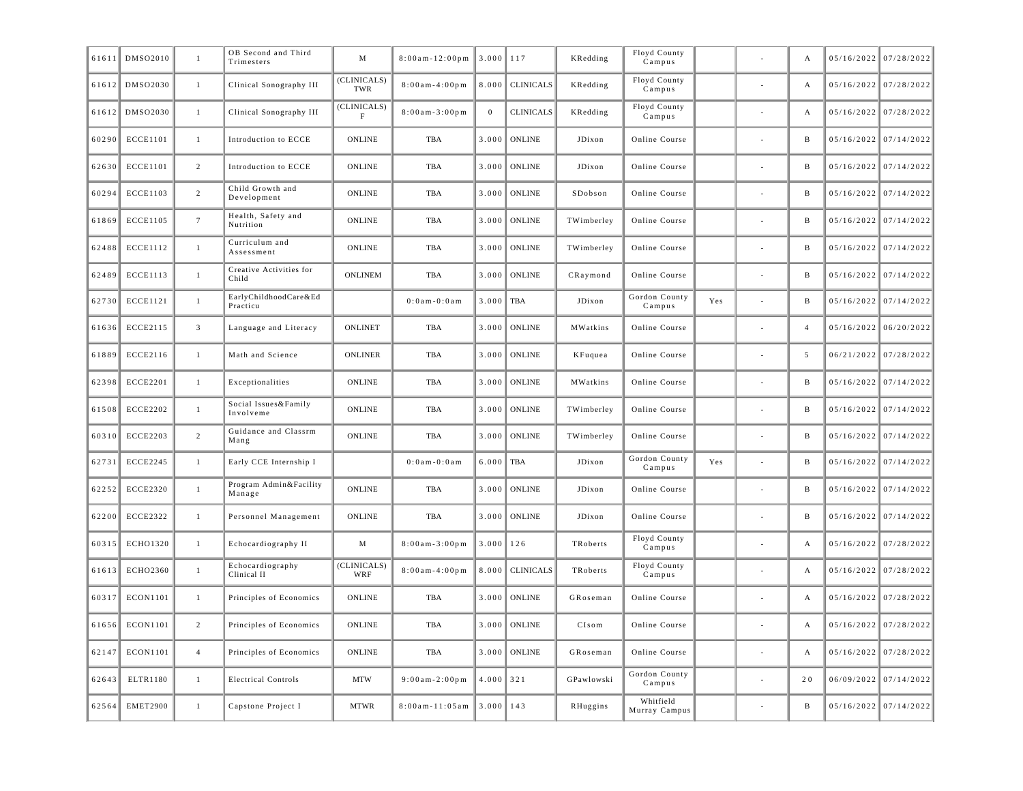| 61611 | DMS02010        | $\mathbf{1}$    | OB Second and Third<br>Trimesters | M                          | $8:00am - 12:00pm$     | $3.000$ 117             |                  | KRedding                            | Floyd County<br>Campus     |     |    | $\mathbf{A}$   | $05/16/2022$ 07/28/2022 |
|-------|-----------------|-----------------|-----------------------------------|----------------------------|------------------------|-------------------------|------------------|-------------------------------------|----------------------------|-----|----|----------------|-------------------------|
| 61612 | DMS02030        | $\mathbf{1}$    | Clinical Sonography III           | (CLINICALS)<br>TWR         | $8:00am - 4:00pm$      | 8.000                   | <b>CLINICALS</b> | KRedding                            | Floyd County<br>Campus     |     | ÷. | А              | $05/16/2022$ 07/28/2022 |
| 61612 | DMS02030        | $\mathbf{1}$    | Clinical Sonography III           | (CLINICALS)<br>$\mathbf F$ | $8:00am - 3:00pm$      | $\mathbf{0}$            | <b>CLINICALS</b> | KRedding                            | Floyd County<br>Campus     |     | ÷. | А              | $05/16/2022$ 07/28/2022 |
| 60290 | <b>ECCE1101</b> | $\mathbf{1}$    | Introduction to ECCE              | <b>ONLINE</b>              | <b>TBA</b>             | 3.000                   | <b>ONLINE</b>    | JDixon                              | Online Course              |     |    | $\, {\bf B}$   | $05/16/2022$ 07/14/2022 |
| 62630 | <b>ECCE1101</b> | $\overline{2}$  | Introduction to ECCE              | <b>ONLINE</b>              | TBA                    | 3.000                   | <b>ONLINE</b>    | JDixon                              | Online Course              |     | ÷. | $\, {\bf B}$   | $05/16/2022$ 07/14/2022 |
| 60294 | <b>ECCE1103</b> | $\overline{2}$  | Child Growth and<br>Development   | <b>ONLINE</b>              | TBA                    | 3.000                   | <b>ONLINE</b>    | SDobson                             | Online Course              |     |    | $\, {\bf B}$   | $05/16/2022$ 07/14/2022 |
| 61869 | <b>ECCE1105</b> | $7\overline{ }$ | Health, Safety and<br>Nutrition   | <b>ONLINE</b>              | <b>TBA</b>             | 3.000                   | <b>ONLINE</b>    | $\label{lem:main} {\bf TWimberley}$ | Online Course              |     |    | $\, {\bf B}$   | $05/16/2022$ 07/14/2022 |
| 62488 | <b>ECCE1112</b> | $\mathbf{1}$    | Curriculum and<br>Assessment      | <b>ONLINE</b>              | <b>TBA</b>             | 3.000                   | <b>ONLINE</b>    | TWimberley                          | Online Course              |     |    | $\, {\bf B}$   | $05/16/2022$ 07/14/2022 |
| 62489 | <b>ECCE1113</b> | $\mathbf{1}$    | Creative Activities for<br>Child  | <b>ONLINEM</b>             | TBA                    | 3.000                   | <b>ONLINE</b>    | CRaymond                            | Online Course              |     | ÷, | $\, {\bf B}$   | $05/16/2022$ 07/14/2022 |
| 62730 | <b>ECCE1121</b> | $\mathbf{1}$    | EarlyChildhoodCare&Ed<br>Practicu |                            | $0:0$ am - $0:0$ am    | 3.000                   | TBA              | JDixon                              | Gordon County<br>Campus    | Yes |    | $\, {\bf B}$   | $05/16/2022$ 07/14/2022 |
| 61636 | ECCE2115        | $\overline{3}$  | Language and Literacy             | <b>ONLINET</b>             | <b>TBA</b>             | 3.000                   | <b>ONLINE</b>    | MWatkins                            | Online Course              |     |    | $\overline{4}$ | $05/16/2022$ 06/20/2022 |
| 61889 | ECCE2116        | 1               | Math and Science                  | ONLINER                    | TBA                    | 3.000                   | <b>ONLINE</b>    | KFuquea                             | Online Course              |     |    | 5              | 06/21/2022 07/28/2022   |
| 62398 | <b>ECCE2201</b> | 1               | Exceptionalities                  | <b>ONLINE</b>              | TBA                    | 3.000                   | <b>ONLINE</b>    | MWatkins                            | Online Course              |     |    | B              | $05/16/2022$ 07/14/2022 |
| 61508 | <b>ECCE2202</b> | $\mathbf{1}$    | Social Issues&Family<br>Involveme | <b>ONLINE</b>              | <b>TBA</b>             | 3.000                   | <b>ONLINE</b>    | TWimberley                          | Online Course              |     |    | $\mathbf{B}$   | $05/16/2022$ 07/14/2022 |
| 60310 | <b>ECCE2203</b> | $\overline{2}$  | Guidance and Classrm<br>Mang      | <b>ONLINE</b>              | <b>TBA</b>             | 3.000                   | <b>ONLINE</b>    | TWimberley                          | Online Course              |     | ÷, | $\mathbf{B}$   | $05/16/2022$ 07/14/2022 |
| 62731 | <b>ECCE2245</b> | $\mathbf{1}$    | Early CCE Internship I            |                            | $0:0$ a m - $0:0$ a m  | 6.000                   | TBA              | JDixon                              | Gordon County<br>Campus    | Yes |    | B              | $05/16/2022$ 07/14/2022 |
| 62252 | <b>ECCE2320</b> | $\mathbf{1}$    | Program Admin&Facility<br>Manage  | <b>ONLINE</b>              | TBA                    | 3.000                   | <b>ONLINE</b>    | JDixon                              | Online Course              |     |    | B              | $05/16/2022$ 07/14/2022 |
| 62200 | <b>ECCE2322</b> | $\mathbf{1}$    | Personnel Management              | <b>ONLINE</b>              | TBA                    | 3.000                   | <b>ONLINE</b>    | JDixon                              | Online Course              |     |    | B              | $05/16/2022$ 07/14/2022 |
| 60315 | <b>ECHO1320</b> | $\mathbf{1}$    | Echocardiography II               | M                          | $8:00am - 3:00pm$      | $3.000$   126           |                  | TRoberts                            | Floyd County<br>Campus     |     |    | A              | 05/16/2022 07/28/2022   |
| 61613 | ECHO2360        | $\mathbf{1}$    | Echocardiography<br>Clinical II   | (CLINICALS)<br>WRF         | $8:00am - 4:00pm$      | 8.000                   | <b>CLINICALS</b> | TRoberts                            | Floyd County<br>Campus     |     |    | A              | 05/16/2022 07/28/2022   |
| 60317 | ECON1101        | $\mathbf{1}$    | Principles of Economics           | <b>ONLINE</b>              | <b>TBA</b>             | 3.000                   | <b>ONLINE</b>    | GRoseman                            | Online Course              |     |    | A              | 05/16/2022 07/28/2022   |
| 61656 | ECON1101        | $\overline{2}$  | Principles of Economics           | <b>ONLINE</b>              | TBA                    | 3.000                   | <b>ONLINE</b>    | CIsom                               | Online Course              |     |    | A              | $05/16/2022$ 07/28/2022 |
| 62147 | ECON1101        | $\overline{4}$  | Principles of Economics           | <b>ONLINE</b>              | TBA                    | 3.000                   | <b>ONLINE</b>    | GRoseman                            | Online Course              |     |    | А              | 05/16/2022 07/28/2022   |
| 62643 | ELTR1180        | $\mathbf{1}$    | <b>Electrical Controls</b>        | <b>MTW</b>                 | $9:00$ am - $2:00$ pm  | $4.000$ 321             |                  | GPawlowski                          | Gordon County<br>Campus    |     |    | 20             | $06/09/2022$ 07/14/2022 |
| 62564 | <b>EMET2900</b> | $\mathbf{1}$    | Capstone Project I                | <b>MTWR</b>                | $8:00$ am - $11:05$ am | $\parallel$ 3.000   143 |                  | RHuggins                            | Whitfield<br>Murray Campus |     |    | B              | $05/16/2022$ 07/14/2022 |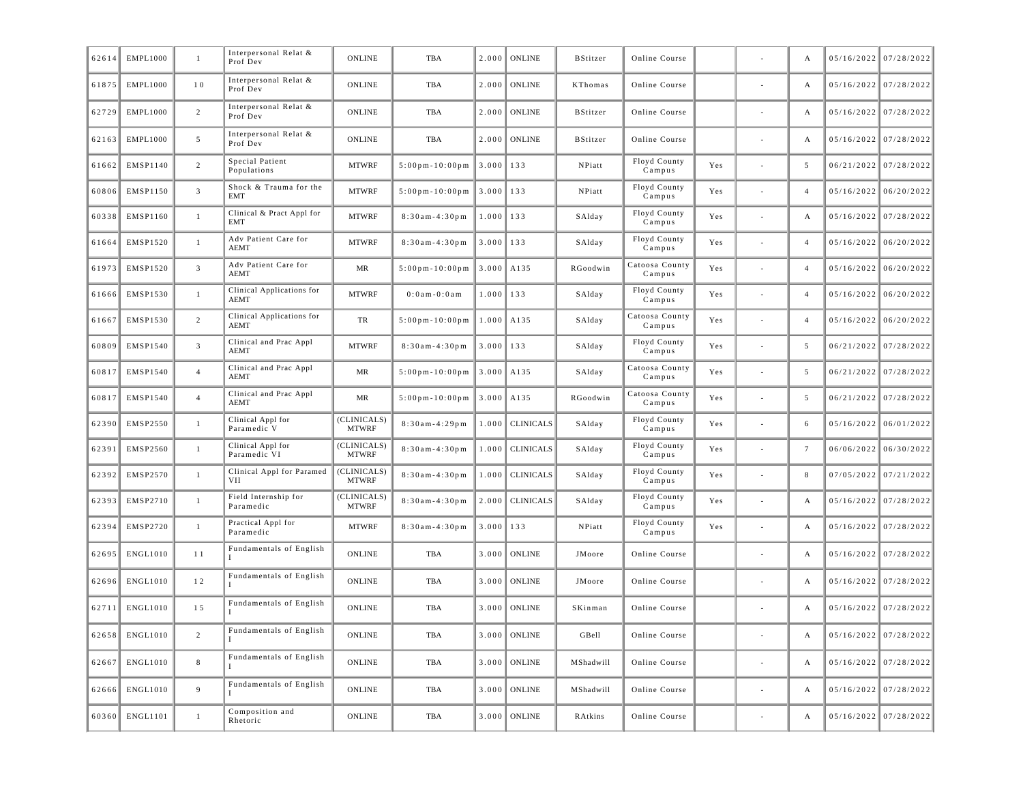| Interpersonal Relat &<br><b>ONLINE</b><br><b>ONLINE</b><br>$05/16/2022$ 07/28/2022<br>61875<br><b>EMPL1000</b><br>10<br>TBA<br>2.000<br>KThomas<br>Online Course<br>A<br>Prof Dev<br>Interpersonal Relat &<br>EMPL1000<br>$\overline{c}$<br><b>ONLINE</b><br><b>ONLINE</b><br>$05/16/2022$ 07/28/2022<br>62729<br>TBA<br>2.000<br><b>BStitzer</b><br>Online Course<br>А<br>Prof Dev<br>Interpersonal Relat &<br>5<br><b>ONLINE</b><br><b>ONLINE</b><br>05/16/2022 07/28/2022<br>62163<br><b>EMPL1000</b><br>TBA<br>2.000<br><b>BStitzer</b><br>Online Course<br>A<br>Prof Dev<br>Special Patient<br>Floyd County<br>EMSP1140<br>2<br><b>MTWRF</b><br>$5:00p m - 10:00p m$<br>$3.000$   133<br>NPiatt<br>5<br>06/21/2022 07/28/2022<br>61662<br>Yes<br>Populations<br>Campus<br>Shock & Trauma for the<br>Floyd County<br>$\overline{3}$<br><b>MTWRF</b><br>EMSP1150<br>$5:00p m - 10:00p m$<br>3.000<br>133<br>$05/16/2022$ 06/20/2022<br>60806<br>NPiatt<br>Yes<br>$\overline{4}$<br>$\overline{a}$<br>EMT<br>Campus<br>Clinical & Pract Appl for<br>Floyd County<br>EMSP1160<br><b>MTWRF</b><br>$8:30am - 4:30pm$<br>133<br>05/16/2022 07/28/2022<br>60338<br>$\mathbf{1}$<br>1.000<br>SAlday<br>Yes<br>A<br><b>EMT</b><br>Campus<br>Adv Patient Care for<br>Floyd County<br>EMSP1520<br><b>MTWRF</b><br>$8:30am - 4:30pm$<br>$3.000$   133<br>$05/16/2022$ 06/20/2022<br>61664<br>$\mathbf{1}$<br>SAlday<br>Yes<br>$\overline{4}$<br><b>AEMT</b><br>Campus<br>Adv Patient Care for<br>Catoosa County<br>$\overline{3}$<br>EMSP1520<br>MR<br>3.000<br>A135<br>$05/16/2022$ 06/20/2022<br>61973<br>$5:00$ pm - 10:00pm<br>RGoodwin<br>Yes<br>$\overline{4}$<br>÷,<br><b>AEMT</b><br>Campus<br>Clinical Applications for<br>Floyd County<br><b>MTWRF</b><br>$0:0$ am - $0:0$ am<br>133<br>$05/16/2022$ 06/20/2022<br>61666<br><b>EMSP1530</b><br>$\mathbf{1}$<br>1.000<br>SAlday<br>Yes<br>$\overline{4}$<br><b>AEMT</b><br>Campus<br>Catoosa County<br>Clinical Applications for<br>EMSP1530<br>2<br>TR<br>$5:00p m - 10:00p m$<br>1.000<br>A135<br>$05/16/2022$ 06/20/2022<br>61667<br>SAlday<br>Yes<br>$\overline{4}$<br><b>AEMT</b><br>Campus<br>Clinical and Prac Appl<br>Floyd County<br>$\overline{3}$<br><b>MTWRF</b><br>EMSP1540<br>3.000<br>133<br>$06/21/2022$ 07/28/2022<br>60809<br>$8:30am-4:30pm$<br>SAlday<br>Yes<br>5<br>Campus<br><b>AEMT</b><br>Clinical and Prac Appl<br>Catoosa County<br>MR<br>$5:00p m - 10:00p m$<br>3.000<br>$06/21/2022$ 07/28/2022<br>60817<br><b>EMSP1540</b><br>$\overline{4}$<br>A135<br>SAlday<br>Yes<br>5<br><b>AEMT</b><br>Campus<br>Clinical and Prac Appl<br>Catoosa County<br>EMSP1540<br>$\overline{4}$<br>MR<br>$5:00p m - 10:00p m$<br>3.000<br>A135<br>5<br>06/21/2022 07/28/2022<br>60817<br>RGoodwin<br>Yes<br><b>AEMT</b><br>Campus<br>Clinical Appl for<br>(CLINICALS)<br>Floyd County<br>EMSP2550<br>$8:30am - 4:29pm$<br><b>CLINICALS</b><br>$05/16/2022$ 06/01/2022<br>62390<br>$\mathbf{1}$<br>1.000<br>SAlday<br>Yes<br>6<br>÷,<br><b>MTWRF</b><br>Paramedic V<br>Campus<br>Clinical Appl for<br>(CLINICALS)<br>Floyd County<br>$8:30am - 4:30pm$<br><b>CLINICALS</b><br>$06/06/2022$ 06/30/2022<br>62391<br><b>EMSP2560</b><br>$\mathbf{1}$<br>1.000<br>SAlday<br>Yes<br>$\tau$<br>Paramedic VI<br><b>MTWRF</b><br>Campus<br>(CLINICALS)<br>Clinical Appl for Paramed<br>Floyd County<br>62392<br>EMSP2570<br>$8:30am - 4:30pm$<br>1.000<br><b>CLINICALS</b><br>8<br>$07/05/2022$ 07/21/2022<br>$\mathbf{1}$<br>SAlday<br>Yes<br><b>MTWRF</b><br>VII<br>Campus<br>Field Internship for<br>(CLINICALS)<br>Floyd County<br>EMSP2710<br>2.000<br><b>CLINICALS</b><br>$05/16/2022$ 07/28/2022<br>62393<br>$\mathbf{1}$<br>$8:30am-4:30pm$<br>SAlday<br>Yes<br>A<br>$\sim$<br><b>MTWRF</b><br>Paramedic<br>Campus<br>Practical Appl for<br>Floyd County<br><b>MTWRF</b><br>3.000<br>$05/16/2022$ 07/28/2022<br>62394<br><b>EMSP2720</b><br>$\mathbf{1}$<br>$8:30am-4:30pm$<br>133<br>NPiatt<br>Yes<br>А<br>Paramedic<br>Campus<br>Fundamentals of English<br>ENGL1010<br><b>ONLINE</b><br><b>ONLINE</b><br>05/16/2022 07/28/2022<br>62695<br>11<br>TBA<br>3.000<br>JMoore<br>Online Course<br>А<br>Fundamentals of English<br><b>ONLINE</b><br><b>ONLINE</b><br>$05/16/2022$ 07/28/2022<br>62696<br><b>ENGL1010</b><br>12<br>TBA<br>3.000<br>JMoore<br>Online Course<br>A<br>Fundamentals of English<br>ENGL1010<br>15<br><b>ONLINE</b><br><b>ONLINE</b><br>05/16/2022 07/28/2022<br>62711<br>TBA<br>3.000<br>SKinman<br>Online Course<br>A<br>$\overline{\phantom{a}}$<br>Fundamentals of English<br>3.000 ONLINE<br>$05/16/2022$ 07/28/2022<br>62658 ENGL1010<br><b>ONLINE</b><br>$\overline{c}$<br>TBA<br>GBell<br>Online Course<br>А<br>Fundamentals of English<br>ONLINE<br>$05/16/2022$ 07/28/2022<br>ENGL1010<br>$8\,$<br><b>ONLINE</b><br>62667<br>3.000<br>MShadwill<br>Online Course<br>TBA<br>A<br>$\overline{\phantom{a}}$<br>Fundamentals of English<br><b>ONLINE</b><br>3.000 ONLINE<br>$05/16/2022$ 07/28/2022<br>62666<br>ENGL1010<br>9<br>MShadwill<br>Online Course<br>TBA<br>A<br>$\overline{\phantom{a}}$<br>Composition and<br>60360 ENGL1101<br>3.000 ONLINE<br>$05/16/2022$ 07/28/2022<br>ONLINE<br>Online Course<br>$\mathbf{1}$<br>TBA<br>RAtkins<br>A<br>$\sim$<br>Rhetoric | 62614 | EMPL1000 | $\mathbf{1}$ | Interpersonal Relat &<br>Prof Dev | <b>ONLINE</b> | TBA | 2.000 | ONLINE | <b>BStitzer</b> | Online Course |  | A | 05/16/2022 07/28/2022 |
|--------------------------------------------------------------------------------------------------------------------------------------------------------------------------------------------------------------------------------------------------------------------------------------------------------------------------------------------------------------------------------------------------------------------------------------------------------------------------------------------------------------------------------------------------------------------------------------------------------------------------------------------------------------------------------------------------------------------------------------------------------------------------------------------------------------------------------------------------------------------------------------------------------------------------------------------------------------------------------------------------------------------------------------------------------------------------------------------------------------------------------------------------------------------------------------------------------------------------------------------------------------------------------------------------------------------------------------------------------------------------------------------------------------------------------------------------------------------------------------------------------------------------------------------------------------------------------------------------------------------------------------------------------------------------------------------------------------------------------------------------------------------------------------------------------------------------------------------------------------------------------------------------------------------------------------------------------------------------------------------------------------------------------------------------------------------------------------------------------------------------------------------------------------------------------------------------------------------------------------------------------------------------------------------------------------------------------------------------------------------------------------------------------------------------------------------------------------------------------------------------------------------------------------------------------------------------------------------------------------------------------------------------------------------------------------------------------------------------------------------------------------------------------------------------------------------------------------------------------------------------------------------------------------------------------------------------------------------------------------------------------------------------------------------------------------------------------------------------------------------------------------------------------------------------------------------------------------------------------------------------------------------------------------------------------------------------------------------------------------------------------------------------------------------------------------------------------------------------------------------------------------------------------------------------------------------------------------------------------------------------------------------------------------------------------------------------------------------------------------------------------------------------------------------------------------------------------------------------------------------------------------------------------------------------------------------------------------------------------------------------------------------------------------------------------------------------------------------------------------------------------------------------------------------------------------------------------------------------------------------------------------------------------------------------------------------------------------------------------------------------------------------------------------------------------------------------------------------------------------------------------------------------------------------------------------------------------------------------------------------------------------------------------------------------------------------------------------------------------------------------------------------------------------------------------------------------------------------------------------------------------------------------------------------------------------------------------------------------------------------------------------------------------------------------------------------------------------------------------------------------------------------------------------------------------------------------------------------------------------------------------------------|-------|----------|--------------|-----------------------------------|---------------|-----|-------|--------|-----------------|---------------|--|---|-----------------------|
|                                                                                                                                                                                                                                                                                                                                                                                                                                                                                                                                                                                                                                                                                                                                                                                                                                                                                                                                                                                                                                                                                                                                                                                                                                                                                                                                                                                                                                                                                                                                                                                                                                                                                                                                                                                                                                                                                                                                                                                                                                                                                                                                                                                                                                                                                                                                                                                                                                                                                                                                                                                                                                                                                                                                                                                                                                                                                                                                                                                                                                                                                                                                                                                                                                                                                                                                                                                                                                                                                                                                                                                                                                                                                                                                                                                                                                                                                                                                                                                                                                                                                                                                                                                                                                                                                                                                                                                                                                                                                                                                                                                                                                                                                                                                                                                                                                                                                                                                                                                                                                                                                                                                                                                                                                                                    |       |          |              |                                   |               |     |       |        |                 |               |  |   |                       |
|                                                                                                                                                                                                                                                                                                                                                                                                                                                                                                                                                                                                                                                                                                                                                                                                                                                                                                                                                                                                                                                                                                                                                                                                                                                                                                                                                                                                                                                                                                                                                                                                                                                                                                                                                                                                                                                                                                                                                                                                                                                                                                                                                                                                                                                                                                                                                                                                                                                                                                                                                                                                                                                                                                                                                                                                                                                                                                                                                                                                                                                                                                                                                                                                                                                                                                                                                                                                                                                                                                                                                                                                                                                                                                                                                                                                                                                                                                                                                                                                                                                                                                                                                                                                                                                                                                                                                                                                                                                                                                                                                                                                                                                                                                                                                                                                                                                                                                                                                                                                                                                                                                                                                                                                                                                                    |       |          |              |                                   |               |     |       |        |                 |               |  |   |                       |
|                                                                                                                                                                                                                                                                                                                                                                                                                                                                                                                                                                                                                                                                                                                                                                                                                                                                                                                                                                                                                                                                                                                                                                                                                                                                                                                                                                                                                                                                                                                                                                                                                                                                                                                                                                                                                                                                                                                                                                                                                                                                                                                                                                                                                                                                                                                                                                                                                                                                                                                                                                                                                                                                                                                                                                                                                                                                                                                                                                                                                                                                                                                                                                                                                                                                                                                                                                                                                                                                                                                                                                                                                                                                                                                                                                                                                                                                                                                                                                                                                                                                                                                                                                                                                                                                                                                                                                                                                                                                                                                                                                                                                                                                                                                                                                                                                                                                                                                                                                                                                                                                                                                                                                                                                                                                    |       |          |              |                                   |               |     |       |        |                 |               |  |   |                       |
|                                                                                                                                                                                                                                                                                                                                                                                                                                                                                                                                                                                                                                                                                                                                                                                                                                                                                                                                                                                                                                                                                                                                                                                                                                                                                                                                                                                                                                                                                                                                                                                                                                                                                                                                                                                                                                                                                                                                                                                                                                                                                                                                                                                                                                                                                                                                                                                                                                                                                                                                                                                                                                                                                                                                                                                                                                                                                                                                                                                                                                                                                                                                                                                                                                                                                                                                                                                                                                                                                                                                                                                                                                                                                                                                                                                                                                                                                                                                                                                                                                                                                                                                                                                                                                                                                                                                                                                                                                                                                                                                                                                                                                                                                                                                                                                                                                                                                                                                                                                                                                                                                                                                                                                                                                                                    |       |          |              |                                   |               |     |       |        |                 |               |  |   |                       |
|                                                                                                                                                                                                                                                                                                                                                                                                                                                                                                                                                                                                                                                                                                                                                                                                                                                                                                                                                                                                                                                                                                                                                                                                                                                                                                                                                                                                                                                                                                                                                                                                                                                                                                                                                                                                                                                                                                                                                                                                                                                                                                                                                                                                                                                                                                                                                                                                                                                                                                                                                                                                                                                                                                                                                                                                                                                                                                                                                                                                                                                                                                                                                                                                                                                                                                                                                                                                                                                                                                                                                                                                                                                                                                                                                                                                                                                                                                                                                                                                                                                                                                                                                                                                                                                                                                                                                                                                                                                                                                                                                                                                                                                                                                                                                                                                                                                                                                                                                                                                                                                                                                                                                                                                                                                                    |       |          |              |                                   |               |     |       |        |                 |               |  |   |                       |
|                                                                                                                                                                                                                                                                                                                                                                                                                                                                                                                                                                                                                                                                                                                                                                                                                                                                                                                                                                                                                                                                                                                                                                                                                                                                                                                                                                                                                                                                                                                                                                                                                                                                                                                                                                                                                                                                                                                                                                                                                                                                                                                                                                                                                                                                                                                                                                                                                                                                                                                                                                                                                                                                                                                                                                                                                                                                                                                                                                                                                                                                                                                                                                                                                                                                                                                                                                                                                                                                                                                                                                                                                                                                                                                                                                                                                                                                                                                                                                                                                                                                                                                                                                                                                                                                                                                                                                                                                                                                                                                                                                                                                                                                                                                                                                                                                                                                                                                                                                                                                                                                                                                                                                                                                                                                    |       |          |              |                                   |               |     |       |        |                 |               |  |   |                       |
|                                                                                                                                                                                                                                                                                                                                                                                                                                                                                                                                                                                                                                                                                                                                                                                                                                                                                                                                                                                                                                                                                                                                                                                                                                                                                                                                                                                                                                                                                                                                                                                                                                                                                                                                                                                                                                                                                                                                                                                                                                                                                                                                                                                                                                                                                                                                                                                                                                                                                                                                                                                                                                                                                                                                                                                                                                                                                                                                                                                                                                                                                                                                                                                                                                                                                                                                                                                                                                                                                                                                                                                                                                                                                                                                                                                                                                                                                                                                                                                                                                                                                                                                                                                                                                                                                                                                                                                                                                                                                                                                                                                                                                                                                                                                                                                                                                                                                                                                                                                                                                                                                                                                                                                                                                                                    |       |          |              |                                   |               |     |       |        |                 |               |  |   |                       |
|                                                                                                                                                                                                                                                                                                                                                                                                                                                                                                                                                                                                                                                                                                                                                                                                                                                                                                                                                                                                                                                                                                                                                                                                                                                                                                                                                                                                                                                                                                                                                                                                                                                                                                                                                                                                                                                                                                                                                                                                                                                                                                                                                                                                                                                                                                                                                                                                                                                                                                                                                                                                                                                                                                                                                                                                                                                                                                                                                                                                                                                                                                                                                                                                                                                                                                                                                                                                                                                                                                                                                                                                                                                                                                                                                                                                                                                                                                                                                                                                                                                                                                                                                                                                                                                                                                                                                                                                                                                                                                                                                                                                                                                                                                                                                                                                                                                                                                                                                                                                                                                                                                                                                                                                                                                                    |       |          |              |                                   |               |     |       |        |                 |               |  |   |                       |
|                                                                                                                                                                                                                                                                                                                                                                                                                                                                                                                                                                                                                                                                                                                                                                                                                                                                                                                                                                                                                                                                                                                                                                                                                                                                                                                                                                                                                                                                                                                                                                                                                                                                                                                                                                                                                                                                                                                                                                                                                                                                                                                                                                                                                                                                                                                                                                                                                                                                                                                                                                                                                                                                                                                                                                                                                                                                                                                                                                                                                                                                                                                                                                                                                                                                                                                                                                                                                                                                                                                                                                                                                                                                                                                                                                                                                                                                                                                                                                                                                                                                                                                                                                                                                                                                                                                                                                                                                                                                                                                                                                                                                                                                                                                                                                                                                                                                                                                                                                                                                                                                                                                                                                                                                                                                    |       |          |              |                                   |               |     |       |        |                 |               |  |   |                       |
|                                                                                                                                                                                                                                                                                                                                                                                                                                                                                                                                                                                                                                                                                                                                                                                                                                                                                                                                                                                                                                                                                                                                                                                                                                                                                                                                                                                                                                                                                                                                                                                                                                                                                                                                                                                                                                                                                                                                                                                                                                                                                                                                                                                                                                                                                                                                                                                                                                                                                                                                                                                                                                                                                                                                                                                                                                                                                                                                                                                                                                                                                                                                                                                                                                                                                                                                                                                                                                                                                                                                                                                                                                                                                                                                                                                                                                                                                                                                                                                                                                                                                                                                                                                                                                                                                                                                                                                                                                                                                                                                                                                                                                                                                                                                                                                                                                                                                                                                                                                                                                                                                                                                                                                                                                                                    |       |          |              |                                   |               |     |       |        |                 |               |  |   |                       |
|                                                                                                                                                                                                                                                                                                                                                                                                                                                                                                                                                                                                                                                                                                                                                                                                                                                                                                                                                                                                                                                                                                                                                                                                                                                                                                                                                                                                                                                                                                                                                                                                                                                                                                                                                                                                                                                                                                                                                                                                                                                                                                                                                                                                                                                                                                                                                                                                                                                                                                                                                                                                                                                                                                                                                                                                                                                                                                                                                                                                                                                                                                                                                                                                                                                                                                                                                                                                                                                                                                                                                                                                                                                                                                                                                                                                                                                                                                                                                                                                                                                                                                                                                                                                                                                                                                                                                                                                                                                                                                                                                                                                                                                                                                                                                                                                                                                                                                                                                                                                                                                                                                                                                                                                                                                                    |       |          |              |                                   |               |     |       |        |                 |               |  |   |                       |
|                                                                                                                                                                                                                                                                                                                                                                                                                                                                                                                                                                                                                                                                                                                                                                                                                                                                                                                                                                                                                                                                                                                                                                                                                                                                                                                                                                                                                                                                                                                                                                                                                                                                                                                                                                                                                                                                                                                                                                                                                                                                                                                                                                                                                                                                                                                                                                                                                                                                                                                                                                                                                                                                                                                                                                                                                                                                                                                                                                                                                                                                                                                                                                                                                                                                                                                                                                                                                                                                                                                                                                                                                                                                                                                                                                                                                                                                                                                                                                                                                                                                                                                                                                                                                                                                                                                                                                                                                                                                                                                                                                                                                                                                                                                                                                                                                                                                                                                                                                                                                                                                                                                                                                                                                                                                    |       |          |              |                                   |               |     |       |        |                 |               |  |   |                       |
|                                                                                                                                                                                                                                                                                                                                                                                                                                                                                                                                                                                                                                                                                                                                                                                                                                                                                                                                                                                                                                                                                                                                                                                                                                                                                                                                                                                                                                                                                                                                                                                                                                                                                                                                                                                                                                                                                                                                                                                                                                                                                                                                                                                                                                                                                                                                                                                                                                                                                                                                                                                                                                                                                                                                                                                                                                                                                                                                                                                                                                                                                                                                                                                                                                                                                                                                                                                                                                                                                                                                                                                                                                                                                                                                                                                                                                                                                                                                                                                                                                                                                                                                                                                                                                                                                                                                                                                                                                                                                                                                                                                                                                                                                                                                                                                                                                                                                                                                                                                                                                                                                                                                                                                                                                                                    |       |          |              |                                   |               |     |       |        |                 |               |  |   |                       |
|                                                                                                                                                                                                                                                                                                                                                                                                                                                                                                                                                                                                                                                                                                                                                                                                                                                                                                                                                                                                                                                                                                                                                                                                                                                                                                                                                                                                                                                                                                                                                                                                                                                                                                                                                                                                                                                                                                                                                                                                                                                                                                                                                                                                                                                                                                                                                                                                                                                                                                                                                                                                                                                                                                                                                                                                                                                                                                                                                                                                                                                                                                                                                                                                                                                                                                                                                                                                                                                                                                                                                                                                                                                                                                                                                                                                                                                                                                                                                                                                                                                                                                                                                                                                                                                                                                                                                                                                                                                                                                                                                                                                                                                                                                                                                                                                                                                                                                                                                                                                                                                                                                                                                                                                                                                                    |       |          |              |                                   |               |     |       |        |                 |               |  |   |                       |
|                                                                                                                                                                                                                                                                                                                                                                                                                                                                                                                                                                                                                                                                                                                                                                                                                                                                                                                                                                                                                                                                                                                                                                                                                                                                                                                                                                                                                                                                                                                                                                                                                                                                                                                                                                                                                                                                                                                                                                                                                                                                                                                                                                                                                                                                                                                                                                                                                                                                                                                                                                                                                                                                                                                                                                                                                                                                                                                                                                                                                                                                                                                                                                                                                                                                                                                                                                                                                                                                                                                                                                                                                                                                                                                                                                                                                                                                                                                                                                                                                                                                                                                                                                                                                                                                                                                                                                                                                                                                                                                                                                                                                                                                                                                                                                                                                                                                                                                                                                                                                                                                                                                                                                                                                                                                    |       |          |              |                                   |               |     |       |        |                 |               |  |   |                       |
|                                                                                                                                                                                                                                                                                                                                                                                                                                                                                                                                                                                                                                                                                                                                                                                                                                                                                                                                                                                                                                                                                                                                                                                                                                                                                                                                                                                                                                                                                                                                                                                                                                                                                                                                                                                                                                                                                                                                                                                                                                                                                                                                                                                                                                                                                                                                                                                                                                                                                                                                                                                                                                                                                                                                                                                                                                                                                                                                                                                                                                                                                                                                                                                                                                                                                                                                                                                                                                                                                                                                                                                                                                                                                                                                                                                                                                                                                                                                                                                                                                                                                                                                                                                                                                                                                                                                                                                                                                                                                                                                                                                                                                                                                                                                                                                                                                                                                                                                                                                                                                                                                                                                                                                                                                                                    |       |          |              |                                   |               |     |       |        |                 |               |  |   |                       |
|                                                                                                                                                                                                                                                                                                                                                                                                                                                                                                                                                                                                                                                                                                                                                                                                                                                                                                                                                                                                                                                                                                                                                                                                                                                                                                                                                                                                                                                                                                                                                                                                                                                                                                                                                                                                                                                                                                                                                                                                                                                                                                                                                                                                                                                                                                                                                                                                                                                                                                                                                                                                                                                                                                                                                                                                                                                                                                                                                                                                                                                                                                                                                                                                                                                                                                                                                                                                                                                                                                                                                                                                                                                                                                                                                                                                                                                                                                                                                                                                                                                                                                                                                                                                                                                                                                                                                                                                                                                                                                                                                                                                                                                                                                                                                                                                                                                                                                                                                                                                                                                                                                                                                                                                                                                                    |       |          |              |                                   |               |     |       |        |                 |               |  |   |                       |
|                                                                                                                                                                                                                                                                                                                                                                                                                                                                                                                                                                                                                                                                                                                                                                                                                                                                                                                                                                                                                                                                                                                                                                                                                                                                                                                                                                                                                                                                                                                                                                                                                                                                                                                                                                                                                                                                                                                                                                                                                                                                                                                                                                                                                                                                                                                                                                                                                                                                                                                                                                                                                                                                                                                                                                                                                                                                                                                                                                                                                                                                                                                                                                                                                                                                                                                                                                                                                                                                                                                                                                                                                                                                                                                                                                                                                                                                                                                                                                                                                                                                                                                                                                                                                                                                                                                                                                                                                                                                                                                                                                                                                                                                                                                                                                                                                                                                                                                                                                                                                                                                                                                                                                                                                                                                    |       |          |              |                                   |               |     |       |        |                 |               |  |   |                       |
|                                                                                                                                                                                                                                                                                                                                                                                                                                                                                                                                                                                                                                                                                                                                                                                                                                                                                                                                                                                                                                                                                                                                                                                                                                                                                                                                                                                                                                                                                                                                                                                                                                                                                                                                                                                                                                                                                                                                                                                                                                                                                                                                                                                                                                                                                                                                                                                                                                                                                                                                                                                                                                                                                                                                                                                                                                                                                                                                                                                                                                                                                                                                                                                                                                                                                                                                                                                                                                                                                                                                                                                                                                                                                                                                                                                                                                                                                                                                                                                                                                                                                                                                                                                                                                                                                                                                                                                                                                                                                                                                                                                                                                                                                                                                                                                                                                                                                                                                                                                                                                                                                                                                                                                                                                                                    |       |          |              |                                   |               |     |       |        |                 |               |  |   |                       |
|                                                                                                                                                                                                                                                                                                                                                                                                                                                                                                                                                                                                                                                                                                                                                                                                                                                                                                                                                                                                                                                                                                                                                                                                                                                                                                                                                                                                                                                                                                                                                                                                                                                                                                                                                                                                                                                                                                                                                                                                                                                                                                                                                                                                                                                                                                                                                                                                                                                                                                                                                                                                                                                                                                                                                                                                                                                                                                                                                                                                                                                                                                                                                                                                                                                                                                                                                                                                                                                                                                                                                                                                                                                                                                                                                                                                                                                                                                                                                                                                                                                                                                                                                                                                                                                                                                                                                                                                                                                                                                                                                                                                                                                                                                                                                                                                                                                                                                                                                                                                                                                                                                                                                                                                                                                                    |       |          |              |                                   |               |     |       |        |                 |               |  |   |                       |
|                                                                                                                                                                                                                                                                                                                                                                                                                                                                                                                                                                                                                                                                                                                                                                                                                                                                                                                                                                                                                                                                                                                                                                                                                                                                                                                                                                                                                                                                                                                                                                                                                                                                                                                                                                                                                                                                                                                                                                                                                                                                                                                                                                                                                                                                                                                                                                                                                                                                                                                                                                                                                                                                                                                                                                                                                                                                                                                                                                                                                                                                                                                                                                                                                                                                                                                                                                                                                                                                                                                                                                                                                                                                                                                                                                                                                                                                                                                                                                                                                                                                                                                                                                                                                                                                                                                                                                                                                                                                                                                                                                                                                                                                                                                                                                                                                                                                                                                                                                                                                                                                                                                                                                                                                                                                    |       |          |              |                                   |               |     |       |        |                 |               |  |   |                       |
|                                                                                                                                                                                                                                                                                                                                                                                                                                                                                                                                                                                                                                                                                                                                                                                                                                                                                                                                                                                                                                                                                                                                                                                                                                                                                                                                                                                                                                                                                                                                                                                                                                                                                                                                                                                                                                                                                                                                                                                                                                                                                                                                                                                                                                                                                                                                                                                                                                                                                                                                                                                                                                                                                                                                                                                                                                                                                                                                                                                                                                                                                                                                                                                                                                                                                                                                                                                                                                                                                                                                                                                                                                                                                                                                                                                                                                                                                                                                                                                                                                                                                                                                                                                                                                                                                                                                                                                                                                                                                                                                                                                                                                                                                                                                                                                                                                                                                                                                                                                                                                                                                                                                                                                                                                                                    |       |          |              |                                   |               |     |       |        |                 |               |  |   |                       |
|                                                                                                                                                                                                                                                                                                                                                                                                                                                                                                                                                                                                                                                                                                                                                                                                                                                                                                                                                                                                                                                                                                                                                                                                                                                                                                                                                                                                                                                                                                                                                                                                                                                                                                                                                                                                                                                                                                                                                                                                                                                                                                                                                                                                                                                                                                                                                                                                                                                                                                                                                                                                                                                                                                                                                                                                                                                                                                                                                                                                                                                                                                                                                                                                                                                                                                                                                                                                                                                                                                                                                                                                                                                                                                                                                                                                                                                                                                                                                                                                                                                                                                                                                                                                                                                                                                                                                                                                                                                                                                                                                                                                                                                                                                                                                                                                                                                                                                                                                                                                                                                                                                                                                                                                                                                                    |       |          |              |                                   |               |     |       |        |                 |               |  |   |                       |
|                                                                                                                                                                                                                                                                                                                                                                                                                                                                                                                                                                                                                                                                                                                                                                                                                                                                                                                                                                                                                                                                                                                                                                                                                                                                                                                                                                                                                                                                                                                                                                                                                                                                                                                                                                                                                                                                                                                                                                                                                                                                                                                                                                                                                                                                                                                                                                                                                                                                                                                                                                                                                                                                                                                                                                                                                                                                                                                                                                                                                                                                                                                                                                                                                                                                                                                                                                                                                                                                                                                                                                                                                                                                                                                                                                                                                                                                                                                                                                                                                                                                                                                                                                                                                                                                                                                                                                                                                                                                                                                                                                                                                                                                                                                                                                                                                                                                                                                                                                                                                                                                                                                                                                                                                                                                    |       |          |              |                                   |               |     |       |        |                 |               |  |   |                       |
|                                                                                                                                                                                                                                                                                                                                                                                                                                                                                                                                                                                                                                                                                                                                                                                                                                                                                                                                                                                                                                                                                                                                                                                                                                                                                                                                                                                                                                                                                                                                                                                                                                                                                                                                                                                                                                                                                                                                                                                                                                                                                                                                                                                                                                                                                                                                                                                                                                                                                                                                                                                                                                                                                                                                                                                                                                                                                                                                                                                                                                                                                                                                                                                                                                                                                                                                                                                                                                                                                                                                                                                                                                                                                                                                                                                                                                                                                                                                                                                                                                                                                                                                                                                                                                                                                                                                                                                                                                                                                                                                                                                                                                                                                                                                                                                                                                                                                                                                                                                                                                                                                                                                                                                                                                                                    |       |          |              |                                   |               |     |       |        |                 |               |  |   |                       |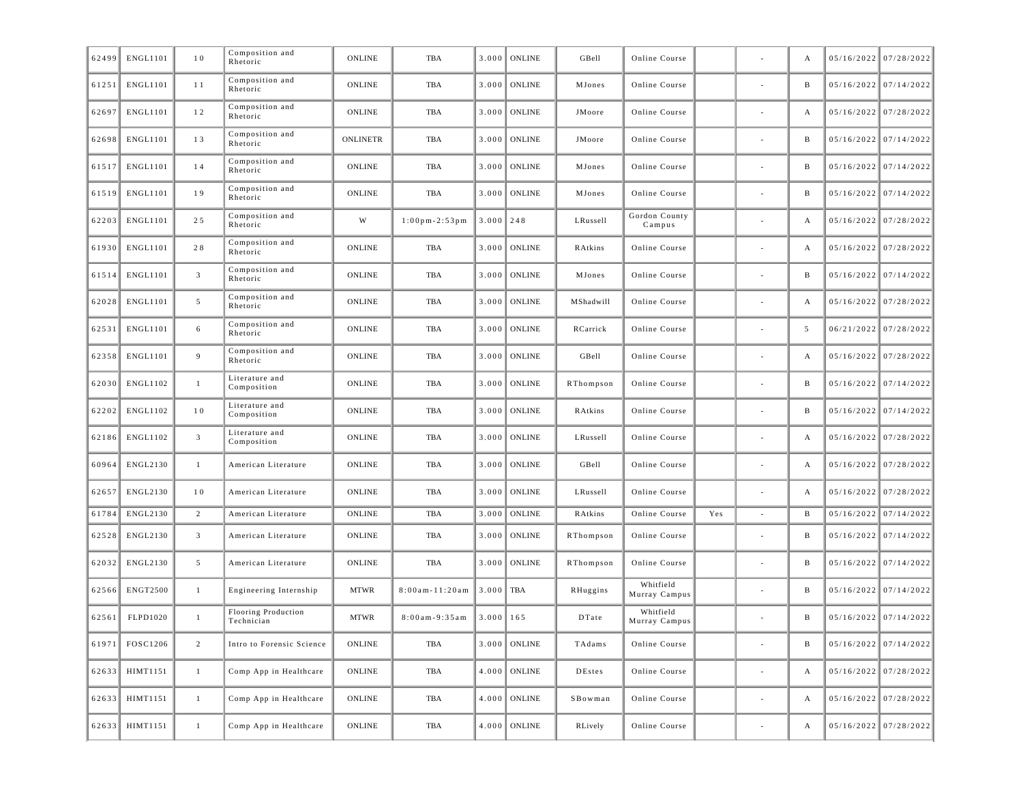| 62499 | ENGL1101        | 10              | Composition and<br>Rhetoric       | ONLINE          | TBA                    | 3.000         | <b>ONLINE</b>  | GBell     | Online Course              |     |                          | А | 05/16/2022 07/28/2022   |
|-------|-----------------|-----------------|-----------------------------------|-----------------|------------------------|---------------|----------------|-----------|----------------------------|-----|--------------------------|---|-------------------------|
| 61251 | <b>ENGL1101</b> | 11              | Composition and<br>Rhetoric       | <b>ONLINE</b>   | TBA                    | 3.000         | <b>ONLINE</b>  | MJones    | Online Course              |     |                          | B | $05/16/2022$ 07/14/2022 |
| 62697 | <b>ENGL1101</b> | 12              | Composition and<br>Rhetoric       | ONLINE          | TBA                    | 3.000         | <b>ONLINE</b>  | JMoore    | Online Course              |     |                          | A | 05/16/2022 07/28/2022   |
| 62698 | <b>ENGL1101</b> | 13              | Composition and<br>Rhetoric       | <b>ONLINETR</b> | TBA                    | 3.000         | <b>ONLINE</b>  | JMoore    | Online Course              |     |                          | B | $05/16/2022$ 07/14/2022 |
| 61517 | ENGL1101        | 14              | Composition and<br>Rhetoric       | ONLINE          | TBA                    | 3.000         | <b>ONLINE</b>  | MJones    | Online Course              |     |                          | B | $05/16/2022$ 07/14/2022 |
| 61519 | <b>ENGL1101</b> | 19              | Composition and<br>Rhetoric       | <b>ONLINE</b>   | TBA                    | 3.000         | <b>ONLINE</b>  | MJones    | Online Course              |     |                          | B | $05/16/2022$ 07/14/2022 |
| 62203 | <b>ENGL1101</b> | 25              | Composition and<br>Rhetoric       | W               | $1:00$ pm - $2:53$ pm  | $3.000$ 248   |                | LRussell  | Gordon County<br>Campus    |     |                          | A | 05/16/2022 07/28/2022   |
| 61930 | <b>ENGL1101</b> | 28              | Composition and<br>Rhetoric       | ONLINE          | TBA                    | 3.000         | <b>ONLINE</b>  | RAtkins   | Online Course              |     |                          | A | $05/16/2022$ 07/28/2022 |
| 61514 | ENGL1101        | $\overline{3}$  | Composition and<br>Rhetoric       | ONLINE          | TBA                    | 3.000         | <b>ONLINE</b>  | MJones    | Online Course              |     |                          | B | $05/16/2022$ 07/14/2022 |
| 62028 | <b>ENGL1101</b> | 5               | Composition and<br>Rhetoric       | <b>ONLINE</b>   | TBA                    | 3.000         | <b>ONLINE</b>  | MShadwill | Online Course              |     |                          | A | $05/16/2022$ 07/28/2022 |
| 62531 | <b>ENGL1101</b> | 6               | Composition and<br>Rhetoric       | ONLINE          | TBA                    | 3.000         | <b>ONLINE</b>  | RCarrick  | Online Course              |     |                          | 5 | 06/21/2022 07/28/2022   |
| 62358 | <b>ENGL1101</b> | 9               | Composition and<br>Rhetoric       | ONLINE          | TBA                    | 3.000         | <b>ONLINE</b>  | GBell     | Online Course              |     |                          | А | $05/16/2022$ 07/28/2022 |
| 62030 | ENGL1102        | $\mathbf{1}$    | Literature and<br>Composition     | ONLINE          | TBA                    | 3.000         | <b>ONLINE</b>  | RThompson | Online Course              |     |                          | B | $05/16/2022$ 07/14/2022 |
| 62202 | ENGL1102        | 10              | Literature and<br>Composition     | ONLINE          | TBA                    | 3.000         | <b>ONLINE</b>  | RAtkins   | Online Course              |     |                          | B | $05/16/2022$ 07/14/2022 |
| 62186 | ENGL1102        | $\overline{3}$  | Literature and<br>Composition     | ONLINE          | TBA                    | 3.000         | <b>ONLINE</b>  | LRussell  | Online Course              |     |                          | A | 05/16/2022 07/28/2022   |
| 60964 | ENGL2130        | $\mathbf{1}$    | American Literature               | <b>ONLINE</b>   | TBA                    | 3.000         | <b>ONLINE</b>  | GBell     | Online Course              |     |                          | A | $05/16/2022$ 07/28/2022 |
| 62657 | ENGL2130        | 10              | American Literature               | ONLINE          | TBA                    | 3.000         | <b>ONLINE</b>  | LRussell  | Online Course              |     | $\overline{\phantom{a}}$ | A | $05/16/2022$ 07/28/2022 |
| 61784 | ENGL2130        | 2               | American Literature               | ONLINE          | TBA                    | 3.000         | <b>ONLINE</b>  | RAtkins   | Online Course              | Yes | $\sim$                   | B | $05/16/2022$ 07/14/2022 |
| 62528 | ENGL2130        | $\overline{3}$  | American Literature               | ONLINE          | TBA                    | 3.000         | <b>ONLINE</b>  | RThompson | Online Course              |     |                          | в | 05/16/2022 07/14/2022   |
| 62032 | ENGL2130        | $5\overline{ }$ | American Literature               | ONLINE          | TBA                    | 3.000         | <b>ONLINE</b>  | RThompson | Online Course              |     | $\sim$                   | B | $05/16/2022$ 07/14/2022 |
| 62566 | <b>ENGT2500</b> | $\mathbf{1}$    | Engineering Internship            | <b>MTWR</b>     | $8:00$ am - $11:20$ am | 3.000         | TBA            | RHuggins  | Whitfield<br>Murray Campus |     |                          | в | $05/16/2022$ 07/14/2022 |
| 62561 | FLPD1020        | $\mathbf{1}$    | Flooring Production<br>Technician | <b>MTWR</b>     | $8:00am - 9:35am$      | $3.000$   165 |                | DTate     | Whitfield<br>Murray Campus |     |                          | B | $05/16/2022$ 07/14/2022 |
| 61971 | FOSC1206        | $\overline{2}$  | Intro to Forensic Science         | ONLINE          | TBA                    |               | $3.000$ ONLINE | TAdams    | Online Course              |     |                          | B | $05/16/2022$ 07/14/2022 |
| 62633 | HIMT1151        | $\mathbf{1}$    | Comp App in Healthcare            | ONLINE          | TBA                    |               | $4.000$ ONLINE | DEstes    | Online Course              |     | $\overline{\phantom{a}}$ | A | $05/16/2022$ 07/28/2022 |
| 62633 | HIMT1151        | $\mathbf{1}$    | Comp App in Healthcare            | ONLINE          | TBA                    |               | $4.000$ ONLINE | SBowman   | Online Course              |     | $\overline{\phantom{a}}$ | A | $05/16/2022$ 07/28/2022 |
| 62633 | HIMT1151        | $\mathbf{1}$    | Comp App in Healthcare            | ONLINE          | TBA                    |               | $4.000$ ONLINE | RLively   | Online Course              |     | $\overline{\phantom{a}}$ | A | $05/16/2022$ 07/28/2022 |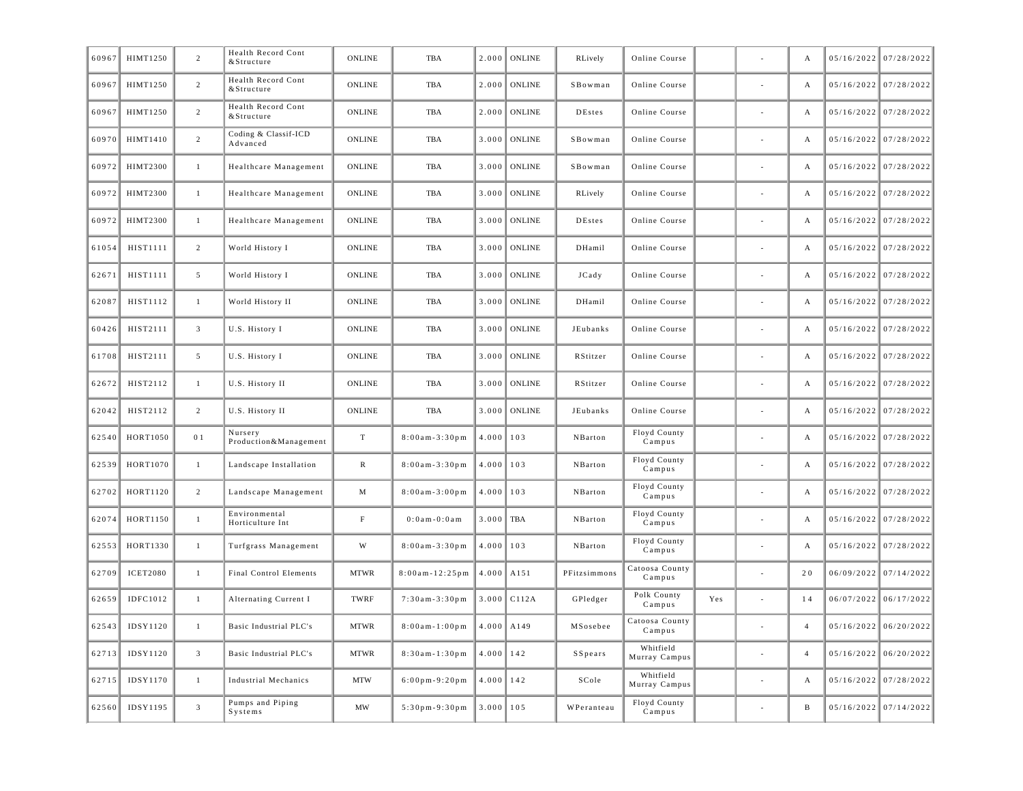| 60967 | HIMT1250        | $\overline{2}$ | Health Record Cont<br>& Structure | <b>ONLINE</b> | <b>TBA</b>                          | 2.000 | <b>ONLINE</b> | RLively       | Online Course              |     | A                | $05/16/2022$ 07/28/2022 |
|-------|-----------------|----------------|-----------------------------------|---------------|-------------------------------------|-------|---------------|---------------|----------------------------|-----|------------------|-------------------------|
| 60967 | HIMT1250        | 2              | Health Record Cont<br>& Structure | <b>ONLINE</b> | <b>TBA</b>                          | 2.000 | <b>ONLINE</b> | SBowman       | Online Course              |     | A                | 05/16/2022 07/28/2022   |
| 60967 | HIMT1250        | 2              | Health Record Cont<br>& Structure | ONLINE        | <b>TBA</b>                          | 2.000 | ONLINE        | <b>DEstes</b> | Online Course              |     | А                | 05/16/2022 07/28/2022   |
| 60970 | HIMT1410        | 2              | Coding & Classif-ICD<br>Advanced  | ONLINE        | TBA                                 | 3.000 | <b>ONLINE</b> | SBowman       | Online Course              |     | А                | 05/16/2022 07/28/2022   |
| 60972 | <b>HIMT2300</b> | $\mathbf{1}$   | Healthcare Management             | ONLINE        | <b>TBA</b>                          | 3.000 | <b>ONLINE</b> | SBowman       | Online Course              |     | А                | 05/16/2022 07/28/2022   |
| 60972 | <b>HIMT2300</b> | $\mathbf{1}$   | Healthcare Management             | <b>ONLINE</b> | <b>TBA</b>                          | 3.000 | <b>ONLINE</b> | RLively       | Online Course              |     | A                | 05/16/2022 07/28/2022   |
| 60972 | <b>HIMT2300</b> | $\mathbf{1}$   | Healthcare Management             | ONLINE        | <b>TBA</b>                          | 3.000 | <b>ONLINE</b> | <b>DEstes</b> | Online Course              |     | А                | 05/16/2022 07/28/2022   |
| 61054 | HIST1111        | 2              | World History I                   | ONLINE        | TBA                                 | 3.000 | <b>ONLINE</b> | DHamil        | Online Course              |     | А                | 05/16/2022 07/28/2022   |
| 62671 | HIST1111        | 5              | World History I                   | ONLINE        | <b>TBA</b>                          | 3.000 | <b>ONLINE</b> | JCady         | Online Course              |     | А                | 05/16/2022 07/28/2022   |
| 62087 | HIST1112        | $\mathbf{1}$   | World History II                  | <b>ONLINE</b> | <b>TBA</b>                          | 3.000 | <b>ONLINE</b> | DHamil        | Online Course              |     | A                | 05/16/2022 07/28/2022   |
| 60426 | HIST2111        | $\overline{3}$ | U.S. History I                    | ONLINE        | <b>TBA</b>                          | 3.000 | <b>ONLINE</b> | JEubanks      | Online Course              |     | А                | 05/16/2022 07/28/2022   |
| 61708 | HIST2111        | 5              | U.S. History I                    | ONLINE        | TBA                                 | 3.000 | <b>ONLINE</b> | RStitzer      | Online Course              |     | А                | 05/16/2022 07/28/2022   |
| 62672 | HIST2112        | $\mathbf{1}$   | U.S. History II                   | ONLINE        | <b>TBA</b>                          | 3.000 | <b>ONLINE</b> | RStitzer      | Online Course              |     | А                | 05/16/2022 07/28/2022   |
| 62042 | HIST2112        | 2              | U.S. History II                   | <b>ONLINE</b> | <b>TBA</b>                          | 3.000 | <b>ONLINE</b> | JEubanks      | Online Course              |     | A                | 05/16/2022 07/28/2022   |
| 62540 | HORT1050        | 0 <sub>1</sub> | Nursery<br>Production&Management  | T             | $8:00am - 3:30pm$                   | 4.000 | 103           | NBarton       | Floyd County<br>Campus     |     | А                | 05/16/2022 07/28/2022   |
| 62539 | HORT1070        | $\mathbf{1}$   | Landscape Installation            | $\mathbb{R}$  | $8:00am - 3:30pm$                   | 4.000 | 103           | NBarton       | Floyd County<br>Campus     |     | $\boldsymbol{A}$ | 05/16/2022 07/28/2022   |
| 62702 | HORT1120        | 2              | Landscape Management              | M             | $8:00am - 3:00pm$                   | 4.000 | 103           | NBarton       | Floyd County<br>Campus     |     | А                | 05/16/2022 07/28/2022   |
| 62074 | HORT1150        | $\mathbf{1}$   | Environmental<br>Horticulture Int | $_{\rm F}$    | $0:0$ am - $0:0$ am                 | 3.000 | <b>TBA</b>    | NBarton       | Floyd County<br>Campus     |     | A                | 05/16/2022 07/28/2022   |
| 62553 | HORT1330        | $\mathbf{1}$   | Turfgrass Management              | W             | $8:00$ am - 3:30 pm                 | 4.000 | 103           | NBarton       | Floyd County<br>Campus     |     | А                | 05/16/2022 07/28/2022   |
| 62709 | <b>ICET2080</b> | $\mathbf{1}$   | Final Control Elements            | <b>MTWR</b>   | $8:00am - 12:25pm$                  | 4.000 | A151          | PFitzsimmons  | Catoosa County<br>Campus   |     | 20               | 06/09/2022 07/14/2022   |
| 62659 | IDFC1012        | $\mathbf{1}$   | Alternating Current I             | TWRF          | $7:30am - 3:30pm$                   | 3.000 | C112A         | GPledger      | Polk County<br>Campus      | Yes | 14               | 06/07/2022 06/17/2022   |
| 62543 | IDSY1120        | $\mathbf{1}$   | Basic Industrial PLC's            | <b>MTWR</b>   | $8:00am - 1:00pm$                   | 4.000 | A149          | MSosebee      | Catoosa County<br>Campus   |     | $\overline{4}$   | $05/16/2022$ 06/20/2022 |
| 62713 | IDSY1120        | $\overline{3}$ | Basic Industrial PLC's            | <b>MTWR</b>   | 8:30am-1:30pm                       | 4.000 | 142           | SSpears       | Whitfield<br>Murray Campus |     | $\overline{4}$   | $05/16/2022$ 06/20/2022 |
| 62715 | IDSY1170        | $\mathbf{1}$   | Industrial Mechanics              | <b>MTW</b>    | $6:00 \text{ pm} - 9:20 \text{ pm}$ | 4.000 | 142           | SCole         | Whitfield<br>Murray Campus |     | А                | 05/16/2022 07/28/2022   |
| 62560 | IDSY1195        | $\mathbf{3}$   | Pumps and Piping<br>Systems       | MW            | $5:30$ pm-9:30pm                    | 3.000 | 105           | WPeranteau    | Floyd County<br>Campus     |     | B                | 05/16/2022 07/14/2022   |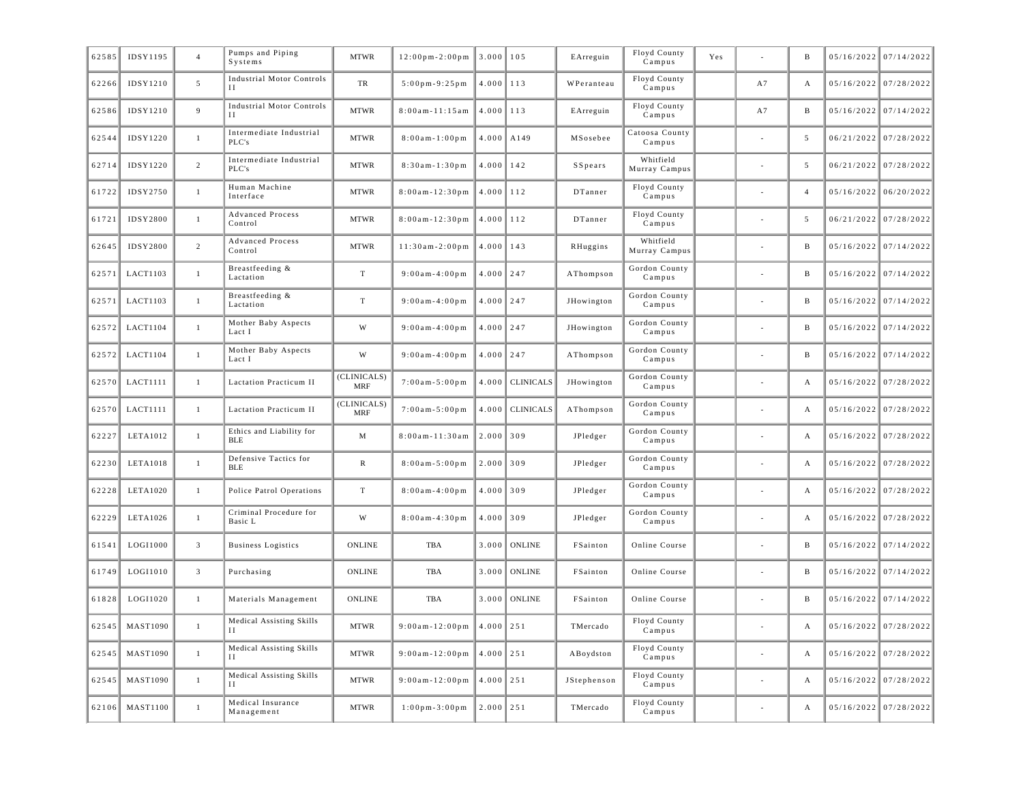| 62585 | IDSY1195        | $\overline{4}$ | Pumps and Piping<br>Systems                 | <b>MTWR</b>               | $12:00 \text{ pm} - 2:00 \text{ pm}$ | 3.000         | 105              | EArreguin   | Floyd County<br>Campus     | Yes |    | B              |            | 05/16/2022 07/14/2022   |
|-------|-----------------|----------------|---------------------------------------------|---------------------------|--------------------------------------|---------------|------------------|-------------|----------------------------|-----|----|----------------|------------|-------------------------|
| 62266 | IDSY1210        | 5              | <b>Industrial Motor Controls</b><br>$_{II}$ | TR                        | $5:00$ pm-9:25pm                     | 4.000         | 113              | WPeranteau  | Floyd County<br>Campus     |     | A7 | А              |            | 05/16/2022 07/28/2022   |
| 62586 | IDSY1210        | 9              | <b>Industrial Motor Controls</b><br>H       | <b>MTWR</b>               | $8:00$ am - $11:15$ am               | 4.000         | 113              | EArreguin   | Floyd County<br>Campus     |     | A7 | B              | 05/16/2022 | 07/14/2022              |
| 62544 | IDSY1220        | $\mathbf{1}$   | Intermediate Industrial<br>PLC's            | <b>MTWR</b>               | $8:00am - 1:00pm$                    | 4.000         | A149             | MSosebee    | Catoosa County<br>Campus   |     |    | 5              |            | $06/21/2022$ 07/28/2022 |
| 62714 | <b>IDSY1220</b> | $\overline{2}$ | Intermediate Industrial<br>PLC's            | <b>MTWR</b>               | $8:30am - 1:30pm$                    | 4.000         | 142              | SSpears     | Whitfield<br>Murray Campus |     |    | 5              | 06/21/2022 | 07/28/2022              |
| 61722 | <b>IDSY2750</b> | $\mathbf{1}$   | Human Machine<br>Interface                  | <b>MTWR</b>               | $8:00am - 12:30pm$                   | 4.000         | 112              | DTanner     | Floyd County<br>Campus     |     |    | $\overline{4}$ | 05/16/2022 | 06/20/2022              |
| 61721 | <b>IDSY2800</b> | $\mathbf{1}$   | <b>Advanced Process</b><br>Control          | <b>MTWR</b>               | $8:00am - 12:30pm$                   | 4.000         | 112              | DTanner     | Floyd County<br>Campus     |     |    | 5              | 06/21/2022 | 07/28/2022              |
| 62645 | <b>IDSY2800</b> | $\overline{2}$ | <b>Advanced Process</b><br>Control          | <b>MTWR</b>               | $11:30am - 2:00pm$                   | 4.000         | 143              | RHuggins    | Whitfield<br>Murray Campus |     |    | B              | 05/16/2022 | 07/14/2022              |
| 62571 | LACT1103        | $\mathbf{1}$   | Breastfeeding &<br>Lactation                | $\mathbf T$               | $9:00am - 4:00pm$                    | $4.000$ 247   |                  | AThompson   | Gordon County<br>Campus    |     |    | B              | 05/16/2022 | 07/14/2022              |
| 62571 | LACT1103        | $\mathbf{1}$   | Breastfeeding &<br>Lactation                | T                         | $9:00am - 4:00pm$                    | $4.000$ 247   |                  | JHowington  | Gordon County<br>Campus    |     |    | B              | 05/16/2022 | 07/14/2022              |
| 62572 | LACT1104        | $\mathbf{1}$   | Mother Baby Aspects<br>Lact I               | W                         | $9:00am - 4:00pm$                    | $4.000$ 247   |                  | JHowington  | Gordon County<br>Campus    |     |    | B              | 05/16/2022 | 07/14/2022              |
| 62572 | <b>LACT1104</b> | $\mathbf{1}$   | Mother Baby Aspects<br>Lact I               | W                         | $9:00am - 4:00pm$                    | $4.000$ 247   |                  | AThompson   | Gordon County<br>Campus    |     |    | B              | 05/16/2022 | 07/14/2022              |
| 62570 | LACT1111        | $\mathbf{1}$   | Lactation Practicum II                      | (CLINICALS)<br><b>MRF</b> | $7:00am - 5:00pm$                    | 4.000         | <b>CLINICALS</b> | JHowington  | Gordon County<br>Campus    |     |    | A              | 05/16/2022 | 07/28/2022              |
| 62570 | LACT1111        | $\mathbf{1}$   | Lactation Practicum II                      | (CLINICALS)<br><b>MRF</b> | $7:00am - 5:00pm$                    | 4.000         | <b>CLINICALS</b> | AThompson   | Gordon County<br>Campus    |     |    | A              | 05/16/2022 | 07/28/2022              |
| 62227 | LETA1012        | $\mathbf{1}$   | Ethics and Liability for<br><b>BLE</b>      | M                         | 8:00am-11:30am                       | 2.000         | 309              | JPledger    | Gordon County<br>Campus    |     |    | A              | 05/16/2022 | 07/28/2022              |
| 62230 | LETA1018        | $\mathbf{1}$   | Defensive Tactics for<br><b>BLE</b>         | $\mathbb{R}$              | $8:00am - 5:00pm$                    | 2.000         | 309              | JPledger    | Gordon County<br>Campus    |     |    | A              | 05/16/2022 | 07/28/2022              |
| 62228 | LETA1020        | $\mathbf{1}$   | Police Patrol Operations                    | T                         | $8:00$ am - 4:00 pm                  | $4.000$ 309   |                  | JPledger    | Gordon County<br>Campus    |     |    | A              | 05/16/2022 | 07/28/2022              |
| 62229 | LETA1026        | $\mathbf{1}$   | Criminal Procedure for<br>Basic L           | W                         | $8:00$ am - 4:30 pm                  | 4.000         | 309              | JPledger    | Gordon County<br>$C$ ampus |     |    | A              | 05/16/2022 | 07/28/2022              |
| 61541 | LOGI1000        | $\mathfrak{Z}$ | <b>Business Logistics</b>                   | <b>ONLINE</b>             | <b>TBA</b>                           | 3.000         | <b>ONLINE</b>    | FSainton    | Online Course              |     |    | B              | 05/16/2022 | 07/14/2022              |
| 61749 | LOGI1010        | $\overline{3}$ | Purchasing                                  | ONLINE                    | TBA                                  | 3.000         | <b>ONLINE</b>    | FSainton    | Online Course              |     |    | B              | 05/16/2022 | 07/14/2022              |
| 61828 | LOGI1020        | $\mathbf{1}$   | Materials Management                        | ONLINE                    | TBA                                  | 3.000         | <b>ONLINE</b>    | FSainton    | Online Course              |     |    | B              | 05/16/2022 | 07/14/2022              |
| 62545 | <b>MAST1090</b> | $\mathbf{1}$   | Medical Assisting Skills<br>Н               | <b>MTWR</b>               | $9:00am - 12:00pm$                   | 4.000         | 251              | TMercado    | Floyd County<br>Campus     |     |    | A              | 05/16/2022 | 07/28/2022              |
| 62545 | <b>MAST1090</b> | $\mathbf{1}$   | Medical Assisting Skills<br>H               | <b>MTWR</b>               | $9:00am - 12:00pm$                   | $4.000$   251 |                  | ABoydston   | Floyd County<br>Campus     |     |    | А              | 05/16/2022 | 07/28/2022              |
| 62545 | <b>MAST1090</b> | $\mathbf{1}$   | Medical Assisting Skills<br>H               | <b>MTWR</b>               | $9:00am - 12:00pm$                   | 4.000         | 251              | JStephenson | Floyd County<br>Campus     |     |    | А              | 05/16/2022 | 07/28/2022              |
| 62106 | <b>MAST1100</b> | $\mathbf{1}$   | Medical Insurance<br>Management             | <b>MTWR</b>               | $1:00 \text{ pm} - 3:00 \text{ pm}$  | $2.000$ 251   |                  | TMercado    | Floyd County<br>Campus     |     |    | А              |            | 05/16/2022 07/28/2022   |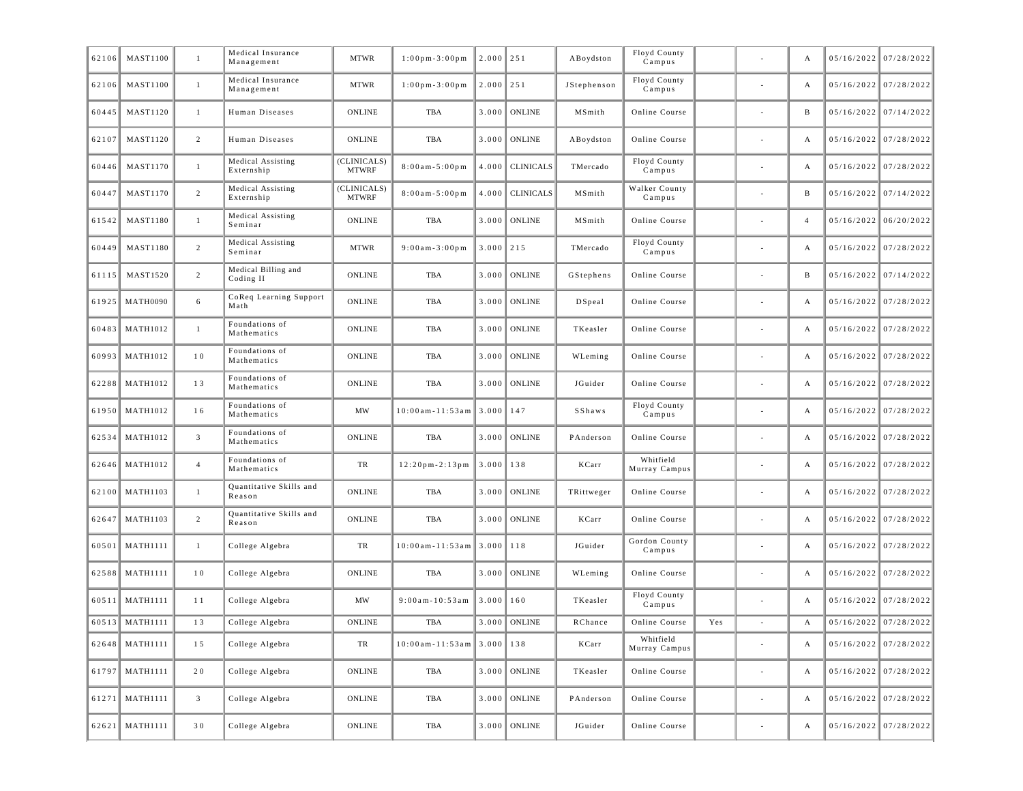| 62106 | <b>MAST1100</b> | 1              | Medical Insurance<br>Management   | <b>MTWR</b>                 | $1:00$ pm-3:00pm                   | $2.000$ 251 |                  | ABoydston   | Floyd County<br>Campus     |     |                          | А              | 05/16/2022 07/28/2022   |
|-------|-----------------|----------------|-----------------------------------|-----------------------------|------------------------------------|-------------|------------------|-------------|----------------------------|-----|--------------------------|----------------|-------------------------|
| 62106 | <b>MAST1100</b> | $\mathbf{1}$   | Medical Insurance<br>Management   | <b>MTWR</b>                 | $1:00$ pm - $3:00$ pm              | $2.000$ 251 |                  | JStephenson | Floyd County<br>Campus     |     | ÷,                       | А              | $05/16/2022$ 07/28/2022 |
| 60445 | <b>MAST1120</b> | $\mathbf{1}$   | Human Diseases                    | <b>ONLINE</b>               | TBA                                | 3.000       | <b>ONLINE</b>    | MSmith      | Online Course              |     |                          | B              | 05/16/2022 07/14/2022   |
| 62107 | <b>MAST1120</b> | 2              | Human Diseases                    | <b>ONLINE</b>               | TBA                                | 3.000       | <b>ONLINE</b>    | ABoydston   | Online Course              |     |                          | A              | $05/16/2022$ 07/28/2022 |
| 60446 | <b>MAST1170</b> | $\mathbf{1}$   | Medical Assisting<br>Externship   | (CLINICALS)<br><b>MTWRF</b> | $8:00am - 5:00pm$                  | 4.000       | <b>CLINICALS</b> | TMercado    | Floyd County<br>Campus     |     |                          | A              | $05/16/2022$ 07/28/2022 |
| 60447 | <b>MAST1170</b> | $\overline{2}$ | Medical Assisting<br>Externship   | (CLINICALS)<br><b>MTWRF</b> | $8:00a m - 5:00 p m$               | 4.000       | <b>CLINICALS</b> | MSmith      | Walker County<br>Campus    |     |                          | B              | $05/16/2022$ 07/14/2022 |
| 61542 | <b>MAST1180</b> | $\mathbf{1}$   | Medical Assisting<br>Seminar      | <b>ONLINE</b>               | TBA                                | 3.000       | ONLINE           | MSmith      | Online Course              |     |                          | $\overline{4}$ | $05/16/2022$ 06/20/2022 |
| 60449 | <b>MAST1180</b> | $\overline{2}$ | Medical Assisting<br>Seminar      | <b>MTWR</b>                 | $9:00$ am $-3:00$ pm               | $3.000$ 215 |                  | TMercado    | Floyd County<br>Campus     |     |                          | A              | $05/16/2022$ 07/28/2022 |
| 61115 | <b>MAST1520</b> | $\overline{2}$ | Medical Billing and<br>Coding II  | <b>ONLINE</b>               | TBA                                | 3.000       | ONLINE           | GStephens   | Online Course              |     |                          | B              | $05/16/2022$ 07/14/2022 |
| 61925 | <b>MATH0090</b> | 6              | CoReq Learning Support<br>Math    | <b>ONLINE</b>               | TBA                                | 3.000       | <b>ONLINE</b>    | DSpeal      | Online Course              |     |                          | A              | $05/16/2022$ 07/28/2022 |
| 60483 | <b>MATH1012</b> | $\mathbf{1}$   | Foundations of<br>Mathematics     | <b>ONLINE</b>               | TBA                                | 3.000       | <b>ONLINE</b>    | TKeasler    | Online Course              |     |                          | A              | $05/16/2022$ 07/28/2022 |
| 60993 | <b>MATH1012</b> | 10             | Foundations of<br>Mathematics     | <b>ONLINE</b>               | TBA                                | 3.000       | <b>ONLINE</b>    | WLeming     | Online Course              |     |                          | А              | $05/16/2022$ 07/28/2022 |
| 62288 | <b>MATH1012</b> | 13             | Foundations of<br>Mathematics     | <b>ONLINE</b>               | TBA                                | 3.000       | ONLINE           | JGuider     | Online Course              |     |                          | А              | $05/16/2022$ 07/28/2022 |
| 61950 | <b>MATH1012</b> | 16             | Foundations of<br>Mathematics     | MW                          | $10:00am - 11:53am$                | 3.000       | 147              | SShaws      | Floyd County<br>Campus     |     | ÷,                       | А              | $05/16/2022$ 07/28/2022 |
| 62534 | <b>MATH1012</b> | $\mathfrak{Z}$ | Foundations of<br>Mathematics     | <b>ONLINE</b>               | TBA                                | 3.000       | ONLINE           | PAnderson   | Online Course              |     |                          | A              | $05/16/2022$ 07/28/2022 |
| 62646 | <b>MATH1012</b> | $\overline{4}$ | Foundations of<br>Mathematics     | TR                          | $12:20$ pm - $2:13$ pm             | 3.000       | 138              | KCarr       | Whitfield<br>Murray Campus |     |                          | A              | $05/16/2022$ 07/28/2022 |
| 62100 | <b>MATH1103</b> | $\mathbf{1}$   | Quantitative Skills and<br>Reason | <b>ONLINE</b>               | TBA                                | 3.000       | ONLINE           | TRittweger  | Online Course              |     |                          | A              | $05/16/2022$ 07/28/2022 |
| 62647 | <b>MATH1103</b> | $\overline{2}$ | Quantitative Skills and<br>Reason | <b>ONLINE</b>               | TBA                                | 3.000       | <b>ONLINE</b>    | KCarr       | Online Course              |     |                          | А              | $05/16/2022$ 07/28/2022 |
| 60501 | <b>MATH1111</b> | $\mathbf{1}$   | College Algebra                   | TR                          | $10:00am - 11:53am$                | 3.000       | 118              | JGuider     | Gordon County<br>Campus    |     |                          | A              | $05/16/2022$ 07/28/2022 |
| 62588 | <b>MATH1111</b> | 10             | College Algebra                   | <b>ONLINE</b>               | TBA                                | 3.000       | ONLINE           | WLeming     | Online Course              |     |                          | A              | $05/16/2022$ 07/28/2022 |
| 60511 | <b>MATH1111</b> | 11             | College Algebra                   | MW                          | $9:00$ am - 10:53am                | 3.000       | 160              | TKeasler    | Floyd County<br>Campus     |     |                          | A              | 05/16/2022 07/28/2022   |
|       | 60513 MATH1111  | 13             | College Algebra                   | <b>ONLINE</b>               | TBA                                |             | $3.000$ ONLINE   | RChance     | Online Course              | Yes |                          | А              | $05/16/2022$ 07/28/2022 |
|       | 62648 MATH1111  | 15             | College Algebra                   | TR                          | $10:00$ am-11:53am    3.000    138 |             |                  | KCarr       | Whitfield<br>Murray Campus |     |                          | A              | $05/16/2022$ 07/28/2022 |
| 61797 | <b>MATH1111</b> | 20             | College Algebra                   | ONLINE                      | TBA                                |             | $3.000$ ONLINE   | TKeasler    | Online Course              |     | $\sim$                   | A              | $05/16/2022$ 07/28/2022 |
| 61271 | <b>MATH1111</b> | 3 <sup>7</sup> | College Algebra                   | <b>ONLINE</b>               | TBA                                |             | $3.000$ ONLINE   | PAnderson   | Online Course              |     | $\overline{\phantom{a}}$ | А              | $05/16/2022$ 07/28/2022 |
| 62621 | <b>MATH1111</b> | 30             | College Algebra                   | <b>ONLINE</b>               | TBA                                |             | $3.000$ ONLINE   | JGuider     | Online Course              |     | $\overline{\phantom{a}}$ | A              | $05/16/2022$ 07/28/2022 |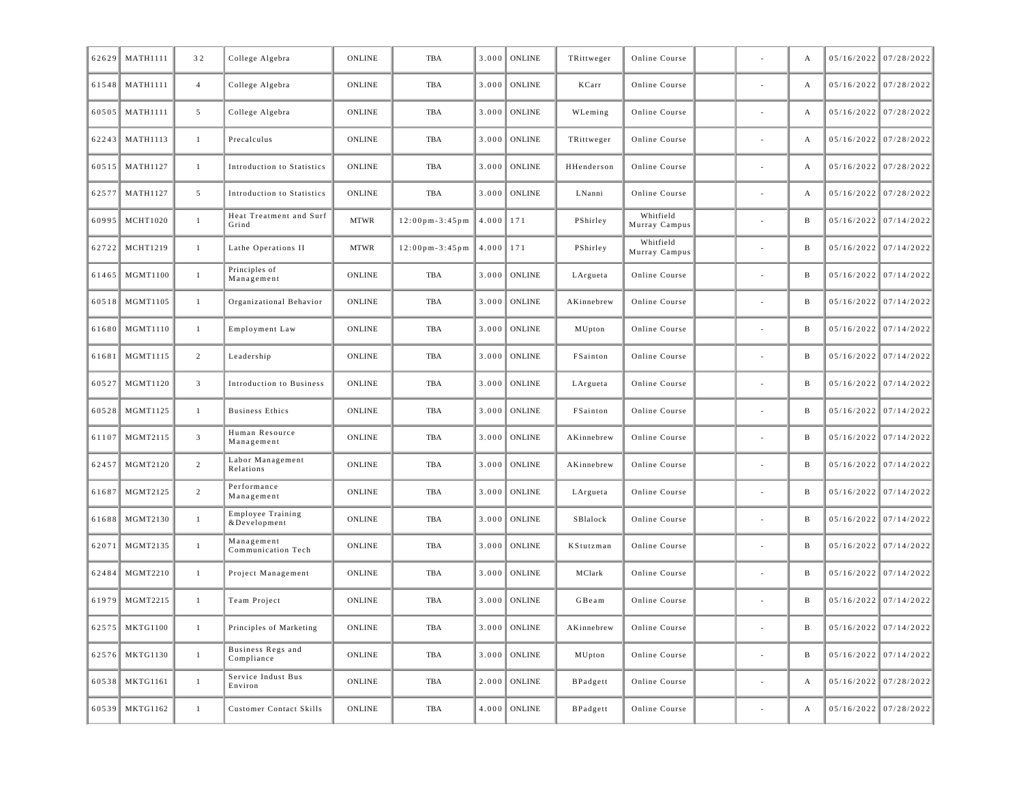| 62629 | <b>MATH1111</b> | 32             | College Algebra                   | ONLINE        | <b>TBA</b>                           | 3.000 | <b>ONLINE</b>  | TRittweger | Online Course              |                          | А | 05/16/2022 07/28/2022   |
|-------|-----------------|----------------|-----------------------------------|---------------|--------------------------------------|-------|----------------|------------|----------------------------|--------------------------|---|-------------------------|
| 61548 | <b>MATH1111</b> | $\overline{4}$ | College Algebra                   | <b>ONLINE</b> | TBA                                  | 3.000 | <b>ONLINE</b>  | KCarr      | Online Course              |                          | А | 05/16/2022 07/28/2022   |
| 60505 | <b>MATH1111</b> | 5              | College Algebra                   | ONLINE        | TBA                                  | 3.000 | ONLINE         | WLeming    | Online Course              |                          | А | 05/16/2022 07/28/2022   |
| 62243 | <b>MATH1113</b> | $\mathbf{1}$   | Precalculus                       | ONLINE        | TBA                                  | 3.000 | ONLINE         | TRittweger | Online Course              |                          | А | 05/16/2022 07/28/2022   |
| 60515 | <b>MATH1127</b> | $\mathbf{1}$   | Introduction to Statistics        | ONLINE        | TBA                                  | 3.000 | ONLINE         | HHenderson | Online Course              |                          | А | 05/16/2022 07/28/2022   |
| 62577 | <b>MATH1127</b> | 5              | Introduction to Statistics        | <b>ONLINE</b> | TBA                                  | 3.000 | <b>ONLINE</b>  | LNanni     | Online Course              |                          | А | 05/16/2022 07/28/2022   |
| 60995 | <b>MCHT1020</b> | $\mathbf{1}$   | Heat Treatment and Surf<br>Grind  | <b>MTWR</b>   | $12:00$ pm - 3:45 pm                 | 4.000 | 171            | PShirley   | Whitfield<br>Murray Campus |                          | B | 05/16/2022 07/14/2022   |
| 62722 | MCHT1219        | $\mathbf{1}$   | Lathe Operations II               | <b>MTWR</b>   | $12:00 \text{ pm} - 3:45 \text{ pm}$ | 4.000 | 171            | PShirley   | Whitfield<br>Murray Campus |                          | B | $05/16/2022$ 07/14/2022 |
| 61465 | <b>MGMT1100</b> | $\mathbf{1}$   | Principles of<br>Management       | ONLINE        | TBA                                  | 3.000 | <b>ONLINE</b>  | LArgueta   | Online Course              |                          | B | $05/16/2022$ 07/14/2022 |
| 60518 | MGMT1105        | $\mathbf{1}$   | Organizational Behavior           | ONLINE        | TBA                                  | 3.000 | <b>ONLINE</b>  | AKinnebrew | Online Course              |                          | B | $05/16/2022$ 07/14/2022 |
| 61680 | MGMT1110        | 1              | Employment Law                    | ONLINE        | TBA                                  | 3.000 | ONLINE         | MUpton     | Online Course              |                          | B | 05/16/2022 07/14/2022   |
| 61681 | MGMT1115        | $\overline{2}$ | Leadership                        | ONLINE        | TBA                                  | 3.000 | ONLINE         | FSainton   | Online Course              |                          | B | $05/16/2022$ 07/14/2022 |
| 60527 | MGMT1120        | $\overline{3}$ | Introduction to Business          | ONLINE        | TBA                                  | 3.000 | ONLINE         | LArgueta   | Online Course              |                          | B | $05/16/2022$ 07/14/2022 |
| 60528 | MGMT1125        | $\mathbf{1}$   | <b>Business Ethics</b>            | ONLINE        | TBA                                  | 3.000 | <b>ONLINE</b>  | FSainton   | Online Course              | $\overline{\phantom{a}}$ | B | $05/16/2022$ 07/14/2022 |
| 61107 | MGMT2115        | $\overline{3}$ | Human Resource<br>Management      | ONLINE        | TBA                                  | 3.000 | ONLINE         | AKinnebrew | Online Course              |                          | B | 05/16/2022 07/14/2022   |
| 62457 | MGMT2120        | 2              | Labor Management<br>Relations     | <b>ONLINE</b> | TBA                                  | 3.000 | ONLINE         | AKinnebrew | Online Course              |                          | B | $05/16/2022$ 07/14/2022 |
| 61687 | MGMT2125        | $\overline{2}$ | Performance<br>Management         | ONLINE        | TBA                                  | 3.000 | ONLINE         | LArgueta   | Online Course              |                          | B | $05/16/2022$ 07/14/2022 |
| 61688 | MGMT2130        | $\mathbf{1}$   | Employee Training<br>&Development | ONLINE        | TBA                                  | 3.000 | <b>ONLINE</b>  | SBlalock   | Online Course              | $\overline{\phantom{a}}$ | B | $05/16/2022$ 07/14/2022 |
| 62071 | MGMT2135        | $\mathbf{1}$   | Management<br>Communication Tech  | ONLINE        | TBA                                  | 3.000 | ONLINE         | KStutzman  | Online Course              |                          | B | 05/16/2022 07/14/2022   |
| 62484 | MGMT2210        | $\mathbf{1}$   | Project Management                | ONLINE        | TBA                                  | 3.000 | ONLINE         | MClark     | Online Course              |                          | B | $05/16/2022$ 07/14/2022 |
| 61979 | MGMT2215        | $\mathbf{1}$   | Team Project                      | ONLINE        | TBA                                  | 3.000 | <b>ONLINE</b>  | GBeam      | Online Course              |                          | B | $05/16/2022$ 07/14/2022 |
|       | 62575 MKTG1100  |                | Principles of Marketing           | ONLINE        | TBA                                  |       | $3.000$ ONLINE | AKinnebrew | Online Course              |                          |   | $05/16/2022$ 07/14/2022 |
|       | 62576 MKTG1130  | $\mathbf{1}$   | Business Regs and<br>Compliance   | ONLINE        | TBA                                  |       | $3.000$ ONLINE | MUpton     | Online Course              | $\sim$                   | B | $05/16/2022$ 07/14/2022 |
|       | 60538 MKTG1161  | $\mathbf{1}$   | Service Indust Bus<br>Environ     | ONLINE        | TBA                                  |       | $2.000$ ONLINE | BPadgett   | Online Course              | $\overline{\phantom{a}}$ | А | $05/16/2022$ 07/28/2022 |
|       | 60539 MKTG1162  | $\mathbf{1}$   | <b>Customer Contact Skills</b>    | ONLINE        | TBA                                  | 4.000 | ONLINE         | BPadgett   | Online Course              | $\overline{\phantom{a}}$ | А | $05/16/2022$ 07/28/2022 |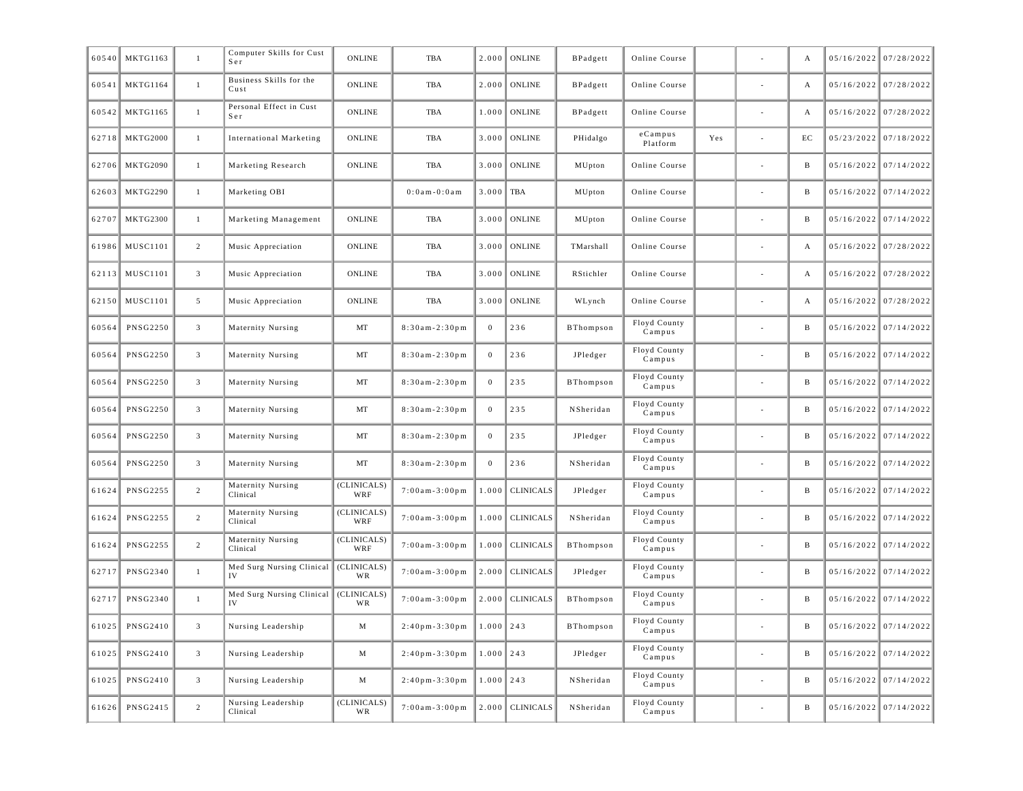| 60540 | <b>MKTG1163</b> | $\mathbf{1}$            | Computer Skills for Cust<br>Ser | <b>ONLINE</b>      | TBA                   | 2.000          | <b>ONLINE</b>    | BPadgett         | Online Course          |     | А  | $05/16/2022$ 07/28/2022 |
|-------|-----------------|-------------------------|---------------------------------|--------------------|-----------------------|----------------|------------------|------------------|------------------------|-----|----|-------------------------|
| 60541 | <b>MKTG1164</b> | $\mathbf{1}$            | Business Skills for the<br>Cust | <b>ONLINE</b>      | TBA                   | 2.000          | <b>ONLINE</b>    | BPadgett         | Online Course          |     | А  | 05/16/2022 07/28/2022   |
| 60542 | <b>MKTG1165</b> | $\mathbf{1}$            | Personal Effect in Cust<br>Ser  | ONLINE             | TBA                   | 1.000          | <b>ONLINE</b>    | BPadgett         | Online Course          |     | А  | 05/16/2022 07/28/2022   |
| 62718 | MKTG2000        | $\mathbf{1}$            | International Marketing         | ONLINE             | TBA                   | 3.000          | <b>ONLINE</b>    | PHidalgo         | $e$ Campus<br>Platform | Yes | EC | 05/23/2022 07/18/2022   |
| 62706 | <b>MKTG2090</b> | $\mathbf{1}$            | Marketing Research              | ONLINE             | TBA                   | 3.000          | <b>ONLINE</b>    | MUpton           | Online Course          |     | B  | 05/16/2022 07/14/2022   |
| 62603 | <b>MKTG2290</b> | $\mathbf{1}$            | Marketing OBI                   |                    | 0 : 0 a m - 0 : 0 a m | 3.000          | TBA              | MUpton           | Online Course          |     | B  | $05/16/2022$ 07/14/2022 |
| 62707 | <b>MKTG2300</b> | -1                      | Marketing Management            | <b>ONLINE</b>      | <b>TBA</b>            | 3.000          | <b>ONLINE</b>    | MUpton           | Online Course          |     | B  | 05/16/2022 07/14/2022   |
| 61986 | <b>MUSC1101</b> | 2                       | Music Appreciation              | <b>ONLINE</b>      | TBA                   | 3.000          | <b>ONLINE</b>    | TMarshall        | Online Course          |     | А  | 05/16/2022 07/28/2022   |
| 62113 | <b>MUSC1101</b> | $\overline{3}$          | Music Appreciation              | ONLINE             | TBA                   | 3.000          | <b>ONLINE</b>    | RStichler        | Online Course          |     | А  | 05/16/2022 07/28/2022   |
| 62150 | <b>MUSC1101</b> | 5                       | Music Appreciation              | ONLINE             | TBA                   | 3.000          | <b>ONLINE</b>    | WLynch           | Online Course          |     | A  | 05/16/2022 07/28/2022   |
| 60564 | <b>PNSG2250</b> | $\overline{3}$          | Maternity Nursing               | MT                 | $8:30am - 2:30pm$     | $\mathbf{0}$   | 236              | <b>BThompson</b> | Floyd County<br>Campus |     | B  | 05/16/2022 07/14/2022   |
| 60564 | <b>PNSG2250</b> | $\overline{3}$          | Maternity Nursing               | MT                 | $8:30am - 2:30pm$     | $\overline{0}$ | 236              | JPledger         | Floyd County<br>Campus |     | B  | $05/16/2022$ 07/14/2022 |
| 60564 | <b>PNSG2250</b> | $\overline{3}$          | Maternity Nursing               | MT                 | $8:30am - 2:30pm$     | $\overline{0}$ | 235              | <b>BThompson</b> | Floyd County<br>Campus |     | B  | 05/16/2022 07/14/2022   |
| 60564 | <b>PNSG2250</b> | $\overline{3}$          | Maternity Nursing               | MT                 | $8:30am - 2:30pm$     | $\overline{0}$ | 235              | NSheridan        | Floyd County<br>Campus |     | B  | $05/16/2022$ 07/14/2022 |
| 60564 | <b>PNSG2250</b> | $\overline{3}$          | Maternity Nursing               | MT                 | $8:30am - 2:30pm$     | $\overline{0}$ | 235              | JPledger         | Floyd County<br>Campus |     | B  | 05/16/2022 07/14/2022   |
| 60564 | <b>PNSG2250</b> | $\overline{3}$          | Maternity Nursing               | MT                 | $8:30am - 2:30pm$     | $\overline{0}$ | 236              | NSheridan        | Floyd County<br>Campus |     | B  | $05/16/2022$ 07/14/2022 |
| 61624 | PNSG2255        | 2                       | Maternity Nursing<br>Clinical   | (CLINICALS)<br>WRF | $7:00am - 3:00pm$     | 1.000          | <b>CLINICALS</b> | JPledger         | Floyd County<br>Campus |     | B  | 05/16/2022 07/14/2022   |
| 61624 | <b>PNSG2255</b> | 2                       | Maternity Nursing<br>Clinical   | (CLINICALS)<br>WRF | $7:00am - 3:00pm$     | 1.000          | <b>CLINICALS</b> | NSheridan        | Floyd County<br>Campus |     | B  | $05/16/2022$ 07/14/2022 |
| 61624 | <b>PNSG2255</b> | 2                       | Maternity Nursing<br>Clinical   | (CLINICALS)<br>WRF | $7:00am - 3:00pm$     | 1.000          | <b>CLINICALS</b> | <b>BThompson</b> | Floyd County<br>Campus |     | B  | 05/16/2022 07/14/2022   |
| 62717 | PNSG2340        | $\mathbf{1}$            | Med Surg Nursing Clinical<br>IV | (CLINICALS)<br>WR  | $7:00am - 3:00pm$     | 2.000          | <b>CLINICALS</b> | JPledger         | Floyd County<br>Campus |     | B  | 05/16/2022 07/14/2022   |
| 62717 | <b>PNSG2340</b> | $\mathbf{1}$            | Med Surg Nursing Clinical<br>IV | (CLINICALS)<br>WR  | $7:00$ am - 3:00 pm   | 2.000          | <b>CLINICALS</b> | <b>BThompson</b> | Floyd County<br>Campus |     | B  | 05/16/2022 07/14/2022   |
| 61025 | <b>PNSG2410</b> | $\overline{\mathbf{3}}$ | Nursing Leadership              | М                  | $2:40$ pm - 3:30 pm   | 1.000          | 243              | <b>BThompson</b> | Floyd County<br>Campus |     | B  | 05/16/2022 07/14/2022   |
| 61025 | <b>PNSG2410</b> | $\overline{\mathbf{3}}$ | Nursing Leadership              | М                  | $2:40$ pm-3:30pm      | $1.000$   243  |                  | JPledger         | Floyd County<br>Campus |     | B  | 05/16/2022 07/14/2022   |
| 61025 | <b>PNSG2410</b> | $\overline{3}$          | Nursing Leadership              | М                  | $2:40$ pm-3:30pm      | 1.000          | 243              | NSheridan        | Floyd County<br>Campus |     | B  | 05/16/2022 07/14/2022   |
| 61626 | PNSG2415        | $\overline{c}$          | Nursing Leadership<br>Clinical  | (CLINICALS)<br>WR  | $7:00am - 3:00pm$     | 2.000          | <b>CLINICALS</b> | NSheridan        | Floyd County<br>Campus |     | B  | 05/16/2022 07/14/2022   |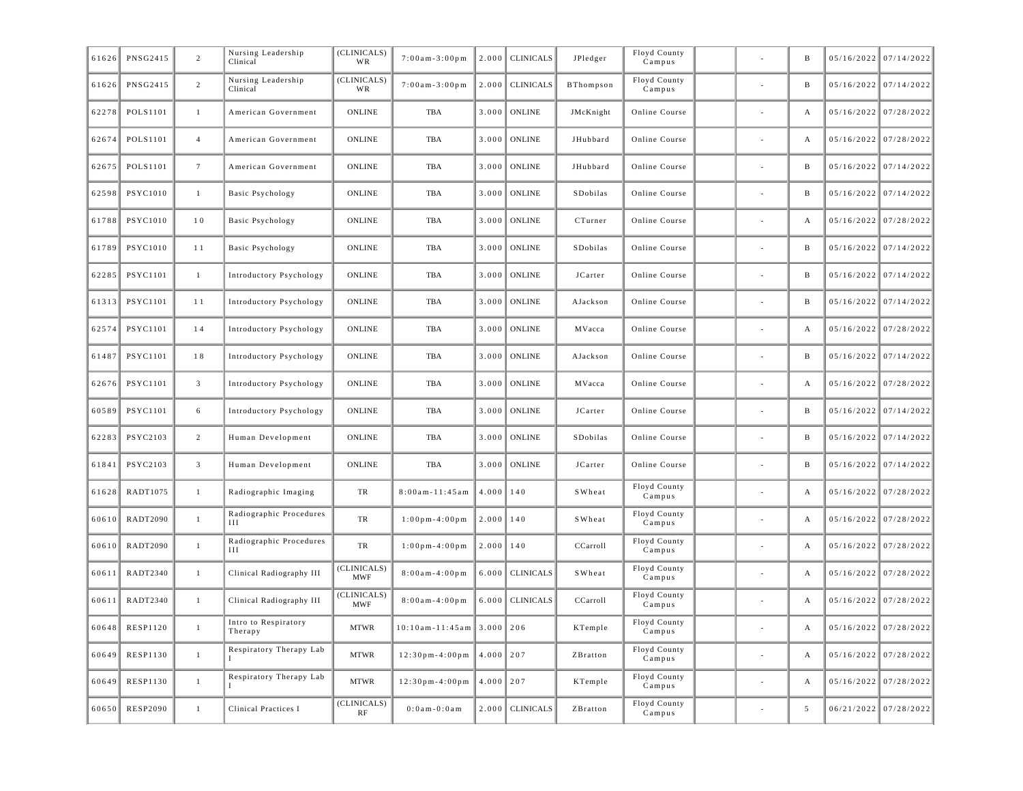| 61626 | PNSG2415        | $\overline{c}$  | Nursing Leadership<br>Clinical  | (CLINICALS)<br>WR         | $7:00am - 3:00pm$                    | 2.000         | <b>CLINICALS</b> | JPledger  | Floyd County<br>Campus    |                          | B          | $05/16/2022$ 07/14/2022 |
|-------|-----------------|-----------------|---------------------------------|---------------------------|--------------------------------------|---------------|------------------|-----------|---------------------------|--------------------------|------------|-------------------------|
| 61626 | PNSG2415        | $\overline{2}$  | Nursing Leadership<br>Clinical  | (CLINICALS)<br>WR         | $7:00$ am - 3:00 pm                  | 2.000         | <b>CLINICALS</b> | BThompson | Floyd County<br>Campus    |                          | B          | $05/16/2022$ 07/14/2022 |
| 62278 | POLS1101        | $\mathbf{1}$    | American Government             | <b>ONLINE</b>             | TBA                                  | 3.000         | <b>ONLINE</b>    | JMcKnight | Online Course             |                          | А          | $05/16/2022$ 07/28/2022 |
| 62674 | POLS1101        | $\overline{4}$  | American Government             | ONLINE                    | TBA                                  | 3.000         | <b>ONLINE</b>    | JHubbard  | Online Course             |                          | А          | $05/16/2022$ 07/28/2022 |
| 62675 | POLS1101        | $7\phantom{.0}$ | American Government             | ONLINE                    | TBA                                  | 3.000         | <b>ONLINE</b>    | JHubbard  | Online Course             |                          | B          | $05/16/2022$ 07/14/2022 |
| 62598 | <b>PSYC1010</b> | $\mathbf{1}$    | <b>Basic Psychology</b>         | ONLINE                    | TBA                                  | 3.000         | <b>ONLINE</b>    | SDobilas  | Online Course             |                          | B          | $05/16/2022$ 07/14/2022 |
| 61788 | <b>PSYC1010</b> | 10              | Basic Psychology                | ONLINE                    | TBA                                  | 3.000         | <b>ONLINE</b>    | CTurner   | Online Course             |                          | А          | $05/16/2022$ 07/28/2022 |
| 61789 | <b>PSYC1010</b> | 11              | <b>Basic Psychology</b>         | ONLINE                    | TBA                                  | 3.000         | <b>ONLINE</b>    | SDobilas  | Online Course             |                          | B          | $05/16/2022$ 07/14/2022 |
| 62285 | <b>PSYC1101</b> | $\mathbf{1}$    | Introductory Psychology         | ONLINE                    | TBA                                  | 3.000         | <b>ONLINE</b>    | JCarter   | Online Course             |                          | B          | $05/16/2022$ 07/14/2022 |
| 61313 | <b>PSYC1101</b> | 11              | Introductory Psychology         | <b>ONLINE</b>             | TBA                                  | 3.000         | <b>ONLINE</b>    | AJackson  | Online Course             |                          | B          | $05/16/2022$ 07/14/2022 |
| 62574 | <b>PSYC1101</b> | 14              | Introductory Psychology         | ONLINE                    | TBA                                  | 3.000         | <b>ONLINE</b>    | MVacca    | Online Course             |                          | А          | $05/16/2022$ 07/28/2022 |
| 61487 | <b>PSYC1101</b> | 18              | Introductory Psychology         | ONLINE                    | TBA                                  | 3.000         | <b>ONLINE</b>    | AJackson  | Online Course             |                          | B          | $05/16/2022$ 07/14/2022 |
| 62676 | <b>PSYC1101</b> | $\mathbf{3}$    | <b>Introductory Psychology</b>  | ONLINE                    | TBA                                  | 3.000         | <b>ONLINE</b>    | MVacca    | Online Course             |                          | А          | 05/16/2022 07/28/2022   |
| 60589 | <b>PSYC1101</b> | 6               | Introductory Psychology         | <b>ONLINE</b>             | TBA                                  | 3.000         | <b>ONLINE</b>    | JCarter   | Online Course             |                          | B          | $05/16/2022$ 07/14/2022 |
| 62283 | PSYC2103        | $\overline{2}$  | Human Development               | ONLINE                    | TBA                                  | 3.000         | ONLINE           | SDobilas  | Online Course             |                          | B          | 05/16/2022 07/14/2022   |
| 61841 | <b>PSYC2103</b> | $\mathbf{3}$    | Human Development               | ONLINE                    | TBA                                  | 3.000         | <b>ONLINE</b>    | JCarter   | Online Course             |                          | B          | $05/16/2022$ 07/14/2022 |
| 61628 | RADT1075        | $\mathbf{1}$    | Radiographic Imaging            | TR                        | $8:00$ am - 11:45 am                 | $4.000$   140 |                  | SWheat    | Floyd County<br>Campus    |                          | А          | 05/16/2022 07/28/2022   |
| 60610 | RADT2090        | $\mathbf{1}$    | Radiographic Procedures<br>Ш    | TR                        | $1:00$ pm-4:00pm                     | $2.000$   140 |                  | SWheat    | Floyd County<br>Campus    |                          | А          | $05/16/2022$ 07/28/2022 |
| 60610 | RADT2090        | $\mathbf{1}$    | Radiographic Procedures<br>Ш    | TR                        | $1:00$ pm-4:00pm                     | $2.000$   140 |                  | CCarroll  | Floyd County<br>Campus    |                          | А          | 05/16/2022 07/28/2022   |
| 60611 | RADT2340        | $\mathbf{1}$    | Clinical Radiography III        | (CLINICALS)<br><b>MWF</b> | $8:00$ am - $4:00$ pm                | 6.000         | <b>CLINICALS</b> | SWheat    | Floyd County<br>Campus    |                          | А          | 05/16/2022 07/28/2022   |
| 60611 | RADT2340        | $\mathbf{1}$    | Clinical Radiography III        | (CLINICALS)<br><b>MWF</b> | $8:00a m - 4:00 p m$                 | 6.000         | <b>CLINICALS</b> | CCarroll  | Floyd County<br>Campus    |                          | А          | $05/16/2022$ 07/28/2022 |
|       | 60648 RESP1120  |                 | Intro to Respiratory<br>Therapy | <b>MTWR</b>               | $10:10$ am-11:45am 3.000 206         |               |                  | KTemple   | Floyd County<br>Campus    |                          |            | $05/16/2022$ 07/28/2022 |
| 60649 | <b>RESP1130</b> | $\mathbf{1}$    | Respiratory Therapy Lab         | <b>MTWR</b>               | $12:30 \text{ pm} - 4:00 \text{ pm}$ | $4.000$   207 |                  | ZBratton  | Floyd County<br>Campus    |                          | A          | $05/16/2022$ 07/28/2022 |
| 60649 | <b>RESP1130</b> | $\mathbf{1}$    | Respiratory Therapy Lab         | <b>MTWR</b>               | $12:30$ pm-4:00pm                    | $4.000$   207 |                  | KTemple   | Floyd County<br>$C$ ampus | $\overline{\phantom{a}}$ | А          | $05/16/2022$ 07/28/2022 |
| 60650 | <b>RESP2090</b> | $\mathbf{1}$    | Clinical Practices I            | (CLINICALS)<br>RF         | $0:0$ a m - $0:0$ a m                | 2.000         | <b>CLINICALS</b> | ZBratton  | Floyd County<br>$C$ ampus |                          | $\sqrt{5}$ | 06/21/2022 07/28/2022   |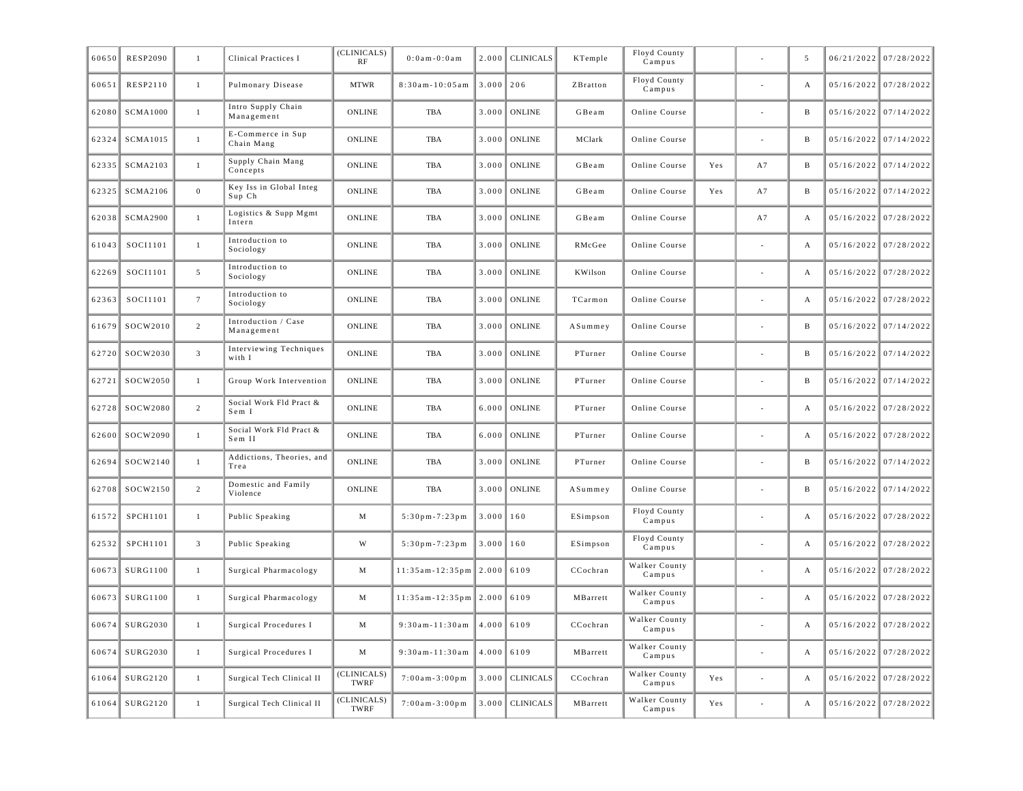| 60650 | <b>RESP2090</b> | $\mathbf{1}$    | Clinical Practices I              | (CLINICALS)<br>RF   | $0:0$ am - $0:0$ am           | 2.000         | <b>CLINICALS</b>  | KTemple  | Floyd County<br>Campus     |     |                | 5            | 06/21/2022 07/28/2022   |
|-------|-----------------|-----------------|-----------------------------------|---------------------|-------------------------------|---------------|-------------------|----------|----------------------------|-----|----------------|--------------|-------------------------|
| 60651 | <b>RESP2110</b> | 1               | Pulmonary Disease                 | <b>MTWR</b>         | $8:30am - 10:05am$            | $3.000$ 206   |                   | ZBratton | Floyd County<br>Campus     |     |                | $\mathbf{A}$ | 05/16/2022 07/28/2022   |
| 62080 | <b>SCMA1000</b> | $\mathbf{1}$    | Intro Supply Chain<br>Management  | <b>ONLINE</b>       | <b>TBA</b>                    | 3.000         | <b>ONLINE</b>     | GBeam    | Online Course              |     |                | $\, {\bf B}$ | $05/16/2022$ 07/14/2022 |
| 62324 | SCMA1015        | $\mathbf{1}$    | E-Commerce in Sup<br>Chain Mang   | ONLINE              | <b>TBA</b>                    | 3.000         | <b>ONLINE</b>     | MClark   | Online Course              |     | $\overline{a}$ | $\, {\bf B}$ | 05/16/2022 07/14/2022   |
| 62335 | <b>SCMA2103</b> | $\mathbf{1}$    | Supply Chain Mang<br>Concepts     | <b>ONLINE</b>       | <b>TBA</b>                    | 3.000         | <b>ONLINE</b>     | GBeam    | Online Course              | Yes | A7             | $\, {\bf B}$ | 05/16/2022 07/14/2022   |
| 62325 | SCMA2106        | $\overline{0}$  | Key Iss in Global Integ<br>Sup Ch | ONLINE              | TBA                           | 3.000         | <b>ONLINE</b>     | GBeam    | Online Course              | Yes | A7             | B            | $05/16/2022$ 07/14/2022 |
| 62038 | SCMA2900        | $\mathbf{1}$    | Logistics & Supp Mgmt<br>Intern   | ONLINE              | TBA                           | 3.000         | <b>ONLINE</b>     | GBeam    | Online Course              |     | A7             | А            | 05/16/2022 07/28/2022   |
| 61043 | SOCI1101        | $\mathbf{1}$    | Introduction to<br>Sociology      | ONLINE              | TBA                           | 3.000         | <b>ONLINE</b>     | RMcGee   | Online Course              |     |                | А            | 05/16/2022 07/28/2022   |
| 62269 | SOCI1101        | $5\overline{5}$ | Introduction to<br>Sociology      | ONLINE              | TBA                           | 3.000         | <b>ONLINE</b>     | KWilson  | Online Course              |     |                | А            | 05/16/2022 07/28/2022   |
| 62363 | SOCI1101        | $7\phantom{.0}$ | Introduction to<br>Sociology      | <b>ONLINE</b>       | <b>TBA</b>                    | 3.000         | <b>ONLINE</b>     | TCarmon  | Online Course              |     |                | A            | 05/16/2022 07/28/2022   |
| 61679 | SOCW2010        | 2               | Introduction / Case<br>Management | ONLINE              | TBA                           | 3.000         | <b>ONLINE</b>     | ASummey  | Online Course              |     |                | B            | $05/16/2022$ 07/14/2022 |
| 62720 | SOCW2030        | $\overline{3}$  | Interviewing Techniques<br>with I | ONLINE              | TBA                           | 3.000         | <b>ONLINE</b>     | PTurner  | Online Course              |     |                | B            | 05/16/2022 07/14/2022   |
| 62721 | SOCW2050        | $\mathbf{1}$    | Group Work Intervention           | <b>ONLINE</b>       | <b>TBA</b>                    | 3.000         | <b>ONLINE</b>     | PTurner  | Online Course              |     |                | $\, {\bf B}$ | 05/16/2022 07/14/2022   |
| 62728 | SOCW2080        | $\overline{2}$  | Social Work Fld Pract &<br>Sem I  | ONLINE              | TBA                           | 6.000         | <b>ONLINE</b>     | PTurner  | Online Course              |     |                | A            | 05/16/2022 07/28/2022   |
| 62600 | SOCW2090        | $\mathbf{1}$    | Social Work Fld Pract &<br>Sem II | ONLINE              | TBA                           | 6.000         | <b>ONLINE</b>     | PTurner  | Online Course              |     |                | $\mathbf{A}$ | 05/16/2022 07/28/2022   |
| 62694 | SOCW2140        | $\mathbf{1}$    | Addictions, Theories, and<br>Trea | <b>ONLINE</b>       | <b>TBA</b>                    | 3.000         | <b>ONLINE</b>     | PTurner  | Online Course              |     |                | $\mathbf{B}$ | $05/16/2022$ 07/14/2022 |
| 62708 | SOCW2150        | 2               | Domestic and Family<br>Violence   | <b>ONLINE</b>       | <b>TBA</b>                    | 3.000         | <b>ONLINE</b>     | ASummey  | Online Course              |     |                | $\, {\bf B}$ | $05/16/2022$ 07/14/2022 |
| 61572 | SPCH1101        | $\mathbf{1}$    | Public Speaking                   | M                   | $5:30$ pm-7:23pm              | $3.000$   160 |                   | ESimpson | Floyd County<br>Campus     |     |                | A            | $05/16/2022$ 07/28/2022 |
| 62532 | SPCH1101        | $\overline{3}$  | Public Speaking                   | W                   | $5:30$ pm-7:23pm              | $3.000$   160 |                   | ESimpson | Floyd County<br>Campus     |     |                | А            | 05/16/2022 07/28/2022   |
| 60673 | SURG1100        | $\mathbf{1}$    | Surgical Pharmacology             | M                   | $11:35$ am - 12:35 pm   2.000 |               | 6109              | CCochran | Walker County<br>Campus    |     |                | A            | $05/16/2022$ 07/28/2022 |
| 60673 | SURG1100        | $\mathbf{1}$    | Surgical Pharmacology             | M                   | $11:35$ am-12:35pm 2.000 6109 |               |                   | MBarrett | Walker County<br>$C$ ampus |     |                | А            | 05/16/2022 07/28/2022   |
| 60674 | SURG2030        | $\mathbf{1}$    | Surgical Procedures I             | $\mathbf M$         | $9:30$ am-11:30am             | 4.000         | 6109              | CCochran | Walker County<br>Campus    |     |                | А            | 05/16/2022 07/28/2022   |
| 60674 | SURG2030        | $\mathbf{1}$    | Surgical Procedures I             | $\mathbf M$         | $9:30am - 11:30am$            | 4.000         | 6109              | MBarrett | Walker County<br>Campus    |     | $\sim$         | A            | 05/16/2022 07/28/2022   |
| 61064 | SURG2120        | $\mathbf{1}$    | Surgical Tech Clinical II         | (CLINICALS)<br>TWRF | $7:00am - 3:00pm$             | 3.000         | <b>CLINICALS</b>  | CCochran | Walker County<br>$C$ ampus | Yes |                | $\mathbf{A}$ | $05/16/2022$ 07/28/2022 |
| 61064 | SURG2120        | $\mathbf{1}$    | Surgical Tech Clinical II         | (CLINICALS)<br>TWRF | $7:00am - 3:00pm$             |               | $3.000$ CLINICALS | MBarrett | Walker County<br>Campus    | Yes |                | A            | 05/16/2022 07/28/2022   |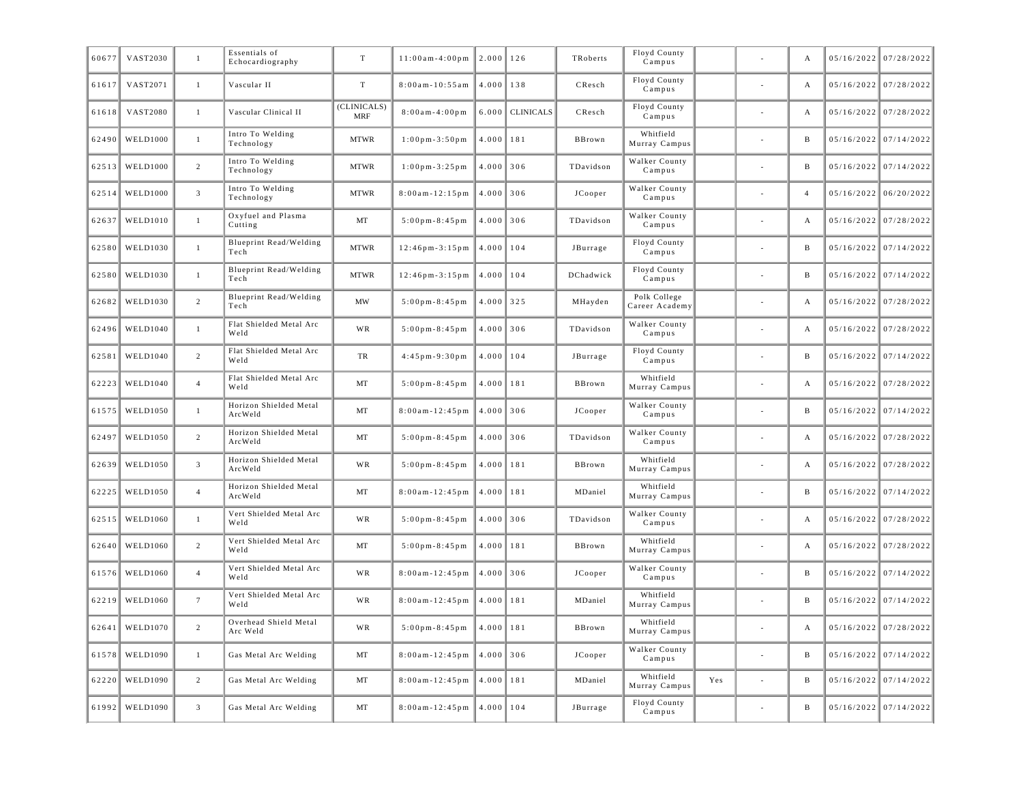| 60677 | VAST2030        | $\mathbf{1}$    | Essentials of<br>Echocardiography | T                         | $11:00am-4:00pm$       | 2.000         | 126              | TRoberts  | Floyd County<br>Campus         |     | А              | $05/16/2022$ 07/28/2022 |
|-------|-----------------|-----------------|-----------------------------------|---------------------------|------------------------|---------------|------------------|-----------|--------------------------------|-----|----------------|-------------------------|
| 61617 | VAST2071        | $\mathbf{1}$    | Vascular II                       | $\ensuremath{\mathrm{T}}$ | $8:00am - 10:55am$     | 4.000         | 138              | CResch    | Floyd County<br>Campus         |     | A              | 05/16/2022 07/28/2022   |
| 61618 | <b>VAST2080</b> | 1               | Vascular Clinical II              | (CLINICALS)<br><b>MRF</b> | $8:00a m - 4:00 p m$   | 6.000         | <b>CLINICALS</b> | CResch    | Floyd County<br>Campus         |     | A              | 05/16/2022 07/28/2022   |
| 62490 | <b>WELD1000</b> | 1               | Intro To Welding<br>Technology    | <b>MTWR</b>               | $1:00$ pm - $3:50$ pm  | 4.000         | 181              | BBrown    | Whitfield<br>Murray Campus     |     | B              | $05/16/2022$ 07/14/2022 |
| 62513 | <b>WELD1000</b> | 2               | Intro To Welding<br>Technology    | <b>MTWR</b>               | $1:00$ pm - 3:25 pm    | $4.000$ 306   |                  | TDavidson | Walker County<br>Campus        |     | B              | $05/16/2022$ 07/14/2022 |
| 62514 | <b>WELD1000</b> | $\overline{3}$  | Intro To Welding<br>Technology    | <b>MTWR</b>               | $8:00am - 12:15pm$     | 4.000         | 306              | JCooper   | Walker County<br>Campus        |     | $\overline{4}$ | $05/16/2022$ 06/20/2022 |
| 62637 | <b>WELD1010</b> | 1               | Oxyfuel and Plasma<br>Cutting     | MT                        | $5:00$ pm - 8:45 pm    | $4.000$ 306   |                  | TDavidson | Walker County<br>Campus        |     | A              | 05/16/2022 07/28/2022   |
| 62580 | <b>WELD1030</b> | 1               | Blueprint Read/Welding<br>Tech    | <b>MTWR</b>               | $12:46$ pm - $3:15$ pm | 4.000         | 104              | JBurrage  | Floyd County<br>Campus         |     | B              | $05/16/2022$ 07/14/2022 |
| 62580 | <b>WELD1030</b> | $\mathbf{1}$    | Blueprint Read/Welding<br>Tech    | <b>MTWR</b>               | $12:46$ pm- $3:15$ pm  | 4.000         | 104              | DChadwick | Floyd County<br>Campus         |     | B              | $05/16/2022$ 07/14/2022 |
| 62682 | <b>WELD1030</b> | $\overline{c}$  | Blueprint Read/Welding<br>Tech    | MW                        | $5:00$ pm - 8:45 pm    | $4.000$ 325   |                  | MHayden   | Polk College<br>Career Academy |     | A              | 05/16/2022 07/28/2022   |
| 62496 | <b>WELD1040</b> | 1               | Flat Shielded Metal Arc<br>Weld   | WR                        | $5:00$ pm - 8:45pm     | $4.000$ 306   |                  | TDavidson | Walker County<br>Campus        |     | A              | 05/16/2022 07/28/2022   |
| 62581 | <b>WELD1040</b> | $\overline{2}$  | Flat Shielded Metal Arc<br>Weld   | TR                        | $4:45$ pm - 9:30 pm    | 4.000         | 104              | JBurrage  | Floyd County<br>Campus         |     | B              | $05/16/2022$ 07/14/2022 |
| 62223 | <b>WELD1040</b> | $\overline{4}$  | Flat Shielded Metal Arc<br>Weld   | MT                        | $5:00$ pm - 8:45 pm    | 4.000         | 181              | BBrown    | Whitfield<br>Murray Campus     |     | A              | 05/16/2022 07/28/2022   |
| 61575 | <b>WELD1050</b> | $\mathbf{1}$    | Horizon Shielded Metal<br>ArcWeld | MT                        | $8:00am - 12:45pm$     | 4.000         | 306              | JCooper   | Walker County<br>Campus        |     | B              | $05/16/2022$ 07/14/2022 |
| 62497 | <b>WELD1050</b> | 2               | Horizon Shielded Metal<br>ArcWeld | MT                        | $5:00$ pm - 8:45 pm    | $4.000$ 306   |                  | TDavidson | Walker County<br>Campus        |     | A              | 05/16/2022 07/28/2022   |
| 62639 | <b>WELD1050</b> | $\overline{3}$  | Horizon Shielded Metal<br>ArcWeld | WR                        | $5:00$ pm - 8:45 pm    | 4.000         | 181              | BBrown    | Whitfield<br>Murray Campus     |     | A              | 05/16/2022 07/28/2022   |
| 62225 | <b>WELD1050</b> | $\overline{4}$  | Horizon Shielded Metal<br>ArcWeld | MT                        | $8:00am - 12:45pm$     | 4.000         | 181              | MDaniel   | Whitfield<br>Murray Campus     |     | B              | $05/16/2022$ 07/14/2022 |
| 62515 | <b>WELD1060</b> | $\mathbf{1}$    | Vert Shielded Metal Arc<br>Weld   | WR                        | $5:00$ pm - 8:45 pm    | 4.000         | 306              | TDavidson | Walker County<br>Campus        |     | A              | 05/16/2022 07/28/2022   |
| 62640 | <b>WELD1060</b> | 2               | Vert Shielded Metal Arc<br>Weld   | MT                        | $5:00$ pm - 8:45 pm    | 4.000         | 181              | BBrown    | Whitfield<br>Murray Campus     |     | A              | 05/16/2022 07/28/2022   |
| 61576 | <b>WELD1060</b> | $\overline{4}$  | Vert Shielded Metal Arc<br>Weld   | <b>WR</b>                 | $8:00am - 12:45pm$     | 4.000         | 306              | JCooper   | Walker County<br>Campus        |     | B              | $05/16/2022$ 07/14/2022 |
| 62219 | <b>WELD1060</b> | $7\overline{ }$ | Vert Shielded Metal Arc<br>Weld   | WR                        | $8:00am - 12:45pm$     | 4.000         | 181              | MDaniel   | Whitfield<br>Murray Campus     |     | B              | $05/16/2022$ 07/14/2022 |
| 62641 | <b>WELD1070</b> | 2               | Overhead Shield Metal<br>Arc Weld | WR                        | $5:00$ pm - 8:45 pm    | 4.000         | 181              | BBrown    | Whitfield<br>Murray Campus     |     | A              | 05/16/2022 07/28/2022   |
| 61578 | <b>WELD1090</b> | $\mathbf{1}$    | Gas Metal Arc Welding             | MT                        | $8:00am - 12:45pm$     | $4.000$ 306   |                  | JCooper   | Walker County<br>Campus        |     | B              | $05/16/2022$ 07/14/2022 |
| 62220 | <b>WELD1090</b> | 2               | Gas Metal Arc Welding             | MT                        | $8:00am - 12:45pm$     | 4.000         | 181              | MDaniel   | Whitfield<br>Murray Campus     | Yes | B              | 05/16/2022 07/14/2022   |
| 61992 | <b>WELD1090</b> | $\mathbf{3}$    | Gas Metal Arc Welding             | MT                        | $8:00a m - 12:45 pm$   | $4.000$   104 |                  | JBurrage  | Floyd County<br>Campus         |     | B              | 05/16/2022 07/14/2022   |